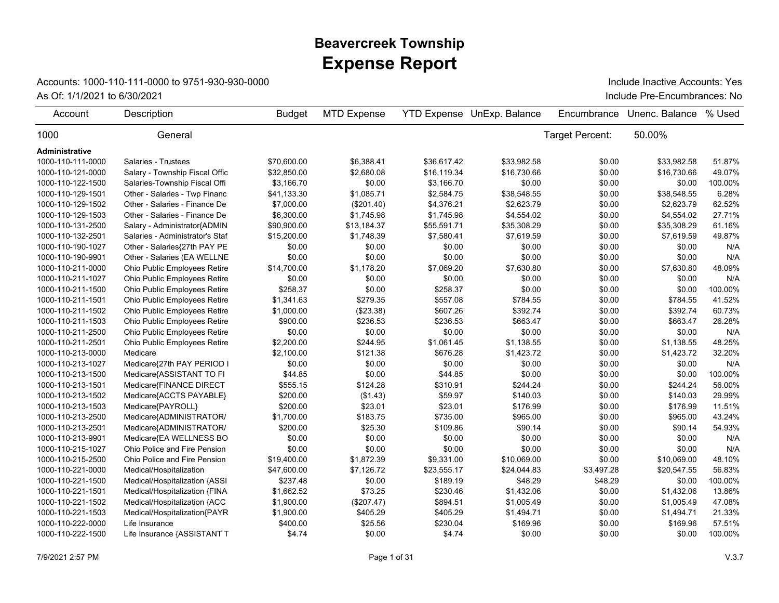## **Expense Report Beavercreek Township**

## Accounts: 1000-110-111-0000 to 9751-930-930-0000

As Of: 1/1/2021 to 6/30/2021 **Include Pre-Encumbrances:** No

Include Inactive Accounts: Yes

| Account               | Description                     | <b>Budget</b> | <b>MTD Expense</b> |             | <b>YTD Expense UnExp. Balance</b> | Encumbrance     | Unenc. Balance | % Used  |
|-----------------------|---------------------------------|---------------|--------------------|-------------|-----------------------------------|-----------------|----------------|---------|
| 1000                  | General                         |               |                    |             |                                   | Target Percent: | 50.00%         |         |
| <b>Administrative</b> |                                 |               |                    |             |                                   |                 |                |         |
| 1000-110-111-0000     | <b>Salaries - Trustees</b>      | \$70,600.00   | \$6,388.41         | \$36,617.42 | \$33,982.58                       | \$0.00          | \$33,982.58    | 51.87%  |
| 1000-110-121-0000     | Salary - Township Fiscal Offic  | \$32.850.00   | \$2,680.08         | \$16,119.34 | \$16,730.66                       | \$0.00          | \$16,730.66    | 49.07%  |
| 1000-110-122-1500     | Salaries-Township Fiscal Offi   | \$3,166.70    | \$0.00             | \$3,166.70  | \$0.00                            | \$0.00          | \$0.00         | 100.00% |
| 1000-110-129-1501     | Other - Salaries - Twp Financ   | \$41,133.30   | \$1,085.71         | \$2,584.75  | \$38,548.55                       | \$0.00          | \$38,548.55    | 6.28%   |
| 1000-110-129-1502     | Other - Salaries - Finance De   | \$7,000.00    | (\$201.40)         | \$4,376.21  | \$2,623.79                        | \$0.00          | \$2,623.79     | 62.52%  |
| 1000-110-129-1503     | Other - Salaries - Finance De   | \$6,300.00    | \$1,745.98         | \$1,745.98  | \$4,554.02                        | \$0.00          | \$4,554.02     | 27.71%  |
| 1000-110-131-2500     | Salary - Administrator{ADMIN    | \$90,900.00   | \$13,184.37        | \$55,591.71 | \$35,308.29                       | \$0.00          | \$35,308.29    | 61.16%  |
| 1000-110-132-2501     | Salaries - Administrator's Staf | \$15,200.00   | \$1,748.39         | \$7,580.41  | \$7,619.59                        | \$0.00          | \$7,619.59     | 49.87%  |
| 1000-110-190-1027     | Other - Salaries{27th PAY PE    | \$0.00        | \$0.00             | \$0.00      | \$0.00                            | \$0.00          | \$0.00         | N/A     |
| 1000-110-190-9901     | Other - Salaries (EA WELLNE     | \$0.00        | \$0.00             | \$0.00      | \$0.00                            | \$0.00          | \$0.00         | N/A     |
| 1000-110-211-0000     | Ohio Public Employees Retire    | \$14,700.00   | \$1,178.20         | \$7,069.20  | \$7,630.80                        | \$0.00          | \$7,630.80     | 48.09%  |
| 1000-110-211-1027     | Ohio Public Employees Retire    | \$0.00        | \$0.00             | \$0.00      | \$0.00                            | \$0.00          | \$0.00         | N/A     |
| 1000-110-211-1500     | Ohio Public Employees Retire    | \$258.37      | \$0.00             | \$258.37    | \$0.00                            | \$0.00          | \$0.00         | 100.00% |
| 1000-110-211-1501     | Ohio Public Employees Retire    | \$1,341.63    | \$279.35           | \$557.08    | \$784.55                          | \$0.00          | \$784.55       | 41.52%  |
| 1000-110-211-1502     | Ohio Public Employees Retire    | \$1,000.00    | (\$23.38)          | \$607.26    | \$392.74                          | \$0.00          | \$392.74       | 60.73%  |
| 1000-110-211-1503     | Ohio Public Employees Retire    | \$900.00      | \$236.53           | \$236.53    | \$663.47                          | \$0.00          | \$663.47       | 26.28%  |
| 1000-110-211-2500     | Ohio Public Employees Retire    | \$0.00        | \$0.00             | \$0.00      | \$0.00                            | \$0.00          | \$0.00         | N/A     |
| 1000-110-211-2501     | Ohio Public Employees Retire    | \$2,200.00    | \$244.95           | \$1,061.45  | \$1,138.55                        | \$0.00          | \$1.138.55     | 48.25%  |
| 1000-110-213-0000     | Medicare                        | \$2,100.00    | \$121.38           | \$676.28    | \$1,423.72                        | \$0.00          | \$1,423.72     | 32.20%  |
| 1000-110-213-1027     | Medicare{27th PAY PERIOD I      | \$0.00        | \$0.00             | \$0.00      | \$0.00                            | \$0.00          | \$0.00         | N/A     |
| 1000-110-213-1500     | Medicare{ASSISTANT TO FI        | \$44.85       | \$0.00             | \$44.85     | \$0.00                            | \$0.00          | \$0.00         | 100.00% |
| 1000-110-213-1501     | Medicare{FINANCE DIRECT         | \$555.15      | \$124.28           | \$310.91    | \$244.24                          | \$0.00          | \$244.24       | 56.00%  |
| 1000-110-213-1502     | Medicare{ACCTS PAYABLE}         | \$200.00      | (\$1.43)           | \$59.97     | \$140.03                          | \$0.00          | \$140.03       | 29.99%  |
| 1000-110-213-1503     | Medicare{PAYROLL}               | \$200.00      | \$23.01            | \$23.01     | \$176.99                          | \$0.00          | \$176.99       | 11.51%  |
| 1000-110-213-2500     | Medicare{ADMINISTRATOR/         | \$1,700.00    | \$183.75           | \$735.00    | \$965.00                          | \$0.00          | \$965.00       | 43.24%  |
| 1000-110-213-2501     | Medicare{ADMINISTRATOR/         | \$200.00      | \$25.30            | \$109.86    | \$90.14                           | \$0.00          | \$90.14        | 54.93%  |
| 1000-110-213-9901     | Medicare{EA WELLNESS BO         | \$0.00        | \$0.00             | \$0.00      | \$0.00                            | \$0.00          | \$0.00         | N/A     |
| 1000-110-215-1027     | Ohio Police and Fire Pension    | \$0.00        | \$0.00             | \$0.00      | \$0.00                            | \$0.00          | \$0.00         | N/A     |
| 1000-110-215-2500     | Ohio Police and Fire Pension    | \$19,400.00   | \$1,872.39         | \$9,331.00  | \$10,069.00                       | \$0.00          | \$10,069.00    | 48.10%  |
| 1000-110-221-0000     | Medical/Hospitalization         | \$47,600.00   | \$7,126.72         | \$23,555.17 | \$24,044.83                       | \$3,497.28      | \$20,547.55    | 56.83%  |
| 1000-110-221-1500     | Medical/Hospitalization {ASSI   | \$237.48      | \$0.00             | \$189.19    | \$48.29                           | \$48.29         | \$0.00         | 100.00% |
| 1000-110-221-1501     | Medical/Hospitalization {FINA   | \$1,662.52    | \$73.25            | \$230.46    | \$1,432.06                        | \$0.00          | \$1,432.06     | 13.86%  |
| 1000-110-221-1502     | Medical/Hospitalization {ACC    | \$1,900.00    | (\$207.47)         | \$894.51    | \$1,005.49                        | \$0.00          | \$1,005.49     | 47.08%  |
| 1000-110-221-1503     | Medical/Hospitalization{PAYR    | \$1,900.00    | \$405.29           | \$405.29    | \$1,494.71                        | \$0.00          | \$1,494.71     | 21.33%  |
| 1000-110-222-0000     | Life Insurance                  | \$400.00      | \$25.56            | \$230.04    | \$169.96                          | \$0.00          | \$169.96       | 57.51%  |
| 1000-110-222-1500     | Life Insurance {ASSISTANT T     | \$4.74        | \$0.00             | \$4.74      | \$0.00                            | \$0.00          | \$0.00         | 100.00% |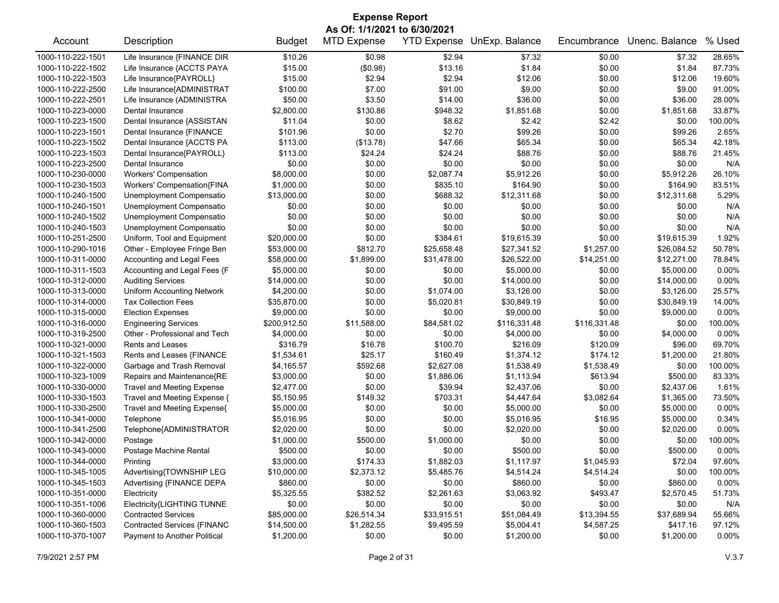| <b>Expense Report</b>        |                                   |               |                    |                    |                |              |                |          |  |
|------------------------------|-----------------------------------|---------------|--------------------|--------------------|----------------|--------------|----------------|----------|--|
| As Of: 1/1/2021 to 6/30/2021 |                                   |               |                    |                    |                |              |                |          |  |
| Account                      | Description                       | <b>Budget</b> | <b>MTD Expense</b> | <b>YTD Expense</b> | UnExp. Balance | Encumbrance  | Unenc. Balance | % Used   |  |
| 1000-110-222-1501            | Life Insurance {FINANCE DIR       | \$10.26       | \$0.98             | \$2.94             | \$7.32         | \$0.00       | \$7.32         | 28.65%   |  |
| 1000-110-222-1502            | Life Insurance {ACCTS PAYA        | \$15.00       | (\$0.98)           | \$13.16            | \$1.84         | \$0.00       | \$1.84         | 87.73%   |  |
| 1000-110-222-1503            | Life Insurance{PAYROLL}           | \$15.00       | \$2.94             | \$2.94             | \$12.06        | \$0.00       | \$12.06        | 19.60%   |  |
| 1000-110-222-2500            | Life Insurance{ADMINISTRAT        | \$100.00      | \$7.00             | \$91.00            | \$9.00         | \$0.00       | \$9.00         | 91.00%   |  |
| 1000-110-222-2501            | Life Insurance (ADMINISTRA        | \$50.00       | \$3.50             | \$14.00            | \$36.00        | \$0.00       | \$36.00        | 28.00%   |  |
| 1000-110-223-0000            | Dental Insurance                  | \$2,800.00    | \$130.86           | \$948.32           | \$1,851.68     | \$0.00       | \$1,851.68     | 33.87%   |  |
| 1000-110-223-1500            | Dental Insurance {ASSISTAN        | \$11.04       | \$0.00             | \$8.62             | \$2.42         | \$2.42       | \$0.00         | 100.00%  |  |
| 1000-110-223-1501            | Dental Insurance {FINANCE         | \$101.96      | \$0.00             | \$2.70             | \$99.26        | \$0.00       | \$99.26        | 2.65%    |  |
| 1000-110-223-1502            | Dental Insurance {ACCTS PA        | \$113.00      | (\$13.78)          | \$47.66            | \$65.34        | \$0.00       | \$65.34        | 42.18%   |  |
| 1000-110-223-1503            | Dental Insurance{PAYROLL}         | \$113.00      | \$24.24            | \$24.24            | \$88.76        | \$0.00       | \$88.76        | 21.45%   |  |
| 1000-110-223-2500            | Dental Insurance                  | \$0.00        | \$0.00             | \$0.00             | \$0.00         | \$0.00       | \$0.00         | N/A      |  |
| 1000-110-230-0000            | <b>Workers' Compensation</b>      | \$8,000.00    | \$0.00             | \$2,087.74         | \$5,912.26     | \$0.00       | \$5,912.26     | 26.10%   |  |
| 1000-110-230-1503            | Workers' Compensation{FINA        | \$1,000.00    | \$0.00             | \$835.10           | \$164.90       | \$0.00       | \$164.90       | 83.51%   |  |
| 1000-110-240-1500            | Unemployment Compensatio          | \$13,000.00   | \$0.00             | \$688.32           | \$12,311.68    | \$0.00       | \$12,311.68    | 5.29%    |  |
| 1000-110-240-1501            | Unemployment Compensatio          | \$0.00        | \$0.00             | \$0.00             | \$0.00         | \$0.00       | \$0.00         | N/A      |  |
| 1000-110-240-1502            | Unemployment Compensatio          | \$0.00        | \$0.00             | \$0.00             | \$0.00         | \$0.00       | \$0.00         | N/A      |  |
| 1000-110-240-1503            | Unemployment Compensatio          | \$0.00        | \$0.00             | \$0.00             | \$0.00         | \$0.00       | \$0.00         | N/A      |  |
| 1000-110-251-2500            | Uniform, Tool and Equipment       | \$20,000.00   | \$0.00             | \$384.61           | \$19,615.39    | \$0.00       | \$19,615.39    | 1.92%    |  |
| 1000-110-290-1016            | Other - Employee Fringe Ben       | \$53,000.00   | \$812.70           | \$25,658.48        | \$27,341.52    | \$1,257.00   | \$26,084.52    | 50.78%   |  |
| 1000-110-311-0000            | Accounting and Legal Fees         | \$58,000.00   | \$1,899.00         | \$31,478.00        | \$26,522.00    | \$14,251.00  | \$12,271.00    | 78.84%   |  |
| 1000-110-311-1503            | Accounting and Legal Fees {F      | \$5,000.00    | \$0.00             | \$0.00             | \$5,000.00     | \$0.00       | \$5,000.00     | 0.00%    |  |
| 1000-110-312-0000            | <b>Auditing Services</b>          | \$14,000.00   | \$0.00             | \$0.00             | \$14,000.00    | \$0.00       | \$14,000.00    | 0.00%    |  |
| 1000-110-313-0000            | <b>Uniform Accounting Network</b> | \$4,200.00    | \$0.00             | \$1,074.00         | \$3,126.00     | \$0.00       | \$3,126.00     | 25.57%   |  |
| 1000-110-314-0000            | <b>Tax Collection Fees</b>        | \$35,870.00   | \$0.00             | \$5,020.81         | \$30,849.19    | \$0.00       | \$30,849.19    | 14.00%   |  |
| 1000-110-315-0000            | <b>Election Expenses</b>          | \$9,000.00    | \$0.00             | \$0.00             | \$9,000.00     | \$0.00       | \$9,000.00     | $0.00\%$ |  |
| 1000-110-316-0000            | <b>Engineering Services</b>       | \$200,912.50  | \$11,588.00        | \$84,581.02        | \$116,331.48   | \$116,331.48 | \$0.00         | 100.00%  |  |
| 1000-110-319-2500            | Other - Professional and Tech     | \$4,000.00    | \$0.00             | \$0.00             | \$4,000.00     | \$0.00       | \$4,000.00     | $0.00\%$ |  |
| 1000-110-321-0000            | Rents and Leases                  | \$316.79      | \$16.78            | \$100.70           | \$216.09       | \$120.09     | \$96.00        | 69.70%   |  |
| 1000-110-321-1503            | Rents and Leases {FINANCE         | \$1,534.61    | \$25.17            | \$160.49           | \$1,374.12     | \$174.12     | \$1,200.00     | 21.80%   |  |
| 1000-110-322-0000            | Garbage and Trash Removal         | \$4,165.57    | \$592.68           | \$2,627.08         | \$1,538.49     | \$1,538.49   | \$0.00         | 100.00%  |  |
| 1000-110-323-1009            | Repairs and Maintenance{RE        | \$3,000.00    | \$0.00             | \$1,886.06         | \$1,113.94     | \$613.94     | \$500.00       | 83.33%   |  |
| 1000-110-330-0000            | <b>Travel and Meeting Expense</b> | \$2,477.00    | \$0.00             | \$39.94            | \$2,437.06     | \$0.00       | \$2,437.06     | 1.61%    |  |
| 1000-110-330-1503            | Travel and Meeting Expense {      | \$5,150.95    | \$149.32           | \$703.31           | \$4,447.64     | \$3,082.64   | \$1,365.00     | 73.50%   |  |
| 1000-110-330-2500            | Travel and Meeting Expense{       | \$5,000.00    | \$0.00             | \$0.00             | \$5,000.00     | \$0.00       | \$5,000.00     | 0.00%    |  |
| 1000-110-341-0000            | Telephone                         | \$5,016.95    | \$0.00             | \$0.00             | \$5,016.95     | \$16.95      | \$5,000.00     | 0.34%    |  |
| 1000-110-341-2500            | Telephone{ADMINISTRATOR           | \$2,020.00    | \$0.00             | \$0.00             | \$2,020.00     | \$0.00       | \$2,020.00     | 0.00%    |  |
| 1000-110-342-0000            | Postage                           | \$1,000.00    | \$500.00           | \$1,000.00         | \$0.00         | \$0.00       | \$0.00         | 100.00%  |  |
| 1000-110-343-0000            | Postage Machine Rental            | \$500.00      | \$0.00             | \$0.00             | \$500.00       | \$0.00       | \$500.00       | 0.00%    |  |
| 1000-110-344-0000            | Printing                          | \$3,000.00    | \$174.33           | \$1,882.03         | \$1,117.97     | \$1,045.93   | \$72.04        | 97.60%   |  |
| 1000-110-345-1005            | Advertising{TOWNSHIP LEG          | \$10,000.00   | \$2,373.12         | \$5,485.76         | \$4,514.24     | \$4,514.24   | \$0.00         | 100.00%  |  |
| 1000-110-345-1503            | Advertising {FINANCE DEPA         | \$860.00      | \$0.00             | \$0.00             | \$860.00       | \$0.00       | \$860.00       | 0.00%    |  |
| 1000-110-351-0000            | Electricity                       | \$5,325.55    | \$382.52           | \$2,261.63         | \$3,063.92     | \$493.47     | \$2,570.45     | 51.73%   |  |
| 1000-110-351-1006            | Electricity{LIGHTING TUNNE        | \$0.00        | \$0.00             | \$0.00             | \$0.00         | \$0.00       | \$0.00         | N/A      |  |
| 1000-110-360-0000            | <b>Contracted Services</b>        | \$85,000.00   | \$26,514.34        | \$33,915.51        | \$51,084.49    | \$13,394.55  | \$37,689.94    | 55.66%   |  |
| 1000-110-360-1503            | Contracted Services {FINANC       | \$14,500.00   | \$1,282.55         | \$9,495.59         | \$5,004.41     | \$4,587.25   | \$417.16       | 97.12%   |  |
| 1000-110-370-1007            | Payment to Another Political      | \$1,200.00    | \$0.00             | \$0.00             | \$1,200.00     | \$0.00       | \$1,200.00     | 0.00%    |  |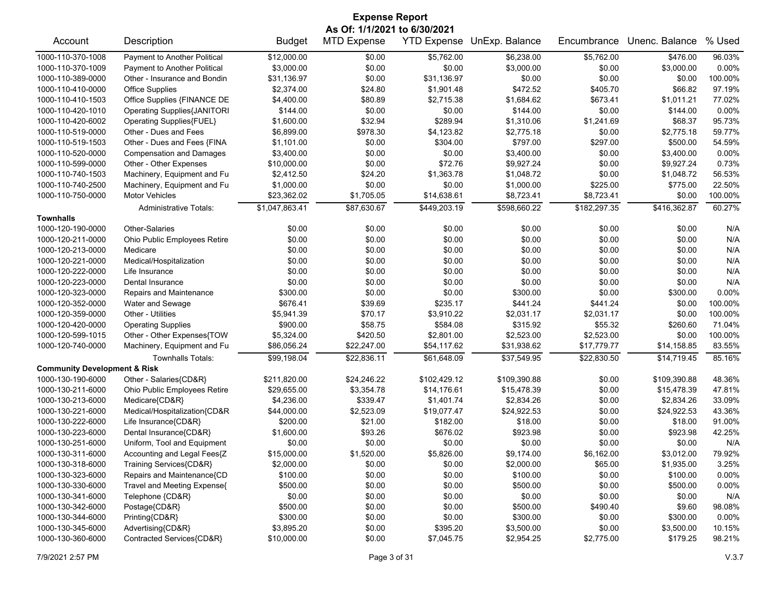| <b>Expense Report</b>                   |                                    |                |                    |              |                            |              |                |         |  |
|-----------------------------------------|------------------------------------|----------------|--------------------|--------------|----------------------------|--------------|----------------|---------|--|
|                                         | As Of: 1/1/2021 to 6/30/2021       |                |                    |              |                            |              |                |         |  |
| Account                                 | Description                        | <b>Budget</b>  | <b>MTD Expense</b> |              | YTD Expense UnExp. Balance | Encumbrance  | Unenc. Balance | % Used  |  |
| 1000-110-370-1008                       | Payment to Another Political       | \$12,000.00    | \$0.00             | \$5,762.00   | \$6,238.00                 | \$5,762.00   | \$476.00       | 96.03%  |  |
| 1000-110-370-1009                       | Payment to Another Political       | \$3,000.00     | \$0.00             | \$0.00       | \$3,000.00                 | \$0.00       | \$3,000.00     | 0.00%   |  |
| 1000-110-389-0000                       | Other - Insurance and Bondin       | \$31,136.97    | \$0.00             | \$31,136.97  | \$0.00                     | \$0.00       | \$0.00         | 100.00% |  |
| 1000-110-410-0000                       | <b>Office Supplies</b>             | \$2,374.00     | \$24.80            | \$1,901.48   | \$472.52                   | \$405.70     | \$66.82        | 97.19%  |  |
| 1000-110-410-1503                       | Office Supplies {FINANCE DE        | \$4,400.00     | \$80.89            | \$2,715.38   | \$1,684.62                 | \$673.41     | \$1,011.21     | 77.02%  |  |
| 1000-110-420-1010                       | <b>Operating Supplies{JANITORI</b> | \$144.00       | \$0.00             | \$0.00       | \$144.00                   | \$0.00       | \$144.00       | 0.00%   |  |
| 1000-110-420-6002                       | Operating Supplies{FUEL}           | \$1,600.00     | \$32.94            | \$289.94     | \$1,310.06                 | \$1,241.69   | \$68.37        | 95.73%  |  |
| 1000-110-519-0000                       | Other - Dues and Fees              | \$6,899.00     | \$978.30           | \$4,123.82   | \$2,775.18                 | \$0.00       | \$2,775.18     | 59.77%  |  |
| 1000-110-519-1503                       | Other - Dues and Fees {FINA        | \$1,101.00     | \$0.00             | \$304.00     | \$797.00                   | \$297.00     | \$500.00       | 54.59%  |  |
| 1000-110-520-0000                       | <b>Compensation and Damages</b>    | \$3,400.00     | \$0.00             | \$0.00       | \$3,400.00                 | \$0.00       | \$3,400.00     | 0.00%   |  |
| 1000-110-599-0000                       | Other - Other Expenses             | \$10,000.00    | \$0.00             | \$72.76      | \$9,927.24                 | \$0.00       | \$9,927.24     | 0.73%   |  |
| 1000-110-740-1503                       | Machinery, Equipment and Fu        | \$2,412.50     | \$24.20            | \$1,363.78   | \$1,048.72                 | \$0.00       | \$1,048.72     | 56.53%  |  |
| 1000-110-740-2500                       | Machinery, Equipment and Fu        | \$1,000.00     | \$0.00             | \$0.00       | \$1,000.00                 | \$225.00     | \$775.00       | 22.50%  |  |
| 1000-110-750-0000                       | <b>Motor Vehicles</b>              | \$23,362.02    | \$1,705.05         | \$14,638.61  | \$8,723.41                 | \$8,723.41   | \$0.00         | 100.00% |  |
|                                         | <b>Administrative Totals:</b>      | \$1,047,863.41 | \$87,630.67        | \$449,203.19 | \$598,660.22               | \$182,297.35 | \$416,362.87   | 60.27%  |  |
| <b>Townhalls</b>                        |                                    |                |                    |              |                            |              |                |         |  |
| 1000-120-190-0000                       | Other-Salaries                     | \$0.00         | \$0.00             | \$0.00       | \$0.00                     | \$0.00       | \$0.00         | N/A     |  |
| 1000-120-211-0000                       | Ohio Public Employees Retire       | \$0.00         | \$0.00             | \$0.00       | \$0.00                     | \$0.00       | \$0.00         | N/A     |  |
| 1000-120-213-0000                       | Medicare                           | \$0.00         | \$0.00             | \$0.00       | \$0.00                     | \$0.00       | \$0.00         | N/A     |  |
| 1000-120-221-0000                       | Medical/Hospitalization            | \$0.00         | \$0.00             | \$0.00       | \$0.00                     | \$0.00       | \$0.00         | N/A     |  |
| 1000-120-222-0000                       | Life Insurance                     | \$0.00         | \$0.00             | \$0.00       | \$0.00                     | \$0.00       | \$0.00         | N/A     |  |
| 1000-120-223-0000                       | Dental Insurance                   | \$0.00         | \$0.00             | \$0.00       | \$0.00                     | \$0.00       | \$0.00         | N/A     |  |
| 1000-120-323-0000                       | Repairs and Maintenance            | \$300.00       | \$0.00             | \$0.00       | \$300.00                   | \$0.00       | \$300.00       | 0.00%   |  |
| 1000-120-352-0000                       | Water and Sewage                   | \$676.41       | \$39.69            | \$235.17     | \$441.24                   | \$441.24     | \$0.00         | 100.00% |  |
| 1000-120-359-0000                       | Other - Utilities                  | \$5,941.39     | \$70.17            | \$3,910.22   | \$2,031.17                 | \$2,031.17   | \$0.00         | 100.00% |  |
| 1000-120-420-0000                       | <b>Operating Supplies</b>          | \$900.00       | \$58.75            | \$584.08     | \$315.92                   | \$55.32      | \$260.60       | 71.04%  |  |
| 1000-120-599-1015                       | Other - Other Expenses{TOW         | \$5,324.00     | \$420.50           | \$2,801.00   | \$2,523.00                 | \$2,523.00   | \$0.00         | 100.00% |  |
| 1000-120-740-0000                       | Machinery, Equipment and Fu        | \$86,056.24    | \$22,247.00        | \$54,117.62  | \$31,938.62                | \$17,779.77  | \$14,158.85    | 83.55%  |  |
|                                         | <b>Townhalls Totals:</b>           | \$99,198.04    | \$22,836.11        | \$61,648.09  | \$37,549.95                | \$22,830.50  | \$14,719.45    | 85.16%  |  |
| <b>Community Development &amp; Risk</b> |                                    |                |                    |              |                            |              |                |         |  |
| 1000-130-190-6000                       | Other - Salaries{CD&R}             | \$211,820.00   | \$24,246.22        | \$102,429.12 | \$109,390.88               | \$0.00       | \$109,390.88   | 48.36%  |  |
| 1000-130-211-6000                       | Ohio Public Employees Retire       | \$29,655.00    | \$3,354.78         | \$14,176.61  | \$15,478.39                | \$0.00       | \$15,478.39    | 47.81%  |  |
| 1000-130-213-6000                       | Medicare{CD&R}                     | \$4,236.00     | \$339.47           | \$1,401.74   | \$2,834.26                 | \$0.00       | \$2,834.26     | 33.09%  |  |
| 1000-130-221-6000                       | Medical/Hospitalization{CD&R       | \$44,000.00    | \$2,523.09         | \$19,077.47  | \$24,922.53                | \$0.00       | \$24,922.53    | 43.36%  |  |
| 1000-130-222-6000                       | Life Insurance{CD&R}               | \$200.00       | \$21.00            | \$182.00     | \$18.00                    | \$0.00       | \$18.00        | 91.00%  |  |
| 1000-130-223-6000                       | Dental Insurance{CD&R}             | \$1,600.00     | \$93.26            | \$676.02     | \$923.98                   | \$0.00       | \$923.98       | 42.25%  |  |
| 1000-130-251-6000                       | Uniform, Tool and Equipment        | \$0.00         | \$0.00             | \$0.00       | \$0.00                     | \$0.00       | \$0.00         | N/A     |  |
| 1000-130-311-6000                       | Accounting and Legal Fees{Z        | \$15,000.00    | \$1,520.00         | \$5,826.00   | \$9,174.00                 | \$6,162.00   | \$3,012.00     | 79.92%  |  |
| 1000-130-318-6000                       | Training Services{CD&R}            | \$2,000.00     | \$0.00             | \$0.00       | \$2,000.00                 | \$65.00      | \$1,935.00     | 3.25%   |  |
| 1000-130-323-6000                       | Repairs and Maintenance{CD         | \$100.00       | \$0.00             | \$0.00       | \$100.00                   | \$0.00       | \$100.00       | 0.00%   |  |
| 1000-130-330-6000                       | Travel and Meeting Expense{        | \$500.00       | \$0.00             | \$0.00       | \$500.00                   | \$0.00       | \$500.00       | 0.00%   |  |
| 1000-130-341-6000                       | Telephone {CD&R}                   | \$0.00         | \$0.00             | \$0.00       | \$0.00                     | \$0.00       | \$0.00         | N/A     |  |
| 1000-130-342-6000                       | Postage{CD&R}                      | \$500.00       | \$0.00             | \$0.00       | \$500.00                   | \$490.40     | \$9.60         | 98.08%  |  |
| 1000-130-344-6000                       | Printing{CD&R}                     | \$300.00       | \$0.00             | \$0.00       | \$300.00                   | \$0.00       | \$300.00       | 0.00%   |  |
| 1000-130-345-6000                       | Advertising{CD&R}                  | \$3,895.20     | \$0.00             | \$395.20     | \$3,500.00                 | \$0.00       | \$3,500.00     | 10.15%  |  |
| 1000-130-360-6000                       | Contracted Services{CD&R}          | \$10,000.00    | \$0.00             | \$7,045.75   | \$2,954.25                 | \$2,775.00   | \$179.25       | 98.21%  |  |
|                                         |                                    |                |                    |              |                            |              |                |         |  |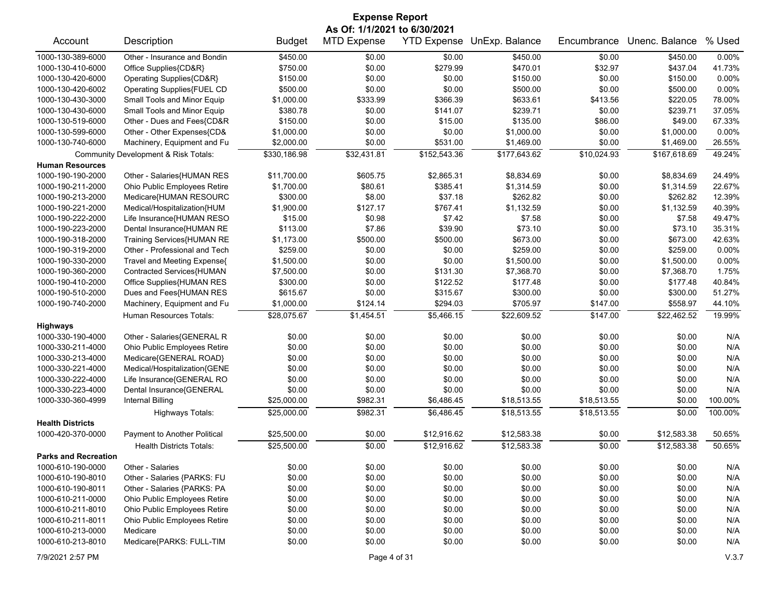| <b>Expense Report</b>        |                                      |               |                    |              |                            |             |                |         |  |
|------------------------------|--------------------------------------|---------------|--------------------|--------------|----------------------------|-------------|----------------|---------|--|
| As Of: 1/1/2021 to 6/30/2021 |                                      |               |                    |              |                            |             |                |         |  |
| Account                      | Description                          | <b>Budget</b> | <b>MTD Expense</b> |              | YTD Expense UnExp. Balance | Encumbrance | Unenc. Balance | % Used  |  |
| 1000-130-389-6000            | Other - Insurance and Bondin         | \$450.00      | \$0.00             | \$0.00       | \$450.00                   | \$0.00      | \$450.00       | 0.00%   |  |
| 1000-130-410-6000            | Office Supplies{CD&R}                | \$750.00      | \$0.00             | \$279.99     | \$470.01                   | \$32.97     | \$437.04       | 41.73%  |  |
| 1000-130-420-6000            | Operating Supplies{CD&R}             | \$150.00      | \$0.00             | \$0.00       | \$150.00                   | \$0.00      | \$150.00       | 0.00%   |  |
| 1000-130-420-6002            | Operating Supplies{FUEL CD           | \$500.00      | \$0.00             | \$0.00       | \$500.00                   | \$0.00      | \$500.00       | 0.00%   |  |
| 1000-130-430-3000            | Small Tools and Minor Equip          | \$1,000.00    | \$333.99           | \$366.39     | \$633.61                   | \$413.56    | \$220.05       | 78.00%  |  |
| 1000-130-430-6000            | Small Tools and Minor Equip          | \$380.78      | \$0.00             | \$141.07     | \$239.71                   | \$0.00      | \$239.71       | 37.05%  |  |
| 1000-130-519-6000            | Other - Dues and Fees{CD&R           | \$150.00      | \$0.00             | \$15.00      | \$135.00                   | \$86.00     | \$49.00        | 67.33%  |  |
| 1000-130-599-6000            | Other - Other Expenses{CD&           | \$1,000.00    | \$0.00             | \$0.00       | \$1,000.00                 | \$0.00      | \$1,000.00     | 0.00%   |  |
| 1000-130-740-6000            | Machinery, Equipment and Fu          | \$2,000.00    | \$0.00             | \$531.00     | \$1,469.00                 | \$0.00      | \$1,469.00     | 26.55%  |  |
|                              | Community Development & Risk Totals: | \$330,186.98  | \$32,431.81        | \$152,543.36 | \$177,643.62               | \$10,024.93 | \$167,618.69   | 49.24%  |  |
| <b>Human Resources</b>       |                                      |               |                    |              |                            |             |                |         |  |
| 1000-190-190-2000            | Other - Salaries{HUMAN RES           | \$11,700.00   | \$605.75           | \$2,865.31   | \$8,834.69                 | \$0.00      | \$8,834.69     | 24.49%  |  |
| 1000-190-211-2000            | Ohio Public Employees Retire         | \$1,700.00    | \$80.61            | \$385.41     | \$1,314.59                 | \$0.00      | \$1,314.59     | 22.67%  |  |
| 1000-190-213-2000            | Medicare{HUMAN RESOURC               | \$300.00      | \$8.00             | \$37.18      | \$262.82                   | \$0.00      | \$262.82       | 12.39%  |  |
| 1000-190-221-2000            | Medical/Hospitalization{HUM          | \$1,900.00    | \$127.17           | \$767.41     | \$1,132.59                 | \$0.00      | \$1,132.59     | 40.39%  |  |
| 1000-190-222-2000            | Life Insurance{HUMAN RESO            | \$15.00       | \$0.98             | \$7.42       | \$7.58                     | \$0.00      | \$7.58         | 49.47%  |  |
| 1000-190-223-2000            | Dental Insurance{HUMAN RE            | \$113.00      | \$7.86             | \$39.90      | \$73.10                    | \$0.00      | \$73.10        | 35.31%  |  |
| 1000-190-318-2000            | Training Services{HUMAN RE           | \$1,173.00    | \$500.00           | \$500.00     | \$673.00                   | \$0.00      | \$673.00       | 42.63%  |  |
| 1000-190-319-2000            | Other - Professional and Tech        | \$259.00      | \$0.00             | \$0.00       | \$259.00                   | \$0.00      | \$259.00       | 0.00%   |  |
| 1000-190-330-2000            | Travel and Meeting Expense{          | \$1,500.00    | \$0.00             | \$0.00       | \$1,500.00                 | \$0.00      | \$1,500.00     | 0.00%   |  |
| 1000-190-360-2000            | Contracted Services{HUMAN            | \$7,500.00    | \$0.00             | \$131.30     | \$7,368.70                 | \$0.00      | \$7,368.70     | 1.75%   |  |
| 1000-190-410-2000            | Office Supplies{HUMAN RES            | \$300.00      | \$0.00             | \$122.52     | \$177.48                   | \$0.00      | \$177.48       | 40.84%  |  |
| 1000-190-510-2000            | Dues and Fees{HUMAN RES              | \$615.67      | \$0.00             | \$315.67     | \$300.00                   | \$0.00      | \$300.00       | 51.27%  |  |
| 1000-190-740-2000            | Machinery, Equipment and Fu          | \$1,000.00    | \$124.14           | \$294.03     | \$705.97                   | \$147.00    | \$558.97       | 44.10%  |  |
|                              | <b>Human Resources Totals:</b>       | \$28,075.67   | \$1,454.51         | \$5,466.15   | \$22,609.52                | \$147.00    | \$22,462.52    | 19.99%  |  |
| <b>Highways</b>              |                                      |               |                    |              |                            |             |                |         |  |
| 1000-330-190-4000            | Other - Salaries{GENERAL R           | \$0.00        | \$0.00             | \$0.00       | \$0.00                     | \$0.00      | \$0.00         | N/A     |  |
| 1000-330-211-4000            | Ohio Public Employees Retire         | \$0.00        | \$0.00             | \$0.00       | \$0.00                     | \$0.00      | \$0.00         | N/A     |  |
| 1000-330-213-4000            | Medicare{GENERAL ROAD}               | \$0.00        | \$0.00             | \$0.00       | \$0.00                     | \$0.00      | \$0.00         | N/A     |  |
| 1000-330-221-4000            | Medical/Hospitalization{GENE         | \$0.00        | \$0.00             | \$0.00       | \$0.00                     | \$0.00      | \$0.00         | N/A     |  |
| 1000-330-222-4000            | Life Insurance{GENERAL RO            | \$0.00        | \$0.00             | \$0.00       | \$0.00                     | \$0.00      | \$0.00         | N/A     |  |
| 1000-330-223-4000            | Dental Insurance{GENERAL             | \$0.00        | \$0.00             | \$0.00       | \$0.00                     | \$0.00      | \$0.00         | N/A     |  |
| 1000-330-360-4999            | Internal Billing                     | \$25,000.00   | \$982.31           | \$6,486.45   | \$18,513.55                | \$18,513.55 | \$0.00         | 100.00% |  |
|                              | <b>Highways Totals:</b>              | \$25,000.00   | \$982.31           | \$6,486.45   | \$18,513.55                | \$18,513.55 | \$0.00         | 100.00% |  |
| <b>Health Districts</b>      |                                      |               |                    |              |                            |             |                |         |  |
| 1000-420-370-0000            | Payment to Another Political         | \$25,500.00   | \$0.00             | \$12,916.62  | \$12,583.38                | \$0.00      | \$12,583.38    | 50.65%  |  |
|                              | <b>Health Districts Totals:</b>      | \$25,500.00   | \$0.00             | \$12,916.62  | \$12,583.38                | \$0.00      | \$12,583.38    | 50.65%  |  |
| <b>Parks and Recreation</b>  |                                      |               |                    |              |                            |             |                |         |  |
| 1000-610-190-0000            | Other - Salaries                     | \$0.00        | \$0.00             | \$0.00       | \$0.00                     | \$0.00      | \$0.00         | N/A     |  |
| 1000-610-190-8010            | Other - Salaries {PARKS: FU          | \$0.00        | \$0.00             | \$0.00       | \$0.00                     | \$0.00      | \$0.00         | N/A     |  |
| 1000-610-190-8011            | Other - Salaries {PARKS: PA          | \$0.00        | \$0.00             | \$0.00       | \$0.00                     | \$0.00      | \$0.00         | N/A     |  |
| 1000-610-211-0000            | Ohio Public Employees Retire         | \$0.00        | \$0.00             | \$0.00       | \$0.00                     | \$0.00      | \$0.00         | N/A     |  |
| 1000-610-211-8010            | Ohio Public Employees Retire         | \$0.00        | \$0.00             | \$0.00       | \$0.00                     | \$0.00      | \$0.00         | N/A     |  |
| 1000-610-211-8011            | Ohio Public Employees Retire         | \$0.00        | \$0.00             | \$0.00       | \$0.00                     | \$0.00      | \$0.00         | N/A     |  |
| 1000-610-213-0000            | Medicare                             | \$0.00        | \$0.00             | \$0.00       | \$0.00                     | \$0.00      | \$0.00         | N/A     |  |
| 1000-610-213-8010            | Medicare{PARKS: FULL-TIM             | \$0.00        | \$0.00             | \$0.00       | \$0.00                     | \$0.00      | \$0.00         | N/A     |  |
|                              |                                      |               |                    |              |                            |             |                |         |  |

7/9/2021 2:57 PM Page 4 of 31 V.3.7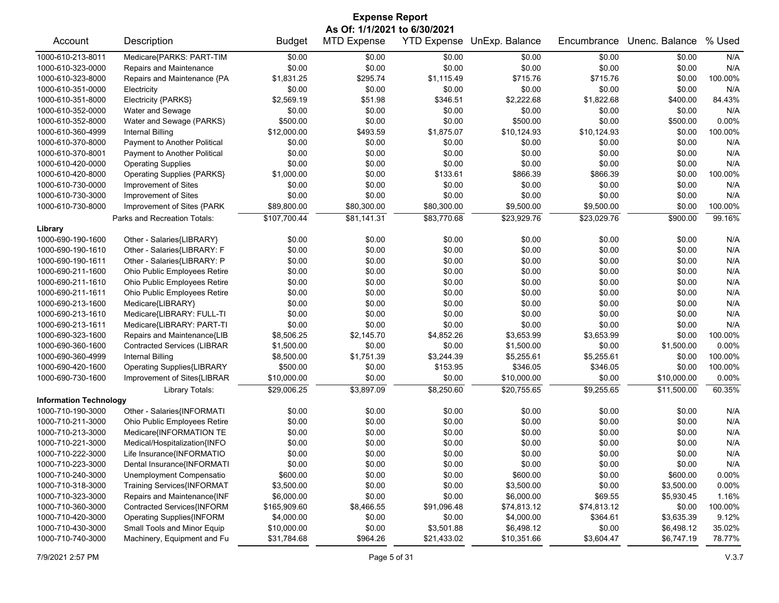| <b>Expense Report</b>         |                                    |               |                    |                    |                |             |                |         |
|-------------------------------|------------------------------------|---------------|--------------------|--------------------|----------------|-------------|----------------|---------|
| As Of: 1/1/2021 to 6/30/2021  |                                    |               |                    |                    |                |             |                |         |
| Account                       | Description                        | <b>Budget</b> | <b>MTD Expense</b> | <b>YTD Expense</b> | UnExp. Balance | Encumbrance | Unenc. Balance | % Used  |
| 1000-610-213-8011             | Medicare{PARKS: PART-TIM           | \$0.00        | \$0.00             | \$0.00             | \$0.00         | \$0.00      | \$0.00         | N/A     |
| 1000-610-323-0000             | Repairs and Maintenance            | \$0.00        | \$0.00             | \$0.00             | \$0.00         | \$0.00      | \$0.00         | N/A     |
| 1000-610-323-8000             | Repairs and Maintenance {PA        | \$1,831.25    | \$295.74           | \$1,115.49         | \$715.76       | \$715.76    | \$0.00         | 100.00% |
| 1000-610-351-0000             | Electricity                        | \$0.00        | \$0.00             | \$0.00             | \$0.00         | \$0.00      | \$0.00         | N/A     |
| 1000-610-351-8000             | Electricity {PARKS}                | \$2,569.19    | \$51.98            | \$346.51           | \$2,222.68     | \$1,822.68  | \$400.00       | 84.43%  |
| 1000-610-352-0000             | Water and Sewage                   | \$0.00        | \$0.00             | \$0.00             | \$0.00         | \$0.00      | \$0.00         | N/A     |
| 1000-610-352-8000             | Water and Sewage (PARKS)           | \$500.00      | \$0.00             | \$0.00             | \$500.00       | \$0.00      | \$500.00       | 0.00%   |
| 1000-610-360-4999             | <b>Internal Billing</b>            | \$12,000.00   | \$493.59           | \$1,875.07         | \$10,124.93    | \$10,124.93 | \$0.00         | 100.00% |
| 1000-610-370-8000             | Payment to Another Political       | \$0.00        | \$0.00             | \$0.00             | \$0.00         | \$0.00      | \$0.00         | N/A     |
| 1000-610-370-8001             | Payment to Another Political       | \$0.00        | \$0.00             | \$0.00             | \$0.00         | \$0.00      | \$0.00         | N/A     |
| 1000-610-420-0000             | <b>Operating Supplies</b>          | \$0.00        | \$0.00             | \$0.00             | \$0.00         | \$0.00      | \$0.00         | N/A     |
| 1000-610-420-8000             | <b>Operating Supplies {PARKS}</b>  | \$1,000.00    | \$0.00             | \$133.61           | \$866.39       | \$866.39    | \$0.00         | 100.00% |
| 1000-610-730-0000             | Improvement of Sites               | \$0.00        | \$0.00             | \$0.00             | \$0.00         | \$0.00      | \$0.00         | N/A     |
| 1000-610-730-3000             | Improvement of Sites               | \$0.00        | \$0.00             | \$0.00             | \$0.00         | \$0.00      | \$0.00         | N/A     |
| 1000-610-730-8000             | Improvement of Sites {PARK         | \$89,800.00   | \$80,300.00        | \$80,300.00        | \$9,500.00     | \$9,500.00  | \$0.00         | 100.00% |
|                               | Parks and Recreation Totals:       | \$107,700.44  | \$81,141.31        | \$83,770.68        | \$23,929.76    | \$23,029.76 | \$900.00       | 99.16%  |
| Library                       |                                    |               |                    |                    |                |             |                |         |
| 1000-690-190-1600             | Other - Salaries{LIBRARY}          | \$0.00        | \$0.00             | \$0.00             | \$0.00         | \$0.00      | \$0.00         | N/A     |
| 1000-690-190-1610             | Other - Salaries{LIBRARY: F        | \$0.00        | \$0.00             | \$0.00             | \$0.00         | \$0.00      | \$0.00         | N/A     |
| 1000-690-190-1611             | Other - Salaries{LIBRARY: P        | \$0.00        | \$0.00             | \$0.00             | \$0.00         | \$0.00      | \$0.00         | N/A     |
| 1000-690-211-1600             | Ohio Public Employees Retire       | \$0.00        | \$0.00             | \$0.00             | \$0.00         | \$0.00      | \$0.00         | N/A     |
| 1000-690-211-1610             | Ohio Public Employees Retire       | \$0.00        | \$0.00             | \$0.00             | \$0.00         | \$0.00      | \$0.00         | N/A     |
| 1000-690-211-1611             | Ohio Public Employees Retire       | \$0.00        | \$0.00             | \$0.00             | \$0.00         | \$0.00      | \$0.00         | N/A     |
| 1000-690-213-1600             | Medicare{LIBRARY}                  | \$0.00        | \$0.00             | \$0.00             | \$0.00         | \$0.00      | \$0.00         | N/A     |
| 1000-690-213-1610             | Medicare{LIBRARY: FULL-TI          | \$0.00        | \$0.00             | \$0.00             | \$0.00         | \$0.00      | \$0.00         | N/A     |
| 1000-690-213-1611             | Medicare{LIBRARY: PART-TI          | \$0.00        | \$0.00             | \$0.00             | \$0.00         | \$0.00      | \$0.00         | N/A     |
| 1000-690-323-1600             | Repairs and Maintenance{LIB        | \$8,506.25    | \$2,145.70         | \$4,852.26         | \$3,653.99     | \$3,653.99  | \$0.00         | 100.00% |
| 1000-690-360-1600             | <b>Contracted Services (LIBRAR</b> | \$1,500.00    | \$0.00             | \$0.00             | \$1,500.00     | \$0.00      | \$1,500.00     | 0.00%   |
| 1000-690-360-4999             | <b>Internal Billing</b>            | \$8,500.00    | \$1,751.39         | \$3,244.39         | \$5,255.61     | \$5,255.61  | \$0.00         | 100.00% |
| 1000-690-420-1600             | <b>Operating Supplies{LIBRARY</b>  | \$500.00      | \$0.00             | \$153.95           | \$346.05       | \$346.05    | \$0.00         | 100.00% |
| 1000-690-730-1600             | Improvement of Sites{LIBRAR        | \$10,000.00   | \$0.00             | \$0.00             | \$10,000.00    | \$0.00      | \$10,000.00    | 0.00%   |
|                               | Library Totals:                    | \$29,006.25   | \$3,897.09         | \$8,250.60         | \$20,755.65    | \$9,255.65  | \$11,500.00    | 60.35%  |
| <b>Information Technology</b> |                                    |               |                    |                    |                |             |                |         |
| 1000-710-190-3000             | Other - Salaries{INFORMATI         | \$0.00        | \$0.00             | \$0.00             | \$0.00         | \$0.00      | \$0.00         | N/A     |
| 1000-710-211-3000             | Ohio Public Employees Retire       | \$0.00        | \$0.00             | \$0.00             | \$0.00         | \$0.00      | \$0.00         | N/A     |
| 1000-710-213-3000             | Medicare{INFORMATION TE            | \$0.00        | \$0.00             | \$0.00             | \$0.00         | \$0.00      | \$0.00         | N/A     |
| 1000-710-221-3000             | Medical/Hospitalization{INFO       | \$0.00        | \$0.00             | \$0.00             | \$0.00         | \$0.00      | \$0.00         | N/A     |
| 1000-710-222-3000             | Life Insurance{INFORMATIO          | \$0.00        | \$0.00             | \$0.00             | \$0.00         | \$0.00      | \$0.00         | N/A     |
| 1000-710-223-3000             | Dental Insurance{INFORMATI         | \$0.00        | \$0.00             | \$0.00             | \$0.00         | \$0.00      | \$0.00         | N/A     |
| 1000-710-240-3000             | Unemployment Compensatio           | \$600.00      | \$0.00             | \$0.00             | \$600.00       | \$0.00      | \$600.00       | 0.00%   |
| 1000-710-318-3000             | Training Services{INFORMAT         | \$3,500.00    | \$0.00             | \$0.00             | \$3,500.00     | \$0.00      | \$3,500.00     | 0.00%   |
| 1000-710-323-3000             | Repairs and Maintenance{INF        | \$6,000.00    | \$0.00             | \$0.00             | \$6,000.00     | \$69.55     | \$5,930.45     | 1.16%   |
| 1000-710-360-3000             | Contracted Services{INFORM         | \$165,909.60  | \$8,466.55         | \$91,096.48        | \$74,813.12    | \$74,813.12 | \$0.00         | 100.00% |
| 1000-710-420-3000             | <b>Operating Supplies{INFORM</b>   | \$4,000.00    | \$0.00             | \$0.00             | \$4,000.00     | \$364.61    | \$3,635.39     | 9.12%   |
| 1000-710-430-3000             | Small Tools and Minor Equip        | \$10,000.00   | \$0.00             | \$3,501.88         | \$6,498.12     | \$0.00      | \$6,498.12     | 35.02%  |
| 1000-710-740-3000             | Machinery, Equipment and Fu        | \$31,784.68   | \$964.26           | \$21,433.02        | \$10,351.66    | \$3,604.47  | \$6,747.19     | 78.77%  |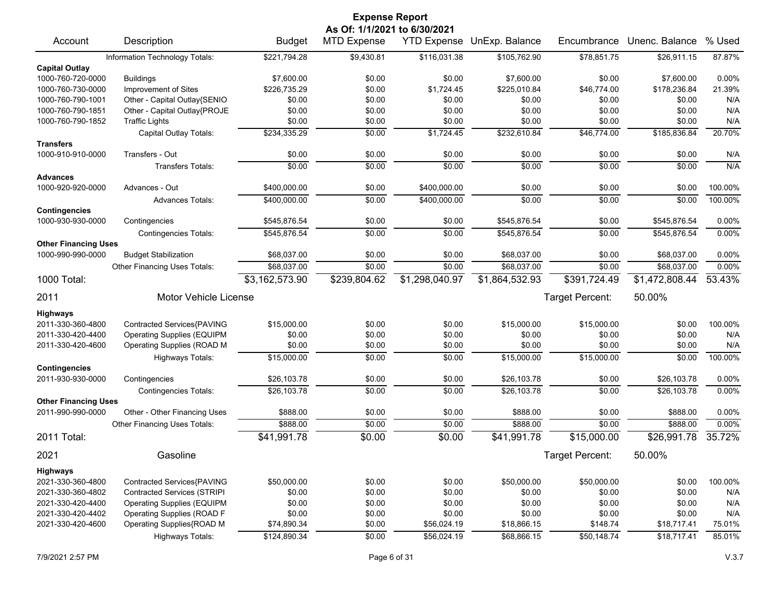|                                           |                                    |                | <b>Expense Report</b> |                |                            |                 |                |         |  |
|-------------------------------------------|------------------------------------|----------------|-----------------------|----------------|----------------------------|-----------------|----------------|---------|--|
| As Of: 1/1/2021 to 6/30/2021              |                                    |                |                       |                |                            |                 |                |         |  |
| Account                                   | Description                        | <b>Budget</b>  | <b>MTD Expense</b>    |                | YTD Expense UnExp. Balance | Encumbrance     | Unenc. Balance | % Used  |  |
|                                           | Information Technology Totals:     | \$221,794.28   | \$9,430.81            | \$116,031.38   | \$105,762.90               | \$78,851.75     | \$26,911.15    | 87.87%  |  |
| <b>Capital Outlay</b>                     |                                    |                |                       |                |                            |                 |                |         |  |
| 1000-760-720-0000                         | <b>Buildings</b>                   | \$7,600.00     | \$0.00                | \$0.00         | \$7,600.00                 | \$0.00          | \$7,600.00     | 0.00%   |  |
| 1000-760-730-0000                         | Improvement of Sites               | \$226,735.29   | \$0.00                | \$1,724.45     | \$225,010.84               | \$46,774.00     | \$178,236.84   | 21.39%  |  |
| 1000-760-790-1001                         | Other - Capital Outlay{SENIO       | \$0.00         | \$0.00                | \$0.00         | \$0.00                     | \$0.00          | \$0.00         | N/A     |  |
| 1000-760-790-1851                         | Other - Capital Outlay{PROJE       | \$0.00         | \$0.00                | \$0.00         | \$0.00                     | \$0.00          | \$0.00         | N/A     |  |
| 1000-760-790-1852                         | <b>Traffic Lights</b>              | \$0.00         | \$0.00                | \$0.00         | \$0.00                     | \$0.00          | \$0.00         | N/A     |  |
|                                           | Capital Outlay Totals:             | \$234,335.29   | \$0.00                | \$1,724.45     | \$232,610.84               | \$46,774.00     | \$185,836.84   | 20.70%  |  |
| <b>Transfers</b>                          |                                    |                |                       |                |                            |                 |                |         |  |
| 1000-910-910-0000                         | Transfers - Out                    | \$0.00         | \$0.00                | \$0.00         | \$0.00                     | \$0.00          | \$0.00         | N/A     |  |
|                                           | <b>Transfers Totals:</b>           | \$0.00         | \$0.00                | \$0.00         | \$0.00                     | \$0.00          | \$0.00         | N/A     |  |
| <b>Advances</b>                           |                                    |                |                       |                |                            |                 |                |         |  |
| 1000-920-920-0000                         | Advances - Out                     | \$400,000.00   | \$0.00                | \$400,000.00   | \$0.00                     | \$0.00          | \$0.00         | 100.00% |  |
|                                           | <b>Advances Totals:</b>            | \$400,000.00   | \$0.00                | \$400,000.00   | \$0.00                     | \$0.00          | \$0.00         | 100.00% |  |
| <b>Contingencies</b><br>1000-930-930-0000 | Contingencies                      | \$545,876.54   | \$0.00                | \$0.00         | \$545,876.54               | \$0.00          | \$545,876.54   | 0.00%   |  |
|                                           | <b>Contingencies Totals:</b>       | \$545,876.54   | \$0.00                | \$0.00         | \$545,876.54               | \$0.00          | \$545,876.54   | 0.00%   |  |
| <b>Other Financing Uses</b>               |                                    |                |                       |                |                            |                 |                |         |  |
| 1000-990-990-0000                         | <b>Budget Stabilization</b>        | \$68,037.00    | \$0.00                | \$0.00         | \$68,037.00                | \$0.00          | \$68,037.00    | 0.00%   |  |
|                                           | Other Financing Uses Totals:       | \$68,037.00    | \$0.00                | \$0.00         | \$68,037.00                | \$0.00          | \$68,037.00    | 0.00%   |  |
| 1000 Total:                               |                                    | \$3,162,573.90 | \$239,804.62          | \$1,298,040.97 | \$1,864,532.93             | \$391,724.49    | \$1,472,808.44 | 53.43%  |  |
|                                           |                                    |                |                       |                |                            |                 |                |         |  |
| 2011                                      | <b>Motor Vehicle License</b>       |                |                       |                |                            | Target Percent: | 50.00%         |         |  |
| <b>Highways</b>                           |                                    |                |                       |                |                            |                 |                |         |  |
| 2011-330-360-4800                         | Contracted Services{PAVING         | \$15,000.00    | \$0.00                | \$0.00         | \$15,000.00                | \$15,000.00     | \$0.00         | 100.00% |  |
| 2011-330-420-4400                         | <b>Operating Supplies (EQUIPM</b>  | \$0.00         | \$0.00                | \$0.00         | \$0.00                     | \$0.00          | \$0.00         | N/A     |  |
| 2011-330-420-4600                         | Operating Supplies (ROAD M         | \$0.00         | \$0.00                | \$0.00         | \$0.00                     | \$0.00          | \$0.00         | N/A     |  |
|                                           | <b>Highways Totals:</b>            | \$15,000.00    | \$0.00                | \$0.00         | \$15,000.00                | \$15,000.00     | \$0.00         | 100.00% |  |
| <b>Contingencies</b>                      |                                    |                |                       |                |                            |                 |                |         |  |
| 2011-930-930-0000                         | Contingencies                      | \$26,103.78    | \$0.00                | \$0.00         | \$26,103.78                | \$0.00          | \$26,103.78    | 0.00%   |  |
|                                           | <b>Contingencies Totals:</b>       | \$26,103.78    | \$0.00                | \$0.00         | \$26,103.78                | \$0.00          | \$26,103.78    | 0.00%   |  |
| <b>Other Financing Uses</b>               |                                    |                |                       |                |                            |                 |                |         |  |
| 2011-990-990-0000                         | Other - Other Financing Uses       | \$888.00       | \$0.00                | \$0.00         | \$888.00                   | \$0.00          | \$888.00       | 0.00%   |  |
|                                           | Other Financing Uses Totals:       | \$888.00       | \$0.00                | \$0.00         | \$888.00                   | \$0.00          | \$888.00       | 0.00%   |  |
| 2011 Total:                               |                                    | \$41,991.78    | \$0.00                | \$0.00         | \$41,991.78                | \$15,000.00     | \$26,991.78    | 35.72%  |  |
| 2021                                      | Gasoline                           |                |                       |                |                            | Target Percent: | 50.00%         |         |  |
| <b>Highways</b>                           |                                    |                |                       |                |                            |                 |                |         |  |
| 2021-330-360-4800                         | Contracted Services{PAVING         | \$50,000.00    | \$0.00                | \$0.00         | \$50,000.00                | \$50,000.00     | \$0.00         | 100.00% |  |
| 2021-330-360-4802                         | <b>Contracted Services (STRIPI</b> | \$0.00         | \$0.00                | \$0.00         | \$0.00                     | \$0.00          | \$0.00         | N/A     |  |
| 2021-330-420-4400                         | <b>Operating Supplies (EQUIPM</b>  | \$0.00         | \$0.00                | \$0.00         | \$0.00                     | \$0.00          | \$0.00         | N/A     |  |
| 2021-330-420-4402                         | Operating Supplies (ROAD F         | \$0.00         | \$0.00                | \$0.00         | \$0.00                     | \$0.00          | \$0.00         | N/A     |  |
| 2021-330-420-4600                         | Operating Supplies{ROAD M          | \$74,890.34    | \$0.00                | \$56,024.19    | \$18,866.15                | \$148.74        | \$18,717.41    | 75.01%  |  |
|                                           | <b>Highways Totals:</b>            | \$124,890.34   | \$0.00                | \$56,024.19    | \$68,866.15                | \$50,148.74     | \$18,717.41    | 85.01%  |  |
|                                           |                                    |                |                       |                |                            |                 |                |         |  |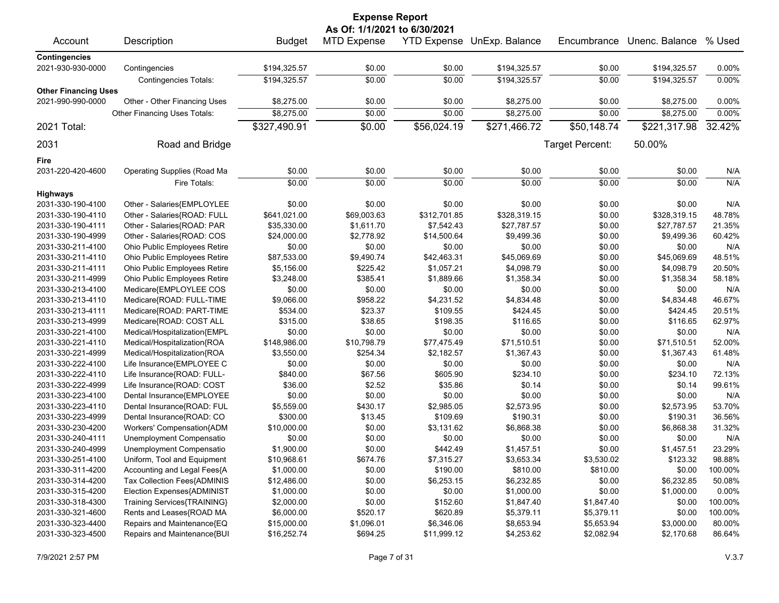| <b>Expense Report</b>        |                              |               |                    |              |                            |                 |                |         |  |
|------------------------------|------------------------------|---------------|--------------------|--------------|----------------------------|-----------------|----------------|---------|--|
| As Of: 1/1/2021 to 6/30/2021 |                              |               |                    |              |                            |                 |                |         |  |
| Account                      | Description                  | <b>Budget</b> | <b>MTD Expense</b> |              | YTD Expense UnExp. Balance | Encumbrance     | Unenc. Balance | % Used  |  |
| <b>Contingencies</b>         |                              |               |                    |              |                            |                 |                |         |  |
| 2021-930-930-0000            | Contingencies                | \$194,325.57  | \$0.00             | \$0.00       | \$194,325.57               | \$0.00          | \$194,325.57   | 0.00%   |  |
|                              | <b>Contingencies Totals:</b> | \$194,325.57  | \$0.00             | \$0.00       | \$194,325.57               | \$0.00          | \$194,325.57   | 0.00%   |  |
| <b>Other Financing Uses</b>  |                              |               |                    |              |                            |                 |                |         |  |
| 2021-990-990-0000            | Other - Other Financing Uses | \$8,275.00    | \$0.00             | \$0.00       | \$8,275.00                 | \$0.00          | \$8,275.00     | 0.00%   |  |
|                              | Other Financing Uses Totals: | \$8,275.00    | \$0.00             | \$0.00       | \$8,275.00                 | \$0.00          | \$8,275.00     | 0.00%   |  |
| 2021 Total:                  |                              | \$327,490.91  | \$0.00             | \$56,024.19  | \$271,466.72               | \$50,148.74     | \$221,317.98   | 32.42%  |  |
| 2031                         | Road and Bridge              |               |                    |              |                            | Target Percent: | 50.00%         |         |  |
| Fire                         |                              |               |                    |              |                            |                 |                |         |  |
| 2031-220-420-4600            | Operating Supplies (Road Ma  | \$0.00        | \$0.00             | \$0.00       | \$0.00                     | \$0.00          | \$0.00         | N/A     |  |
|                              | Fire Totals:                 | \$0.00        | \$0.00             | \$0.00       | \$0.00                     | \$0.00          | \$0.00         | N/A     |  |
| <b>Highways</b>              |                              |               |                    |              |                            |                 |                |         |  |
| 2031-330-190-4100            | Other - Salaries{EMPLOYLEE   | \$0.00        | \$0.00             | \$0.00       | \$0.00                     | \$0.00          | \$0.00         | N/A     |  |
| 2031-330-190-4110            | Other - Salaries{ROAD: FULL  | \$641,021.00  | \$69,003.63        | \$312,701.85 | \$328,319.15               | \$0.00          | \$328,319.15   | 48.78%  |  |
| 2031-330-190-4111            | Other - Salaries{ROAD: PAR   | \$35,330.00   | \$1,611.70         | \$7,542.43   | \$27,787.57                | \$0.00          | \$27,787.57    | 21.35%  |  |
| 2031-330-190-4999            | Other - Salaries{ROAD: COS   | \$24,000.00   | \$2,778.92         | \$14,500.64  | \$9,499.36                 | \$0.00          | \$9,499.36     | 60.42%  |  |
|                              |                              | \$0.00        | \$0.00             | \$0.00       | \$0.00                     | \$0.00          | \$0.00         | N/A     |  |
| 2031-330-211-4100            | Ohio Public Employees Retire |               |                    |              | \$45,069.69                |                 |                | 48.51%  |  |
| 2031-330-211-4110            | Ohio Public Employees Retire | \$87,533.00   | \$9,490.74         | \$42,463.31  |                            | \$0.00          | \$45,069.69    |         |  |
| 2031-330-211-4111            | Ohio Public Employees Retire | \$5,156.00    | \$225.42           | \$1,057.21   | \$4,098.79                 | \$0.00          | \$4,098.79     | 20.50%  |  |
| 2031-330-211-4999            | Ohio Public Employees Retire | \$3,248.00    | \$385.41           | \$1,889.66   | \$1,358.34                 | \$0.00          | \$1,358.34     | 58.18%  |  |
| 2031-330-213-4100            | Medicare{EMPLOYLEE COS       | \$0.00        | \$0.00             | \$0.00       | \$0.00                     | \$0.00          | \$0.00         | N/A     |  |
| 2031-330-213-4110            | Medicare{ROAD: FULL-TIME     | \$9,066.00    | \$958.22           | \$4,231.52   | \$4,834.48                 | \$0.00          | \$4,834.48     | 46.67%  |  |
| 2031-330-213-4111            | Medicare{ROAD: PART-TIME     | \$534.00      | \$23.37            | \$109.55     | \$424.45                   | \$0.00          | \$424.45       | 20.51%  |  |
| 2031-330-213-4999            | Medicare{ROAD: COST ALL      | \$315.00      | \$38.65            | \$198.35     | \$116.65                   | \$0.00          | \$116.65       | 62.97%  |  |
| 2031-330-221-4100            | Medical/Hospitalization{EMPL | \$0.00        | \$0.00             | \$0.00       | \$0.00                     | \$0.00          | \$0.00         | N/A     |  |
| 2031-330-221-4110            | Medical/Hospitalization{ROA  | \$148,986.00  | \$10,798.79        | \$77,475.49  | \$71,510.51                | \$0.00          | \$71,510.51    | 52.00%  |  |
| 2031-330-221-4999            | Medical/Hospitalization{ROA  | \$3,550.00    | \$254.34           | \$2,182.57   | \$1,367.43                 | \$0.00          | \$1,367.43     | 61.48%  |  |
| 2031-330-222-4100            | Life Insurance{EMPLOYEE C    | \$0.00        | \$0.00             | \$0.00       | \$0.00                     | \$0.00          | \$0.00         | N/A     |  |
| 2031-330-222-4110            | Life Insurance{ROAD: FULL-   | \$840.00      | \$67.56            | \$605.90     | \$234.10                   | \$0.00          | \$234.10       | 72.13%  |  |
| 2031-330-222-4999            | Life Insurance{ROAD: COST    | \$36.00       | \$2.52             | \$35.86      | \$0.14                     | \$0.00          | \$0.14         | 99.61%  |  |
| 2031-330-223-4100            | Dental Insurance{EMPLOYEE    | \$0.00        | \$0.00             | \$0.00       | \$0.00                     | \$0.00          | \$0.00         | N/A     |  |
| 2031-330-223-4110            | Dental Insurance{ROAD: FUL   | \$5,559.00    | \$430.17           | \$2,985.05   | \$2,573.95                 | \$0.00          | \$2,573.95     | 53.70%  |  |
| 2031-330-223-4999            | Dental Insurance{ROAD: CO    | \$300.00      | \$13.45            | \$109.69     | \$190.31                   | \$0.00          | \$190.31       | 36.56%  |  |
| 2031-330-230-4200            | Workers' Compensation{ADM    | \$10,000.00   | \$0.00             | \$3,131.62   | \$6,868.38                 | \$0.00          | \$6,868.38     | 31.32%  |  |
| 2031-330-240-4111            | Unemployment Compensatio     | \$0.00        | \$0.00             | \$0.00       | \$0.00                     | \$0.00          | \$0.00         | N/A     |  |
| 2031-330-240-4999            | Unemployment Compensatio     | \$1,900.00    | \$0.00             | \$442.49     | \$1,457.51                 | \$0.00          | \$1,457.51     | 23.29%  |  |
| 2031-330-251-4100            | Uniform, Tool and Equipment  | \$10,968.61   | \$674.76           | \$7,315.27   | \$3,653.34                 | \$3,530.02      | \$123.32       | 98.88%  |  |
| 2031-330-311-4200            | Accounting and Legal Fees{A  | \$1,000.00    | \$0.00             | \$190.00     | \$810.00                   | \$810.00        | \$0.00         | 100.00% |  |
| 2031-330-314-4200            | Tax Collection Fees{ADMINIS  | \$12,486.00   | \$0.00             | \$6,253.15   | \$6,232.85                 | \$0.00          | \$6,232.85     | 50.08%  |  |
| 2031-330-315-4200            | Election Expenses{ADMINIST   | \$1,000.00    | \$0.00             | \$0.00       | \$1,000.00                 | \$0.00          | \$1,000.00     | 0.00%   |  |
| 2031-330-318-4300            | Training Services{TRAINING}  | \$2,000.00    | \$0.00             | \$152.60     | \$1,847.40                 | \$1,847.40      | \$0.00         | 100.00% |  |
| 2031-330-321-4600            | Rents and Leases{ROAD MA     | \$6,000.00    | \$520.17           | \$620.89     | \$5,379.11                 | \$5,379.11      | \$0.00         | 100.00% |  |
| 2031-330-323-4400            | Repairs and Maintenance{EQ   | \$15,000.00   | \$1,096.01         | \$6,346.06   | \$8,653.94                 | \$5,653.94      | \$3,000.00     | 80.00%  |  |
| 2031-330-323-4500            | Repairs and Maintenance{BUI  | \$16,252.74   | \$694.25           | \$11,999.12  | \$4,253.62                 | \$2,082.94      | \$2,170.68     | 86.64%  |  |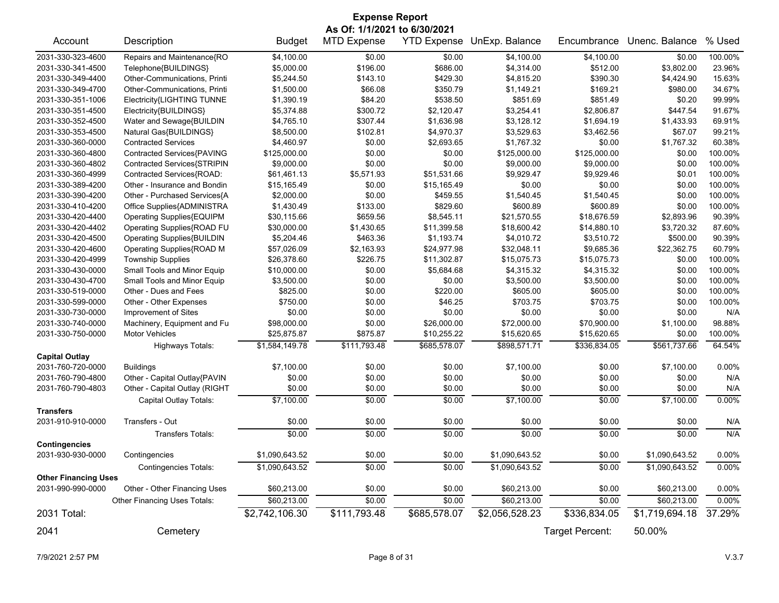| <b>Expense Report</b>        |                                   |                |                    |              |                            |                 |                |          |  |
|------------------------------|-----------------------------------|----------------|--------------------|--------------|----------------------------|-----------------|----------------|----------|--|
| As Of: 1/1/2021 to 6/30/2021 |                                   |                |                    |              |                            |                 |                |          |  |
| Account                      | Description                       | <b>Budget</b>  | <b>MTD Expense</b> |              | YTD Expense UnExp. Balance | Encumbrance     | Unenc. Balance | % Used   |  |
| 2031-330-323-4600            | Repairs and Maintenance{RO        | \$4,100.00     | \$0.00             | \$0.00       | \$4,100.00                 | \$4,100.00      | \$0.00         | 100.00%  |  |
| 2031-330-341-4500            | Telephone{BUILDINGS}              | \$5,000.00     | \$196.00           | \$686.00     | \$4,314.00                 | \$512.00        | \$3,802.00     | 23.96%   |  |
| 2031-330-349-4400            | Other-Communications, Printi      | \$5,244.50     | \$143.10           | \$429.30     | \$4,815.20                 | \$390.30        | \$4,424.90     | 15.63%   |  |
| 2031-330-349-4700            | Other-Communications, Printi      | \$1,500.00     | \$66.08            | \$350.79     | \$1,149.21                 | \$169.21        | \$980.00       | 34.67%   |  |
| 2031-330-351-1006            | Electricity{LIGHTING TUNNE        | \$1,390.19     | \$84.20            | \$538.50     | \$851.69                   | \$851.49        | \$0.20         | 99.99%   |  |
| 2031-330-351-4500            | Electricity{BUILDINGS}            | \$5,374.88     | \$300.72           | \$2,120.47   | \$3,254.41                 | \$2,806.87      | \$447.54       | 91.67%   |  |
| 2031-330-352-4500            | Water and Sewage{BUILDIN          | \$4,765.10     | \$307.44           | \$1,636.98   | \$3,128.12                 | \$1,694.19      | \$1,433.93     | 69.91%   |  |
| 2031-330-353-4500            | Natural Gas{BUILDINGS}            | \$8,500.00     | \$102.81           | \$4,970.37   | \$3,529.63                 | \$3,462.56      | \$67.07        | 99.21%   |  |
| 2031-330-360-0000            | <b>Contracted Services</b>        | \$4,460.97     | \$0.00             | \$2,693.65   | \$1,767.32                 | \$0.00          | \$1,767.32     | 60.38%   |  |
| 2031-330-360-4800            | Contracted Services{PAVING        | \$125,000.00   | \$0.00             | \$0.00       | \$125,000.00               | \$125,000.00    | \$0.00         | 100.00%  |  |
| 2031-330-360-4802            | Contracted Services{STRIPIN       | \$9,000.00     | \$0.00             | \$0.00       | \$9,000.00                 | \$9,000.00      | \$0.00         | 100.00%  |  |
| 2031-330-360-4999            | Contracted Services{ROAD:         | \$61,461.13    | \$5,571.93         | \$51,531.66  | \$9,929.47                 | \$9,929.46      | \$0.01         | 100.00%  |  |
| 2031-330-389-4200            | Other - Insurance and Bondin      | \$15,165.49    | \$0.00             | \$15,165.49  | \$0.00                     | \$0.00          | \$0.00         | 100.00%  |  |
| 2031-330-390-4200            | Other - Purchased Services{A      | \$2,000.00     | \$0.00             | \$459.55     | \$1,540.45                 | \$1,540.45      | \$0.00         | 100.00%  |  |
| 2031-330-410-4200            | Office Supplies{ADMINISTRA        | \$1,430.49     | \$133.00           | \$829.60     | \$600.89                   | \$600.89        | \$0.00         | 100.00%  |  |
| 2031-330-420-4400            | Operating Supplies{EQUIPM         | \$30,115.66    | \$659.56           | \$8,545.11   | \$21,570.55                | \$18,676.59     | \$2,893.96     | 90.39%   |  |
| 2031-330-420-4402            | Operating Supplies{ROAD FU        | \$30,000.00    | \$1,430.65         | \$11,399.58  | \$18,600.42                | \$14,880.10     | \$3,720.32     | 87.60%   |  |
| 2031-330-420-4500            | <b>Operating Supplies{BUILDIN</b> | \$5,204.46     | \$463.36           | \$1,193.74   | \$4,010.72                 | \$3,510.72      | \$500.00       | 90.39%   |  |
| 2031-330-420-4600            | Operating Supplies{ROAD M         | \$57,026.09    | \$2,163.93         | \$24,977.98  | \$32,048.11                | \$9,685.36      | \$22,362.75    | 60.79%   |  |
| 2031-330-420-4999            | <b>Township Supplies</b>          | \$26,378.60    | \$226.75           | \$11,302.87  | \$15,075.73                | \$15,075.73     | \$0.00         | 100.00%  |  |
| 2031-330-430-0000            | Small Tools and Minor Equip       | \$10,000.00    | \$0.00             | \$5,684.68   | \$4,315.32                 | \$4,315.32      | \$0.00         | 100.00%  |  |
| 2031-330-430-4700            | Small Tools and Minor Equip       | \$3,500.00     | \$0.00             | \$0.00       | \$3,500.00                 | \$3,500.00      | \$0.00         | 100.00%  |  |
| 2031-330-519-0000            | Other - Dues and Fees             | \$825.00       | \$0.00             | \$220.00     | \$605.00                   | \$605.00        | \$0.00         | 100.00%  |  |
| 2031-330-599-0000            | Other - Other Expenses            | \$750.00       | \$0.00             | \$46.25      | \$703.75                   | \$703.75        | \$0.00         | 100.00%  |  |
| 2031-330-730-0000            | Improvement of Sites              | \$0.00         | \$0.00             | \$0.00       | \$0.00                     | \$0.00          | \$0.00         | N/A      |  |
| 2031-330-740-0000            | Machinery, Equipment and Fu       | \$98,000.00    | \$0.00             | \$26,000.00  | \$72,000.00                | \$70,900.00     | \$1,100.00     | 98.88%   |  |
| 2031-330-750-0000            | <b>Motor Vehicles</b>             | \$25,875.87    | \$875.87           | \$10,255.22  | \$15,620.65                | \$15,620.65     | \$0.00         | 100.00%  |  |
|                              | <b>Highways Totals:</b>           | \$1,584,149.78 | \$111,793.48       | \$685,578.07 | \$898,571.71               | \$336,834.05    | \$561,737.66   | 64.54%   |  |
| <b>Capital Outlay</b>        |                                   |                |                    |              |                            |                 |                |          |  |
| 2031-760-720-0000            | <b>Buildings</b>                  | \$7,100.00     | \$0.00             | \$0.00       | \$7,100.00                 | \$0.00          | \$7,100.00     | 0.00%    |  |
| 2031-760-790-4800            | Other - Capital Outlay{PAVIN      | \$0.00         | \$0.00             | \$0.00       | \$0.00                     | \$0.00          | \$0.00         | N/A      |  |
| 2031-760-790-4803            | Other - Capital Outlay (RIGHT     | \$0.00         | \$0.00             | \$0.00       | \$0.00                     | \$0.00          | \$0.00         | N/A      |  |
|                              | Capital Outlay Totals:            | \$7,100.00     | \$0.00             | \$0.00       | \$7,100.00                 | \$0.00          | \$7,100.00     | 0.00%    |  |
| <b>Transfers</b>             |                                   |                |                    |              |                            |                 |                |          |  |
| 2031-910-910-0000            | Transfers - Out                   | \$0.00         | \$0.00             | \$0.00       | \$0.00                     | \$0.00          | \$0.00         | N/A      |  |
|                              | <b>Transfers Totals:</b>          | \$0.00         | \$0.00             | \$0.00       | \$0.00                     | \$0.00          | \$0.00         | N/A      |  |
| <b>Contingencies</b>         |                                   |                |                    |              |                            |                 |                |          |  |
| 2031-930-930-0000            | Contingencies                     | \$1,090,643.52 | \$0.00             | \$0.00       | \$1,090,643.52             | \$0.00          | \$1,090,643.52 | 0.00%    |  |
|                              | <b>Contingencies Totals:</b>      | \$1,090,643.52 | \$0.00             | \$0.00       | \$1,090,643.52             | \$0.00          | \$1,090,643.52 | 0.00%    |  |
| <b>Other Financing Uses</b>  |                                   |                |                    |              |                            |                 |                |          |  |
| 2031-990-990-0000            | Other - Other Financing Uses      | \$60,213.00    | \$0.00             | \$0.00       | \$60,213.00                | \$0.00          | \$60,213.00    | 0.00%    |  |
|                              | Other Financing Uses Totals:      | \$60,213.00    | \$0.00             | \$0.00       | \$60,213.00                | \$0.00          | \$60,213.00    | $0.00\%$ |  |
| 2031 Total:                  |                                   | \$2,742,106.30 | \$111,793.48       | \$685,578.07 | \$2,056,528.23             | \$336,834.05    | \$1,719,694.18 | 37.29%   |  |
| 2041                         | Cemetery                          |                |                    |              |                            | Target Percent: | 50.00%         |          |  |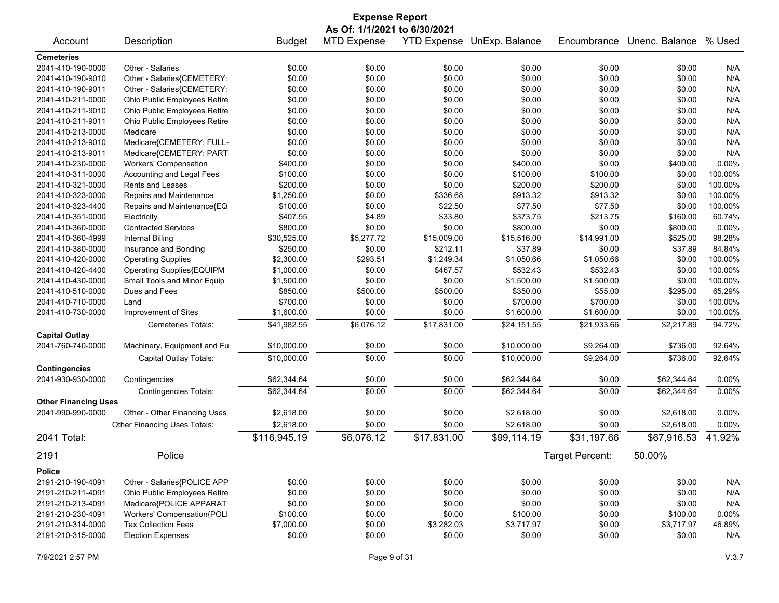| <b>Expense Report</b>                  |                                                         |               |                              |             |                            |                 |                |         |  |
|----------------------------------------|---------------------------------------------------------|---------------|------------------------------|-------------|----------------------------|-----------------|----------------|---------|--|
|                                        |                                                         |               | As Of: 1/1/2021 to 6/30/2021 |             |                            |                 |                |         |  |
| Account                                | Description                                             | <b>Budget</b> | <b>MTD Expense</b>           |             | YTD Expense UnExp. Balance | Encumbrance     | Unenc. Balance | % Used  |  |
| <b>Cemeteries</b>                      |                                                         |               |                              |             |                            |                 |                |         |  |
| 2041-410-190-0000                      | Other - Salaries                                        | \$0.00        | \$0.00                       | \$0.00      | \$0.00                     | \$0.00          | \$0.00         | N/A     |  |
| 2041-410-190-9010                      | Other - Salaries{CEMETERY:                              | \$0.00        | \$0.00                       | \$0.00      | \$0.00                     | \$0.00          | \$0.00         | N/A     |  |
| 2041-410-190-9011                      | Other - Salaries{CEMETERY:                              | \$0.00        | \$0.00                       | \$0.00      | \$0.00                     | \$0.00          | \$0.00         | N/A     |  |
| 2041-410-211-0000                      | Ohio Public Employees Retire                            | \$0.00        | \$0.00                       | \$0.00      | \$0.00                     | \$0.00          | \$0.00         | N/A     |  |
| 2041-410-211-9010                      | Ohio Public Employees Retire                            | \$0.00        | \$0.00                       | \$0.00      | \$0.00                     | \$0.00          | \$0.00         | N/A     |  |
| 2041-410-211-9011                      | Ohio Public Employees Retire                            | \$0.00        | \$0.00                       | \$0.00      | \$0.00                     | \$0.00          | \$0.00         | N/A     |  |
| 2041-410-213-0000                      | Medicare                                                | \$0.00        | \$0.00                       | \$0.00      | \$0.00                     | \$0.00          | \$0.00         | N/A     |  |
| 2041-410-213-9010                      | Medicare{CEMETERY: FULL-                                | \$0.00        | \$0.00                       | \$0.00      | \$0.00                     | \$0.00          | \$0.00         | N/A     |  |
| 2041-410-213-9011                      | Medicare{CEMETERY: PART                                 | \$0.00        | \$0.00                       | \$0.00      | \$0.00                     | \$0.00          | \$0.00         | N/A     |  |
| 2041-410-230-0000                      | <b>Workers' Compensation</b>                            | \$400.00      | \$0.00                       | \$0.00      | \$400.00                   | \$0.00          | \$400.00       | 0.00%   |  |
| 2041-410-311-0000                      | Accounting and Legal Fees                               | \$100.00      | \$0.00                       | \$0.00      | \$100.00                   | \$100.00        | \$0.00         | 100.00% |  |
| 2041-410-321-0000                      | Rents and Leases                                        | \$200.00      | \$0.00                       | \$0.00      | \$200.00                   | \$200.00        | \$0.00         | 100.00% |  |
| 2041-410-323-0000                      | Repairs and Maintenance                                 | \$1,250.00    | \$0.00                       | \$336.68    | \$913.32                   | \$913.32        | \$0.00         | 100.00% |  |
| 2041-410-323-4400                      | Repairs and Maintenance{EQ                              | \$100.00      | \$0.00                       | \$22.50     | \$77.50                    | \$77.50         | \$0.00         | 100.00% |  |
| 2041-410-351-0000                      | Electricity                                             | \$407.55      | \$4.89                       | \$33.80     | \$373.75                   | \$213.75        | \$160.00       | 60.74%  |  |
| 2041-410-360-0000                      | <b>Contracted Services</b>                              | \$800.00      | \$0.00                       | \$0.00      | \$800.00                   | \$0.00          | \$800.00       | 0.00%   |  |
| 2041-410-360-4999                      | Internal Billing                                        | \$30,525.00   | \$5,277.72                   | \$15,009.00 | \$15,516.00                | \$14,991.00     | \$525.00       | 98.28%  |  |
| 2041-410-380-0000                      | Insurance and Bonding                                   | \$250.00      | \$0.00                       | \$212.11    | \$37.89                    | \$0.00          | \$37.89        | 84.84%  |  |
| 2041-410-420-0000                      | <b>Operating Supplies</b>                               | \$2,300.00    | \$293.51                     | \$1,249.34  | \$1,050.66                 | \$1,050.66      | \$0.00         | 100.00% |  |
| 2041-410-420-4400                      | Operating Supplies{EQUIPM                               | \$1,000.00    | \$0.00                       | \$467.57    | \$532.43                   | \$532.43        | \$0.00         | 100.00% |  |
| 2041-410-430-0000                      | Small Tools and Minor Equip                             | \$1,500.00    | \$0.00                       | \$0.00      | \$1,500.00                 | \$1,500.00      | \$0.00         | 100.00% |  |
| 2041-410-510-0000                      | Dues and Fees                                           | \$850.00      | \$500.00                     | \$500.00    | \$350.00                   | \$55.00         | \$295.00       | 65.29%  |  |
| 2041-410-710-0000                      | Land                                                    | \$700.00      | \$0.00                       | \$0.00      | \$700.00                   | \$700.00        | \$0.00         | 100.00% |  |
| 2041-410-730-0000                      | Improvement of Sites                                    | \$1,600.00    | \$0.00                       | \$0.00      | \$1,600.00                 | \$1,600.00      | \$0.00         | 100.00% |  |
|                                        |                                                         |               |                              |             |                            |                 |                |         |  |
|                                        | Cemeteries Totals:                                      | \$41,982.55   | \$6,076.12                   | \$17,831.00 | \$24,151.55                | \$21,933.66     | \$2,217.89     | 94.72%  |  |
| <b>Capital Outlay</b>                  |                                                         |               |                              |             |                            |                 |                |         |  |
| 2041-760-740-0000                      | Machinery, Equipment and Fu                             | \$10,000.00   | \$0.00                       | \$0.00      | \$10,000.00                | \$9,264.00      | \$736.00       | 92.64%  |  |
|                                        | Capital Outlay Totals:                                  | \$10,000.00   | \$0.00                       | \$0.00      | \$10,000.00                | \$9,264.00      | \$736.00       | 92.64%  |  |
| <b>Contingencies</b>                   |                                                         |               |                              |             |                            |                 |                |         |  |
| 2041-930-930-0000                      | Contingencies                                           | \$62,344.64   | \$0.00                       | \$0.00      | \$62,344.64                | \$0.00          | \$62,344.64    | 0.00%   |  |
|                                        | <b>Contingencies Totals:</b>                            | \$62,344.64   | \$0.00                       | \$0.00      | \$62,344.64                | \$0.00          | \$62,344.64    | 0.00%   |  |
| <b>Other Financing Uses</b>            |                                                         |               |                              |             |                            |                 |                |         |  |
| 2041-990-990-0000                      | Other - Other Financing Uses                            | \$2,618.00    | \$0.00                       | \$0.00      | \$2,618.00                 | \$0.00          | \$2,618.00     | 0.00%   |  |
|                                        | Other Financing Uses Totals:                            | \$2,618.00    | \$0.00                       | \$0.00      | \$2,618.00                 | \$0.00          | \$2,618.00     | 0.00%   |  |
| 2041 Total:                            |                                                         | \$116,945.19  | \$6,076.12                   | \$17,831.00 | \$99,114.19                | \$31,197.66     | \$67,916.53    | 41.92%  |  |
| 2191                                   | Police                                                  |               |                              |             |                            | Target Percent: | 50.00%         |         |  |
|                                        |                                                         |               |                              |             |                            |                 |                |         |  |
| <b>Police</b><br>2191-210-190-4091     | Other - Salaries{POLICE APP                             | \$0.00        | \$0.00                       | \$0.00      | \$0.00                     | \$0.00          |                |         |  |
|                                        |                                                         |               |                              |             |                            |                 | \$0.00         | N/A     |  |
| 2191-210-211-4091<br>2191-210-213-4091 | Ohio Public Employees Retire<br>Medicare{POLICE APPARAT | \$0.00        | \$0.00                       | \$0.00      | \$0.00                     | \$0.00          | \$0.00         | N/A     |  |
|                                        |                                                         | \$0.00        | \$0.00                       | \$0.00      | \$0.00                     | \$0.00          | \$0.00         | N/A     |  |
| 2191-210-230-4091                      | Workers' Compensation{POLI                              | \$100.00      | \$0.00                       | \$0.00      | \$100.00                   | \$0.00          | \$100.00       | 0.00%   |  |
| 2191-210-314-0000                      | <b>Tax Collection Fees</b>                              | \$7,000.00    | \$0.00                       | \$3,282.03  | \$3,717.97                 | \$0.00          | \$3,717.97     | 46.89%  |  |
| 2191-210-315-0000                      | <b>Election Expenses</b>                                | \$0.00        | \$0.00                       | \$0.00      | \$0.00                     | \$0.00          | \$0.00         | N/A     |  |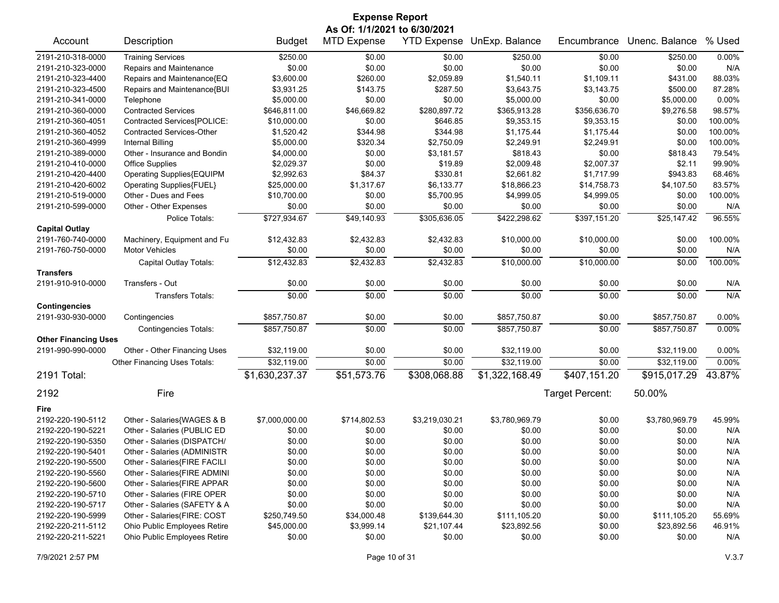| <b>Expense Report</b>        |                                  |                |                    |                |                            |                 |                |          |  |
|------------------------------|----------------------------------|----------------|--------------------|----------------|----------------------------|-----------------|----------------|----------|--|
| As Of: 1/1/2021 to 6/30/2021 |                                  |                |                    |                |                            |                 |                |          |  |
| Account                      | Description                      | <b>Budget</b>  | <b>MTD Expense</b> |                | YTD Expense UnExp. Balance | Encumbrance     | Unenc. Balance | % Used   |  |
| 2191-210-318-0000            | <b>Training Services</b>         | \$250.00       | \$0.00             | \$0.00         | \$250.00                   | \$0.00          | \$250.00       | 0.00%    |  |
| 2191-210-323-0000            | Repairs and Maintenance          | \$0.00         | \$0.00             | \$0.00         | \$0.00                     | \$0.00          | \$0.00         | N/A      |  |
| 2191-210-323-4400            | Repairs and Maintenance{EQ       | \$3,600.00     | \$260.00           | \$2,059.89     | \$1,540.11                 | \$1,109.11      | \$431.00       | 88.03%   |  |
| 2191-210-323-4500            | Repairs and Maintenance{BUI      | \$3,931.25     | \$143.75           | \$287.50       | \$3,643.75                 | \$3,143.75      | \$500.00       | 87.28%   |  |
| 2191-210-341-0000            | Telephone                        | \$5,000.00     | \$0.00             | \$0.00         | \$5,000.00                 | \$0.00          | \$5,000.00     | 0.00%    |  |
| 2191-210-360-0000            | <b>Contracted Services</b>       | \$646,811.00   | \$46,669.82        | \$280,897.72   | \$365,913.28               | \$356,636.70    | \$9,276.58     | 98.57%   |  |
| 2191-210-360-4051            | Contracted Services[POLICE:      | \$10,000.00    | \$0.00             | \$646.85       | \$9,353.15                 | \$9,353.15      | \$0.00         | 100.00%  |  |
| 2191-210-360-4052            | <b>Contracted Services-Other</b> | \$1,520.42     | \$344.98           | \$344.98       | \$1,175.44                 | \$1,175.44      | \$0.00         | 100.00%  |  |
| 2191-210-360-4999            | <b>Internal Billing</b>          | \$5,000.00     | \$320.34           | \$2,750.09     | \$2,249.91                 | \$2,249.91      | \$0.00         | 100.00%  |  |
| 2191-210-389-0000            | Other - Insurance and Bondin     | \$4,000.00     | \$0.00             | \$3,181.57     | \$818.43                   | \$0.00          | \$818.43       | 79.54%   |  |
| 2191-210-410-0000            | <b>Office Supplies</b>           | \$2,029.37     | \$0.00             | \$19.89        | \$2,009.48                 | \$2,007.37      | \$2.11         | 99.90%   |  |
| 2191-210-420-4400            | Operating Supplies{EQUIPM        | \$2,992.63     | \$84.37            | \$330.81       | \$2,661.82                 | \$1,717.99      | \$943.83       | 68.46%   |  |
| 2191-210-420-6002            | Operating Supplies{FUEL}         | \$25,000.00    | \$1,317.67         | \$6,133.77     | \$18,866.23                | \$14,758.73     | \$4,107.50     | 83.57%   |  |
| 2191-210-519-0000            | Other - Dues and Fees            | \$10,700.00    | \$0.00             | \$5,700.95     | \$4,999.05                 | \$4,999.05      | \$0.00         | 100.00%  |  |
| 2191-210-599-0000            | Other - Other Expenses           | \$0.00         | \$0.00             | \$0.00         | \$0.00                     | \$0.00          | \$0.00         | N/A      |  |
|                              | Police Totals:                   | \$727,934.67   | \$49,140.93        | \$305,636.05   | \$422,298.62               | \$397,151.20    | \$25,147.42    | 96.55%   |  |
| <b>Capital Outlay</b>        |                                  |                |                    |                |                            |                 |                |          |  |
| 2191-760-740-0000            | Machinery, Equipment and Fu      | \$12,432.83    | \$2,432.83         | \$2,432.83     | \$10,000.00                | \$10,000.00     | \$0.00         | 100.00%  |  |
| 2191-760-750-0000            | <b>Motor Vehicles</b>            | \$0.00         | \$0.00             | \$0.00         | \$0.00                     | \$0.00          | \$0.00         | N/A      |  |
|                              | Capital Outlay Totals:           | \$12,432.83    | \$2,432.83         | \$2,432.83     | \$10,000.00                | \$10,000.00     | \$0.00         | 100.00%  |  |
| <b>Transfers</b>             |                                  |                |                    |                |                            |                 |                |          |  |
| 2191-910-910-0000            | Transfers - Out                  | \$0.00         | \$0.00             | \$0.00         | \$0.00                     | \$0.00          | \$0.00         | N/A      |  |
|                              |                                  | \$0.00         | \$0.00             | \$0.00         | \$0.00                     | \$0.00          | \$0.00         | N/A      |  |
|                              | <b>Transfers Totals:</b>         |                |                    |                |                            |                 |                |          |  |
| <b>Contingencies</b>         |                                  |                |                    |                |                            |                 |                |          |  |
| 2191-930-930-0000            | Contingencies                    | \$857,750.87   | \$0.00             | \$0.00         | \$857,750.87               | \$0.00          | \$857,750.87   | 0.00%    |  |
| <b>Other Financing Uses</b>  | <b>Contingencies Totals:</b>     | \$857,750.87   | \$0.00             | \$0.00         | \$857,750.87               | \$0.00          | \$857,750.87   | 0.00%    |  |
| 2191-990-990-0000            | Other - Other Financing Uses     | \$32,119.00    | \$0.00             | \$0.00         | \$32,119.00                | \$0.00          | \$32,119.00    | $0.00\%$ |  |
|                              | Other Financing Uses Totals:     | \$32,119.00    | \$0.00             | \$0.00         | \$32,119.00                | \$0.00          | \$32,119.00    | 0.00%    |  |
| 2191 Total:                  |                                  | \$1,630,237.37 | \$51,573.76        | \$308,068.88   | \$1,322,168.49             | \$407,151.20    | \$915,017.29   | 43.87%   |  |
|                              |                                  |                |                    |                |                            |                 |                |          |  |
| 2192                         | Fire                             |                |                    |                |                            | Target Percent: | 50.00%         |          |  |
| Fire                         |                                  |                |                    |                |                            |                 |                |          |  |
| 2192-220-190-5112            | Other - Salaries{WAGES & B       | \$7,000,000.00 | \$714,802.53       | \$3,219,030.21 | \$3,780,969.79             | \$0.00          | \$3,780,969.79 | 45.99%   |  |
| 2192-220-190-5221            | Other - Salaries (PUBLIC ED      | \$0.00         | \$0.00             | \$0.00         | \$0.00                     | \$0.00          | \$0.00         | N/A      |  |
| 2192-220-190-5350            | Other - Salaries (DISPATCH/      | \$0.00         | \$0.00             | \$0.00         | \$0.00                     | \$0.00          | \$0.00         | N/A      |  |
| 2192-220-190-5401            | Other - Salaries (ADMINISTR      | \$0.00         | \$0.00             | \$0.00         | \$0.00                     | \$0.00          | \$0.00         | N/A      |  |
| 2192-220-190-5500            | Other - Salaries{FIRE FACILI     | \$0.00         | \$0.00             | \$0.00         | \$0.00                     | \$0.00          | \$0.00         | N/A      |  |
| 2192-220-190-5560            | Other - Salaries{FIRE ADMINI     | \$0.00         | \$0.00             | \$0.00         | \$0.00                     | \$0.00          | \$0.00         | N/A      |  |
| 2192-220-190-5600            | Other - Salaries{FIRE APPAR      | \$0.00         | \$0.00             | \$0.00         | \$0.00                     | \$0.00          | \$0.00         | N/A      |  |
| 2192-220-190-5710            | Other - Salaries (FIRE OPER      | \$0.00         | \$0.00             | \$0.00         | \$0.00                     | \$0.00          | \$0.00         | N/A      |  |
| 2192-220-190-5717            | Other - Salaries (SAFETY & A     | \$0.00         | \$0.00             | \$0.00         | \$0.00                     | \$0.00          | \$0.00         | N/A      |  |
| 2192-220-190-5999            | Other - Salaries(FIRE: COST      | \$250,749.50   | \$34,000.48        | \$139,644.30   | \$111,105.20               | \$0.00          | \$111,105.20   | 55.69%   |  |
| 2192-220-211-5112            | Ohio Public Employees Retire     | \$45,000.00    | \$3,999.14         | \$21,107.44    | \$23,892.56                | \$0.00          | \$23,892.56    | 46.91%   |  |
| 2192-220-211-5221            | Ohio Public Employees Retire     | \$0.00         | \$0.00             | \$0.00         | \$0.00                     | \$0.00          | \$0.00         | N/A      |  |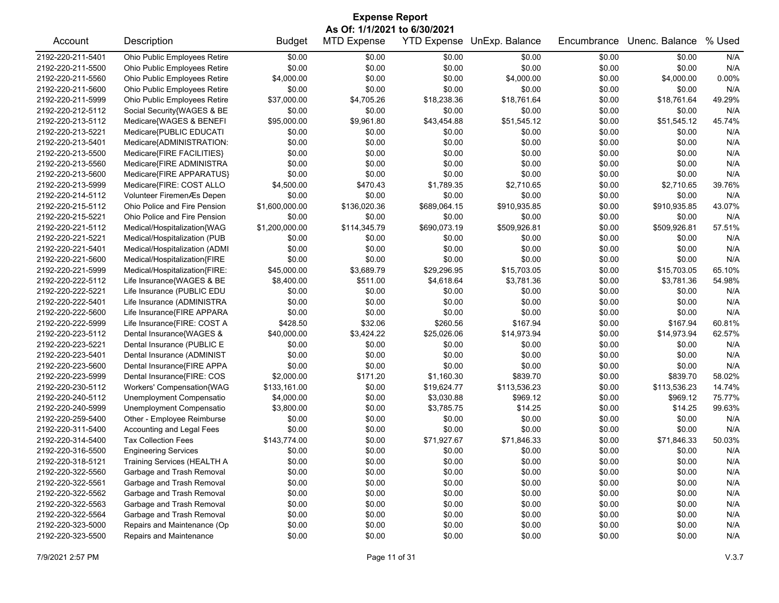| As Of: 1/1/2021 to 6/30/2021<br><b>MTD Expense</b><br><b>YTD Expense</b><br>Unenc. Balance<br>% Used<br>Account<br>Description<br><b>Budget</b><br>UnExp. Balance<br>Encumbrance<br>Ohio Public Employees Retire<br>\$0.00<br>\$0.00<br>N/A<br>\$0.00<br>\$0.00<br>\$0.00<br>\$0.00<br>\$0.00<br>\$0.00<br>\$0.00<br>Ohio Public Employees Retire<br>\$0.00<br>\$0.00<br>\$0.00<br>N/A<br>Ohio Public Employees Retire<br>\$4,000.00<br>\$0.00<br>\$0.00<br>\$0.00<br>0.00%<br>\$4,000.00<br>\$4,000.00<br>\$0.00<br>\$0.00<br>\$0.00<br>\$0.00<br>\$0.00<br>\$0.00<br>N/A<br>Ohio Public Employees Retire<br>Ohio Public Employees Retire<br>\$37,000.00<br>\$4,705.26<br>\$18,238.36<br>\$18,761.64<br>\$0.00<br>\$18,761.64<br>49.29%<br>\$0.00<br>\$0.00<br>\$0.00<br>\$0.00<br>N/A<br>Social Security{WAGES & BE<br>\$0.00<br>\$0.00<br>\$95,000.00<br>\$9,961.80<br>\$43,454.88<br>\$51,545.12<br>45.74%<br>Medicare{WAGES & BENEFI<br>\$51,545.12<br>\$0.00<br>\$0.00<br>N/A<br>Medicare{PUBLIC EDUCATI<br>\$0.00<br>\$0.00<br>\$0.00<br>\$0.00<br>\$0.00<br>Medicare{ADMINISTRATION:<br>\$0.00<br>\$0.00<br>\$0.00<br>\$0.00<br>\$0.00<br>N/A<br>\$0.00<br>Medicare{FIRE FACILITIES}<br>\$0.00<br>\$0.00<br>N/A<br>\$0.00<br>\$0.00<br>\$0.00<br>\$0.00<br>\$0.00<br>\$0.00<br>\$0.00<br>N/A<br>Medicare{FIRE ADMINISTRA<br>\$0.00<br>\$0.00<br>\$0.00<br>\$0.00<br>\$0.00<br>\$0.00<br>N/A<br>Medicare{FIRE APPARATUS}<br>\$0.00<br>\$0.00<br>\$0.00<br>\$4,500.00<br>\$1,789.35<br>39.76%<br>2192-220-213-5999<br>Medicare{FIRE: COST ALLO<br>\$470.43<br>\$2,710.65<br>\$0.00<br>\$2,710.65<br>\$0.00<br>\$0.00<br>\$0.00<br>\$0.00<br>\$0.00<br>2192-220-214-5112<br>Volunteer FiremenÆs Depen<br>\$0.00<br>N/A<br>\$1,600,000.00<br>43.07%<br>2192-220-215-5112<br>Ohio Police and Fire Pension<br>\$136,020.36<br>\$689,064.15<br>\$910,935.85<br>\$0.00<br>\$910,935.85<br>\$0.00<br>N/A<br>2192-220-215-5221<br>Ohio Police and Fire Pension<br>\$0.00<br>\$0.00<br>\$0.00<br>\$0.00<br>\$0.00<br>\$114,345.79<br>57.51%<br>2192-220-221-5112<br>Medical/Hospitalization{WAG<br>\$1,200,000.00<br>\$690,073.19<br>\$509,926.81<br>\$0.00<br>\$509,926.81<br>Medical/Hospitalization (PUB<br>N/A<br>2192-220-221-5221<br>\$0.00<br>\$0.00<br>\$0.00<br>\$0.00<br>\$0.00<br>\$0.00<br>Medical/Hospitalization (ADMI<br>\$0.00<br>\$0.00<br>\$0.00<br>\$0.00<br>N/A<br>2192-220-221-5401<br>\$0.00<br>\$0.00<br>\$0.00<br>\$0.00<br>N/A<br>2192-220-221-5600<br>Medical/Hospitalization{FIRE<br>\$0.00<br>\$0.00<br>\$0.00<br>\$0.00<br>2192-220-221-5999<br>Medical/Hospitalization{FIRE:<br>\$45,000.00<br>\$3,689.79<br>\$29,296.95<br>\$15,703.05<br>\$0.00<br>\$15,703.05<br>65.10%<br>\$3,781.36<br>2192-220-222-5112<br>Life Insurance{WAGES & BE<br>\$8,400.00<br>\$511.00<br>\$4,618.64<br>\$3,781.36<br>\$0.00<br>54.98%<br>Life Insurance (PUBLIC EDU<br>\$0.00<br>\$0.00<br>N/A<br>2192-220-222-5221<br>\$0.00<br>\$0.00<br>\$0.00<br>\$0.00<br>2192-220-222-5401<br>Life Insurance (ADMINISTRA<br>\$0.00<br>\$0.00<br>\$0.00<br>\$0.00<br>N/A<br>\$0.00<br>\$0.00<br>Life Insurance{FIRE APPARA<br>\$0.00<br>\$0.00<br>\$0.00<br>N/A<br>2192-220-222-5600<br>\$0.00<br>\$0.00<br>\$0.00<br>\$428.50<br>\$32.06<br>\$260.56<br>\$167.94<br>\$167.94<br>2192-220-222-5999<br>Life Insurance{FIRE: COST A<br>\$0.00<br>60.81%<br>\$14,973.94<br>2192-220-223-5112<br>Dental Insurance{WAGES &<br>\$40,000.00<br>\$3,424.22<br>\$25,026.06<br>\$14,973.94<br>\$0.00<br>62.57%<br>Dental Insurance (PUBLIC E<br>\$0.00<br>2192-220-223-5221<br>\$0.00<br>\$0.00<br>\$0.00<br>\$0.00<br>\$0.00<br>N/A<br>2192-220-223-5401<br>Dental Insurance (ADMINIST<br>\$0.00<br>\$0.00<br>\$0.00<br>\$0.00<br>N/A<br>\$0.00<br>\$0.00<br>Dental Insurance{FIRE APPA<br>\$0.00<br>\$0.00<br>\$0.00<br>N/A<br>2192-220-223-5600<br>\$0.00<br>\$0.00<br>\$0.00<br>\$171.20<br>\$839.70<br>2192-220-223-5999<br>Dental Insurance{FIRE: COS<br>\$2,000.00<br>\$1,160.30<br>\$0.00<br>\$839.70<br>58.02%<br>\$113,536.23<br>2192-220-230-5112<br>Workers' Compensation{WAG<br>\$133,161.00<br>\$0.00<br>\$19,624.77<br>\$113,536.23<br>\$0.00<br>14.74%<br>Unemployment Compensatio<br>2192-220-240-5112<br>\$4,000.00<br>\$0.00<br>\$3,030.88<br>\$969.12<br>\$0.00<br>\$969.12<br>75.77%<br>Unemployment Compensatio<br>\$3,800.00<br>\$3,785.75<br>99.63%<br>2192-220-240-5999<br>\$0.00<br>\$14.25<br>\$0.00<br>\$14.25<br>2192-220-259-5400<br>Other - Employee Reimburse<br>\$0.00<br>\$0.00<br>\$0.00<br>\$0.00<br>\$0.00<br>\$0.00<br>N/A<br>\$0.00<br>\$0.00<br>\$0.00<br>2192-220-311-5400<br>Accounting and Legal Fees<br>\$0.00<br>\$0.00<br>\$0.00<br>N/A<br>2192-220-314-5400<br>\$143,774.00<br>\$0.00<br>\$71,927.67<br>\$71,846.33<br>\$0.00<br>\$71.846.33<br>50.03%<br>Tax Collection Fees<br>\$0.00<br>\$0.00<br>\$0.00<br>\$0.00<br>\$0.00<br>\$0.00<br>N/A<br>2192-220-316-5500<br><b>Engineering Services</b><br>2192-220-318-5121<br>Training Services (HEALTH A<br>\$0.00<br>\$0.00<br>\$0.00<br>\$0.00<br>\$0.00<br>\$0.00<br>N/A | <b>Expense Report</b> |  |  |  |  |  |  |  |  |  |
|-----------------------------------------------------------------------------------------------------------------------------------------------------------------------------------------------------------------------------------------------------------------------------------------------------------------------------------------------------------------------------------------------------------------------------------------------------------------------------------------------------------------------------------------------------------------------------------------------------------------------------------------------------------------------------------------------------------------------------------------------------------------------------------------------------------------------------------------------------------------------------------------------------------------------------------------------------------------------------------------------------------------------------------------------------------------------------------------------------------------------------------------------------------------------------------------------------------------------------------------------------------------------------------------------------------------------------------------------------------------------------------------------------------------------------------------------------------------------------------------------------------------------------------------------------------------------------------------------------------------------------------------------------------------------------------------------------------------------------------------------------------------------------------------------------------------------------------------------------------------------------------------------------------------------------------------------------------------------------------------------------------------------------------------------------------------------------------------------------------------------------------------------------------------------------------------------------------------------------------------------------------------------------------------------------------------------------------------------------------------------------------------------------------------------------------------------------------------------------------------------------------------------------------------------------------------------------------------------------------------------------------------------------------------------------------------------------------------------------------------------------------------------------------------------------------------------------------------------------------------------------------------------------------------------------------------------------------------------------------------------------------------------------------------------------------------------------------------------------------------------------------------------------------------------------------------------------------------------------------------------------------------------------------------------------------------------------------------------------------------------------------------------------------------------------------------------------------------------------------------------------------------------------------------------------------------------------------------------------------------------------------------------------------------------------------------------------------------------------------------------------------------------------------------------------------------------------------------------------------------------------------------------------------------------------------------------------------------------------------------------------------------------------------------------------------------------------------------------------------------------------------------------------------------------------------------------------------------------------------------------------------------------------------------------------------------------------------------------------------------------------------------------------------------------------------------------------------------------------------------------------------------------------------------------------------------------------------------------------------------------------------------------------------------------------------------------------------------------------------------------------------------------------------------------------------------------------------------------------------------------------------------------------------------------------------------------------------------------------------------------------------------------------------------------------------------|-----------------------|--|--|--|--|--|--|--|--|--|
|                                                                                                                                                                                                                                                                                                                                                                                                                                                                                                                                                                                                                                                                                                                                                                                                                                                                                                                                                                                                                                                                                                                                                                                                                                                                                                                                                                                                                                                                                                                                                                                                                                                                                                                                                                                                                                                                                                                                                                                                                                                                                                                                                                                                                                                                                                                                                                                                                                                                                                                                                                                                                                                                                                                                                                                                                                                                                                                                                                                                                                                                                                                                                                                                                                                                                                                                                                                                                                                                                                                                                                                                                                                                                                                                                                                                                                                                                                                                                                                                                                                                                                                                                                                                                                                                                                                                                                                                                                                                                                                                                                                                                                                                                                                                                                                                                                                                                                                                                                                                                                                                 |                       |  |  |  |  |  |  |  |  |  |
|                                                                                                                                                                                                                                                                                                                                                                                                                                                                                                                                                                                                                                                                                                                                                                                                                                                                                                                                                                                                                                                                                                                                                                                                                                                                                                                                                                                                                                                                                                                                                                                                                                                                                                                                                                                                                                                                                                                                                                                                                                                                                                                                                                                                                                                                                                                                                                                                                                                                                                                                                                                                                                                                                                                                                                                                                                                                                                                                                                                                                                                                                                                                                                                                                                                                                                                                                                                                                                                                                                                                                                                                                                                                                                                                                                                                                                                                                                                                                                                                                                                                                                                                                                                                                                                                                                                                                                                                                                                                                                                                                                                                                                                                                                                                                                                                                                                                                                                                                                                                                                                                 |                       |  |  |  |  |  |  |  |  |  |
|                                                                                                                                                                                                                                                                                                                                                                                                                                                                                                                                                                                                                                                                                                                                                                                                                                                                                                                                                                                                                                                                                                                                                                                                                                                                                                                                                                                                                                                                                                                                                                                                                                                                                                                                                                                                                                                                                                                                                                                                                                                                                                                                                                                                                                                                                                                                                                                                                                                                                                                                                                                                                                                                                                                                                                                                                                                                                                                                                                                                                                                                                                                                                                                                                                                                                                                                                                                                                                                                                                                                                                                                                                                                                                                                                                                                                                                                                                                                                                                                                                                                                                                                                                                                                                                                                                                                                                                                                                                                                                                                                                                                                                                                                                                                                                                                                                                                                                                                                                                                                                                                 | 2192-220-211-5401     |  |  |  |  |  |  |  |  |  |
|                                                                                                                                                                                                                                                                                                                                                                                                                                                                                                                                                                                                                                                                                                                                                                                                                                                                                                                                                                                                                                                                                                                                                                                                                                                                                                                                                                                                                                                                                                                                                                                                                                                                                                                                                                                                                                                                                                                                                                                                                                                                                                                                                                                                                                                                                                                                                                                                                                                                                                                                                                                                                                                                                                                                                                                                                                                                                                                                                                                                                                                                                                                                                                                                                                                                                                                                                                                                                                                                                                                                                                                                                                                                                                                                                                                                                                                                                                                                                                                                                                                                                                                                                                                                                                                                                                                                                                                                                                                                                                                                                                                                                                                                                                                                                                                                                                                                                                                                                                                                                                                                 | 2192-220-211-5500     |  |  |  |  |  |  |  |  |  |
|                                                                                                                                                                                                                                                                                                                                                                                                                                                                                                                                                                                                                                                                                                                                                                                                                                                                                                                                                                                                                                                                                                                                                                                                                                                                                                                                                                                                                                                                                                                                                                                                                                                                                                                                                                                                                                                                                                                                                                                                                                                                                                                                                                                                                                                                                                                                                                                                                                                                                                                                                                                                                                                                                                                                                                                                                                                                                                                                                                                                                                                                                                                                                                                                                                                                                                                                                                                                                                                                                                                                                                                                                                                                                                                                                                                                                                                                                                                                                                                                                                                                                                                                                                                                                                                                                                                                                                                                                                                                                                                                                                                                                                                                                                                                                                                                                                                                                                                                                                                                                                                                 | 2192-220-211-5560     |  |  |  |  |  |  |  |  |  |
|                                                                                                                                                                                                                                                                                                                                                                                                                                                                                                                                                                                                                                                                                                                                                                                                                                                                                                                                                                                                                                                                                                                                                                                                                                                                                                                                                                                                                                                                                                                                                                                                                                                                                                                                                                                                                                                                                                                                                                                                                                                                                                                                                                                                                                                                                                                                                                                                                                                                                                                                                                                                                                                                                                                                                                                                                                                                                                                                                                                                                                                                                                                                                                                                                                                                                                                                                                                                                                                                                                                                                                                                                                                                                                                                                                                                                                                                                                                                                                                                                                                                                                                                                                                                                                                                                                                                                                                                                                                                                                                                                                                                                                                                                                                                                                                                                                                                                                                                                                                                                                                                 | 2192-220-211-5600     |  |  |  |  |  |  |  |  |  |
|                                                                                                                                                                                                                                                                                                                                                                                                                                                                                                                                                                                                                                                                                                                                                                                                                                                                                                                                                                                                                                                                                                                                                                                                                                                                                                                                                                                                                                                                                                                                                                                                                                                                                                                                                                                                                                                                                                                                                                                                                                                                                                                                                                                                                                                                                                                                                                                                                                                                                                                                                                                                                                                                                                                                                                                                                                                                                                                                                                                                                                                                                                                                                                                                                                                                                                                                                                                                                                                                                                                                                                                                                                                                                                                                                                                                                                                                                                                                                                                                                                                                                                                                                                                                                                                                                                                                                                                                                                                                                                                                                                                                                                                                                                                                                                                                                                                                                                                                                                                                                                                                 | 2192-220-211-5999     |  |  |  |  |  |  |  |  |  |
|                                                                                                                                                                                                                                                                                                                                                                                                                                                                                                                                                                                                                                                                                                                                                                                                                                                                                                                                                                                                                                                                                                                                                                                                                                                                                                                                                                                                                                                                                                                                                                                                                                                                                                                                                                                                                                                                                                                                                                                                                                                                                                                                                                                                                                                                                                                                                                                                                                                                                                                                                                                                                                                                                                                                                                                                                                                                                                                                                                                                                                                                                                                                                                                                                                                                                                                                                                                                                                                                                                                                                                                                                                                                                                                                                                                                                                                                                                                                                                                                                                                                                                                                                                                                                                                                                                                                                                                                                                                                                                                                                                                                                                                                                                                                                                                                                                                                                                                                                                                                                                                                 | 2192-220-212-5112     |  |  |  |  |  |  |  |  |  |
|                                                                                                                                                                                                                                                                                                                                                                                                                                                                                                                                                                                                                                                                                                                                                                                                                                                                                                                                                                                                                                                                                                                                                                                                                                                                                                                                                                                                                                                                                                                                                                                                                                                                                                                                                                                                                                                                                                                                                                                                                                                                                                                                                                                                                                                                                                                                                                                                                                                                                                                                                                                                                                                                                                                                                                                                                                                                                                                                                                                                                                                                                                                                                                                                                                                                                                                                                                                                                                                                                                                                                                                                                                                                                                                                                                                                                                                                                                                                                                                                                                                                                                                                                                                                                                                                                                                                                                                                                                                                                                                                                                                                                                                                                                                                                                                                                                                                                                                                                                                                                                                                 | 2192-220-213-5112     |  |  |  |  |  |  |  |  |  |
|                                                                                                                                                                                                                                                                                                                                                                                                                                                                                                                                                                                                                                                                                                                                                                                                                                                                                                                                                                                                                                                                                                                                                                                                                                                                                                                                                                                                                                                                                                                                                                                                                                                                                                                                                                                                                                                                                                                                                                                                                                                                                                                                                                                                                                                                                                                                                                                                                                                                                                                                                                                                                                                                                                                                                                                                                                                                                                                                                                                                                                                                                                                                                                                                                                                                                                                                                                                                                                                                                                                                                                                                                                                                                                                                                                                                                                                                                                                                                                                                                                                                                                                                                                                                                                                                                                                                                                                                                                                                                                                                                                                                                                                                                                                                                                                                                                                                                                                                                                                                                                                                 | 2192-220-213-5221     |  |  |  |  |  |  |  |  |  |
|                                                                                                                                                                                                                                                                                                                                                                                                                                                                                                                                                                                                                                                                                                                                                                                                                                                                                                                                                                                                                                                                                                                                                                                                                                                                                                                                                                                                                                                                                                                                                                                                                                                                                                                                                                                                                                                                                                                                                                                                                                                                                                                                                                                                                                                                                                                                                                                                                                                                                                                                                                                                                                                                                                                                                                                                                                                                                                                                                                                                                                                                                                                                                                                                                                                                                                                                                                                                                                                                                                                                                                                                                                                                                                                                                                                                                                                                                                                                                                                                                                                                                                                                                                                                                                                                                                                                                                                                                                                                                                                                                                                                                                                                                                                                                                                                                                                                                                                                                                                                                                                                 | 2192-220-213-5401     |  |  |  |  |  |  |  |  |  |
|                                                                                                                                                                                                                                                                                                                                                                                                                                                                                                                                                                                                                                                                                                                                                                                                                                                                                                                                                                                                                                                                                                                                                                                                                                                                                                                                                                                                                                                                                                                                                                                                                                                                                                                                                                                                                                                                                                                                                                                                                                                                                                                                                                                                                                                                                                                                                                                                                                                                                                                                                                                                                                                                                                                                                                                                                                                                                                                                                                                                                                                                                                                                                                                                                                                                                                                                                                                                                                                                                                                                                                                                                                                                                                                                                                                                                                                                                                                                                                                                                                                                                                                                                                                                                                                                                                                                                                                                                                                                                                                                                                                                                                                                                                                                                                                                                                                                                                                                                                                                                                                                 | 2192-220-213-5500     |  |  |  |  |  |  |  |  |  |
|                                                                                                                                                                                                                                                                                                                                                                                                                                                                                                                                                                                                                                                                                                                                                                                                                                                                                                                                                                                                                                                                                                                                                                                                                                                                                                                                                                                                                                                                                                                                                                                                                                                                                                                                                                                                                                                                                                                                                                                                                                                                                                                                                                                                                                                                                                                                                                                                                                                                                                                                                                                                                                                                                                                                                                                                                                                                                                                                                                                                                                                                                                                                                                                                                                                                                                                                                                                                                                                                                                                                                                                                                                                                                                                                                                                                                                                                                                                                                                                                                                                                                                                                                                                                                                                                                                                                                                                                                                                                                                                                                                                                                                                                                                                                                                                                                                                                                                                                                                                                                                                                 | 2192-220-213-5560     |  |  |  |  |  |  |  |  |  |
|                                                                                                                                                                                                                                                                                                                                                                                                                                                                                                                                                                                                                                                                                                                                                                                                                                                                                                                                                                                                                                                                                                                                                                                                                                                                                                                                                                                                                                                                                                                                                                                                                                                                                                                                                                                                                                                                                                                                                                                                                                                                                                                                                                                                                                                                                                                                                                                                                                                                                                                                                                                                                                                                                                                                                                                                                                                                                                                                                                                                                                                                                                                                                                                                                                                                                                                                                                                                                                                                                                                                                                                                                                                                                                                                                                                                                                                                                                                                                                                                                                                                                                                                                                                                                                                                                                                                                                                                                                                                                                                                                                                                                                                                                                                                                                                                                                                                                                                                                                                                                                                                 | 2192-220-213-5600     |  |  |  |  |  |  |  |  |  |
|                                                                                                                                                                                                                                                                                                                                                                                                                                                                                                                                                                                                                                                                                                                                                                                                                                                                                                                                                                                                                                                                                                                                                                                                                                                                                                                                                                                                                                                                                                                                                                                                                                                                                                                                                                                                                                                                                                                                                                                                                                                                                                                                                                                                                                                                                                                                                                                                                                                                                                                                                                                                                                                                                                                                                                                                                                                                                                                                                                                                                                                                                                                                                                                                                                                                                                                                                                                                                                                                                                                                                                                                                                                                                                                                                                                                                                                                                                                                                                                                                                                                                                                                                                                                                                                                                                                                                                                                                                                                                                                                                                                                                                                                                                                                                                                                                                                                                                                                                                                                                                                                 |                       |  |  |  |  |  |  |  |  |  |
|                                                                                                                                                                                                                                                                                                                                                                                                                                                                                                                                                                                                                                                                                                                                                                                                                                                                                                                                                                                                                                                                                                                                                                                                                                                                                                                                                                                                                                                                                                                                                                                                                                                                                                                                                                                                                                                                                                                                                                                                                                                                                                                                                                                                                                                                                                                                                                                                                                                                                                                                                                                                                                                                                                                                                                                                                                                                                                                                                                                                                                                                                                                                                                                                                                                                                                                                                                                                                                                                                                                                                                                                                                                                                                                                                                                                                                                                                                                                                                                                                                                                                                                                                                                                                                                                                                                                                                                                                                                                                                                                                                                                                                                                                                                                                                                                                                                                                                                                                                                                                                                                 |                       |  |  |  |  |  |  |  |  |  |
|                                                                                                                                                                                                                                                                                                                                                                                                                                                                                                                                                                                                                                                                                                                                                                                                                                                                                                                                                                                                                                                                                                                                                                                                                                                                                                                                                                                                                                                                                                                                                                                                                                                                                                                                                                                                                                                                                                                                                                                                                                                                                                                                                                                                                                                                                                                                                                                                                                                                                                                                                                                                                                                                                                                                                                                                                                                                                                                                                                                                                                                                                                                                                                                                                                                                                                                                                                                                                                                                                                                                                                                                                                                                                                                                                                                                                                                                                                                                                                                                                                                                                                                                                                                                                                                                                                                                                                                                                                                                                                                                                                                                                                                                                                                                                                                                                                                                                                                                                                                                                                                                 |                       |  |  |  |  |  |  |  |  |  |
|                                                                                                                                                                                                                                                                                                                                                                                                                                                                                                                                                                                                                                                                                                                                                                                                                                                                                                                                                                                                                                                                                                                                                                                                                                                                                                                                                                                                                                                                                                                                                                                                                                                                                                                                                                                                                                                                                                                                                                                                                                                                                                                                                                                                                                                                                                                                                                                                                                                                                                                                                                                                                                                                                                                                                                                                                                                                                                                                                                                                                                                                                                                                                                                                                                                                                                                                                                                                                                                                                                                                                                                                                                                                                                                                                                                                                                                                                                                                                                                                                                                                                                                                                                                                                                                                                                                                                                                                                                                                                                                                                                                                                                                                                                                                                                                                                                                                                                                                                                                                                                                                 |                       |  |  |  |  |  |  |  |  |  |
|                                                                                                                                                                                                                                                                                                                                                                                                                                                                                                                                                                                                                                                                                                                                                                                                                                                                                                                                                                                                                                                                                                                                                                                                                                                                                                                                                                                                                                                                                                                                                                                                                                                                                                                                                                                                                                                                                                                                                                                                                                                                                                                                                                                                                                                                                                                                                                                                                                                                                                                                                                                                                                                                                                                                                                                                                                                                                                                                                                                                                                                                                                                                                                                                                                                                                                                                                                                                                                                                                                                                                                                                                                                                                                                                                                                                                                                                                                                                                                                                                                                                                                                                                                                                                                                                                                                                                                                                                                                                                                                                                                                                                                                                                                                                                                                                                                                                                                                                                                                                                                                                 |                       |  |  |  |  |  |  |  |  |  |
|                                                                                                                                                                                                                                                                                                                                                                                                                                                                                                                                                                                                                                                                                                                                                                                                                                                                                                                                                                                                                                                                                                                                                                                                                                                                                                                                                                                                                                                                                                                                                                                                                                                                                                                                                                                                                                                                                                                                                                                                                                                                                                                                                                                                                                                                                                                                                                                                                                                                                                                                                                                                                                                                                                                                                                                                                                                                                                                                                                                                                                                                                                                                                                                                                                                                                                                                                                                                                                                                                                                                                                                                                                                                                                                                                                                                                                                                                                                                                                                                                                                                                                                                                                                                                                                                                                                                                                                                                                                                                                                                                                                                                                                                                                                                                                                                                                                                                                                                                                                                                                                                 |                       |  |  |  |  |  |  |  |  |  |
|                                                                                                                                                                                                                                                                                                                                                                                                                                                                                                                                                                                                                                                                                                                                                                                                                                                                                                                                                                                                                                                                                                                                                                                                                                                                                                                                                                                                                                                                                                                                                                                                                                                                                                                                                                                                                                                                                                                                                                                                                                                                                                                                                                                                                                                                                                                                                                                                                                                                                                                                                                                                                                                                                                                                                                                                                                                                                                                                                                                                                                                                                                                                                                                                                                                                                                                                                                                                                                                                                                                                                                                                                                                                                                                                                                                                                                                                                                                                                                                                                                                                                                                                                                                                                                                                                                                                                                                                                                                                                                                                                                                                                                                                                                                                                                                                                                                                                                                                                                                                                                                                 |                       |  |  |  |  |  |  |  |  |  |
|                                                                                                                                                                                                                                                                                                                                                                                                                                                                                                                                                                                                                                                                                                                                                                                                                                                                                                                                                                                                                                                                                                                                                                                                                                                                                                                                                                                                                                                                                                                                                                                                                                                                                                                                                                                                                                                                                                                                                                                                                                                                                                                                                                                                                                                                                                                                                                                                                                                                                                                                                                                                                                                                                                                                                                                                                                                                                                                                                                                                                                                                                                                                                                                                                                                                                                                                                                                                                                                                                                                                                                                                                                                                                                                                                                                                                                                                                                                                                                                                                                                                                                                                                                                                                                                                                                                                                                                                                                                                                                                                                                                                                                                                                                                                                                                                                                                                                                                                                                                                                                                                 |                       |  |  |  |  |  |  |  |  |  |
|                                                                                                                                                                                                                                                                                                                                                                                                                                                                                                                                                                                                                                                                                                                                                                                                                                                                                                                                                                                                                                                                                                                                                                                                                                                                                                                                                                                                                                                                                                                                                                                                                                                                                                                                                                                                                                                                                                                                                                                                                                                                                                                                                                                                                                                                                                                                                                                                                                                                                                                                                                                                                                                                                                                                                                                                                                                                                                                                                                                                                                                                                                                                                                                                                                                                                                                                                                                                                                                                                                                                                                                                                                                                                                                                                                                                                                                                                                                                                                                                                                                                                                                                                                                                                                                                                                                                                                                                                                                                                                                                                                                                                                                                                                                                                                                                                                                                                                                                                                                                                                                                 |                       |  |  |  |  |  |  |  |  |  |
|                                                                                                                                                                                                                                                                                                                                                                                                                                                                                                                                                                                                                                                                                                                                                                                                                                                                                                                                                                                                                                                                                                                                                                                                                                                                                                                                                                                                                                                                                                                                                                                                                                                                                                                                                                                                                                                                                                                                                                                                                                                                                                                                                                                                                                                                                                                                                                                                                                                                                                                                                                                                                                                                                                                                                                                                                                                                                                                                                                                                                                                                                                                                                                                                                                                                                                                                                                                                                                                                                                                                                                                                                                                                                                                                                                                                                                                                                                                                                                                                                                                                                                                                                                                                                                                                                                                                                                                                                                                                                                                                                                                                                                                                                                                                                                                                                                                                                                                                                                                                                                                                 |                       |  |  |  |  |  |  |  |  |  |
|                                                                                                                                                                                                                                                                                                                                                                                                                                                                                                                                                                                                                                                                                                                                                                                                                                                                                                                                                                                                                                                                                                                                                                                                                                                                                                                                                                                                                                                                                                                                                                                                                                                                                                                                                                                                                                                                                                                                                                                                                                                                                                                                                                                                                                                                                                                                                                                                                                                                                                                                                                                                                                                                                                                                                                                                                                                                                                                                                                                                                                                                                                                                                                                                                                                                                                                                                                                                                                                                                                                                                                                                                                                                                                                                                                                                                                                                                                                                                                                                                                                                                                                                                                                                                                                                                                                                                                                                                                                                                                                                                                                                                                                                                                                                                                                                                                                                                                                                                                                                                                                                 |                       |  |  |  |  |  |  |  |  |  |
|                                                                                                                                                                                                                                                                                                                                                                                                                                                                                                                                                                                                                                                                                                                                                                                                                                                                                                                                                                                                                                                                                                                                                                                                                                                                                                                                                                                                                                                                                                                                                                                                                                                                                                                                                                                                                                                                                                                                                                                                                                                                                                                                                                                                                                                                                                                                                                                                                                                                                                                                                                                                                                                                                                                                                                                                                                                                                                                                                                                                                                                                                                                                                                                                                                                                                                                                                                                                                                                                                                                                                                                                                                                                                                                                                                                                                                                                                                                                                                                                                                                                                                                                                                                                                                                                                                                                                                                                                                                                                                                                                                                                                                                                                                                                                                                                                                                                                                                                                                                                                                                                 |                       |  |  |  |  |  |  |  |  |  |
|                                                                                                                                                                                                                                                                                                                                                                                                                                                                                                                                                                                                                                                                                                                                                                                                                                                                                                                                                                                                                                                                                                                                                                                                                                                                                                                                                                                                                                                                                                                                                                                                                                                                                                                                                                                                                                                                                                                                                                                                                                                                                                                                                                                                                                                                                                                                                                                                                                                                                                                                                                                                                                                                                                                                                                                                                                                                                                                                                                                                                                                                                                                                                                                                                                                                                                                                                                                                                                                                                                                                                                                                                                                                                                                                                                                                                                                                                                                                                                                                                                                                                                                                                                                                                                                                                                                                                                                                                                                                                                                                                                                                                                                                                                                                                                                                                                                                                                                                                                                                                                                                 |                       |  |  |  |  |  |  |  |  |  |
|                                                                                                                                                                                                                                                                                                                                                                                                                                                                                                                                                                                                                                                                                                                                                                                                                                                                                                                                                                                                                                                                                                                                                                                                                                                                                                                                                                                                                                                                                                                                                                                                                                                                                                                                                                                                                                                                                                                                                                                                                                                                                                                                                                                                                                                                                                                                                                                                                                                                                                                                                                                                                                                                                                                                                                                                                                                                                                                                                                                                                                                                                                                                                                                                                                                                                                                                                                                                                                                                                                                                                                                                                                                                                                                                                                                                                                                                                                                                                                                                                                                                                                                                                                                                                                                                                                                                                                                                                                                                                                                                                                                                                                                                                                                                                                                                                                                                                                                                                                                                                                                                 |                       |  |  |  |  |  |  |  |  |  |
|                                                                                                                                                                                                                                                                                                                                                                                                                                                                                                                                                                                                                                                                                                                                                                                                                                                                                                                                                                                                                                                                                                                                                                                                                                                                                                                                                                                                                                                                                                                                                                                                                                                                                                                                                                                                                                                                                                                                                                                                                                                                                                                                                                                                                                                                                                                                                                                                                                                                                                                                                                                                                                                                                                                                                                                                                                                                                                                                                                                                                                                                                                                                                                                                                                                                                                                                                                                                                                                                                                                                                                                                                                                                                                                                                                                                                                                                                                                                                                                                                                                                                                                                                                                                                                                                                                                                                                                                                                                                                                                                                                                                                                                                                                                                                                                                                                                                                                                                                                                                                                                                 |                       |  |  |  |  |  |  |  |  |  |
|                                                                                                                                                                                                                                                                                                                                                                                                                                                                                                                                                                                                                                                                                                                                                                                                                                                                                                                                                                                                                                                                                                                                                                                                                                                                                                                                                                                                                                                                                                                                                                                                                                                                                                                                                                                                                                                                                                                                                                                                                                                                                                                                                                                                                                                                                                                                                                                                                                                                                                                                                                                                                                                                                                                                                                                                                                                                                                                                                                                                                                                                                                                                                                                                                                                                                                                                                                                                                                                                                                                                                                                                                                                                                                                                                                                                                                                                                                                                                                                                                                                                                                                                                                                                                                                                                                                                                                                                                                                                                                                                                                                                                                                                                                                                                                                                                                                                                                                                                                                                                                                                 |                       |  |  |  |  |  |  |  |  |  |
|                                                                                                                                                                                                                                                                                                                                                                                                                                                                                                                                                                                                                                                                                                                                                                                                                                                                                                                                                                                                                                                                                                                                                                                                                                                                                                                                                                                                                                                                                                                                                                                                                                                                                                                                                                                                                                                                                                                                                                                                                                                                                                                                                                                                                                                                                                                                                                                                                                                                                                                                                                                                                                                                                                                                                                                                                                                                                                                                                                                                                                                                                                                                                                                                                                                                                                                                                                                                                                                                                                                                                                                                                                                                                                                                                                                                                                                                                                                                                                                                                                                                                                                                                                                                                                                                                                                                                                                                                                                                                                                                                                                                                                                                                                                                                                                                                                                                                                                                                                                                                                                                 |                       |  |  |  |  |  |  |  |  |  |
|                                                                                                                                                                                                                                                                                                                                                                                                                                                                                                                                                                                                                                                                                                                                                                                                                                                                                                                                                                                                                                                                                                                                                                                                                                                                                                                                                                                                                                                                                                                                                                                                                                                                                                                                                                                                                                                                                                                                                                                                                                                                                                                                                                                                                                                                                                                                                                                                                                                                                                                                                                                                                                                                                                                                                                                                                                                                                                                                                                                                                                                                                                                                                                                                                                                                                                                                                                                                                                                                                                                                                                                                                                                                                                                                                                                                                                                                                                                                                                                                                                                                                                                                                                                                                                                                                                                                                                                                                                                                                                                                                                                                                                                                                                                                                                                                                                                                                                                                                                                                                                                                 |                       |  |  |  |  |  |  |  |  |  |
|                                                                                                                                                                                                                                                                                                                                                                                                                                                                                                                                                                                                                                                                                                                                                                                                                                                                                                                                                                                                                                                                                                                                                                                                                                                                                                                                                                                                                                                                                                                                                                                                                                                                                                                                                                                                                                                                                                                                                                                                                                                                                                                                                                                                                                                                                                                                                                                                                                                                                                                                                                                                                                                                                                                                                                                                                                                                                                                                                                                                                                                                                                                                                                                                                                                                                                                                                                                                                                                                                                                                                                                                                                                                                                                                                                                                                                                                                                                                                                                                                                                                                                                                                                                                                                                                                                                                                                                                                                                                                                                                                                                                                                                                                                                                                                                                                                                                                                                                                                                                                                                                 |                       |  |  |  |  |  |  |  |  |  |
|                                                                                                                                                                                                                                                                                                                                                                                                                                                                                                                                                                                                                                                                                                                                                                                                                                                                                                                                                                                                                                                                                                                                                                                                                                                                                                                                                                                                                                                                                                                                                                                                                                                                                                                                                                                                                                                                                                                                                                                                                                                                                                                                                                                                                                                                                                                                                                                                                                                                                                                                                                                                                                                                                                                                                                                                                                                                                                                                                                                                                                                                                                                                                                                                                                                                                                                                                                                                                                                                                                                                                                                                                                                                                                                                                                                                                                                                                                                                                                                                                                                                                                                                                                                                                                                                                                                                                                                                                                                                                                                                                                                                                                                                                                                                                                                                                                                                                                                                                                                                                                                                 |                       |  |  |  |  |  |  |  |  |  |
|                                                                                                                                                                                                                                                                                                                                                                                                                                                                                                                                                                                                                                                                                                                                                                                                                                                                                                                                                                                                                                                                                                                                                                                                                                                                                                                                                                                                                                                                                                                                                                                                                                                                                                                                                                                                                                                                                                                                                                                                                                                                                                                                                                                                                                                                                                                                                                                                                                                                                                                                                                                                                                                                                                                                                                                                                                                                                                                                                                                                                                                                                                                                                                                                                                                                                                                                                                                                                                                                                                                                                                                                                                                                                                                                                                                                                                                                                                                                                                                                                                                                                                                                                                                                                                                                                                                                                                                                                                                                                                                                                                                                                                                                                                                                                                                                                                                                                                                                                                                                                                                                 |                       |  |  |  |  |  |  |  |  |  |
|                                                                                                                                                                                                                                                                                                                                                                                                                                                                                                                                                                                                                                                                                                                                                                                                                                                                                                                                                                                                                                                                                                                                                                                                                                                                                                                                                                                                                                                                                                                                                                                                                                                                                                                                                                                                                                                                                                                                                                                                                                                                                                                                                                                                                                                                                                                                                                                                                                                                                                                                                                                                                                                                                                                                                                                                                                                                                                                                                                                                                                                                                                                                                                                                                                                                                                                                                                                                                                                                                                                                                                                                                                                                                                                                                                                                                                                                                                                                                                                                                                                                                                                                                                                                                                                                                                                                                                                                                                                                                                                                                                                                                                                                                                                                                                                                                                                                                                                                                                                                                                                                 |                       |  |  |  |  |  |  |  |  |  |
|                                                                                                                                                                                                                                                                                                                                                                                                                                                                                                                                                                                                                                                                                                                                                                                                                                                                                                                                                                                                                                                                                                                                                                                                                                                                                                                                                                                                                                                                                                                                                                                                                                                                                                                                                                                                                                                                                                                                                                                                                                                                                                                                                                                                                                                                                                                                                                                                                                                                                                                                                                                                                                                                                                                                                                                                                                                                                                                                                                                                                                                                                                                                                                                                                                                                                                                                                                                                                                                                                                                                                                                                                                                                                                                                                                                                                                                                                                                                                                                                                                                                                                                                                                                                                                                                                                                                                                                                                                                                                                                                                                                                                                                                                                                                                                                                                                                                                                                                                                                                                                                                 |                       |  |  |  |  |  |  |  |  |  |
|                                                                                                                                                                                                                                                                                                                                                                                                                                                                                                                                                                                                                                                                                                                                                                                                                                                                                                                                                                                                                                                                                                                                                                                                                                                                                                                                                                                                                                                                                                                                                                                                                                                                                                                                                                                                                                                                                                                                                                                                                                                                                                                                                                                                                                                                                                                                                                                                                                                                                                                                                                                                                                                                                                                                                                                                                                                                                                                                                                                                                                                                                                                                                                                                                                                                                                                                                                                                                                                                                                                                                                                                                                                                                                                                                                                                                                                                                                                                                                                                                                                                                                                                                                                                                                                                                                                                                                                                                                                                                                                                                                                                                                                                                                                                                                                                                                                                                                                                                                                                                                                                 |                       |  |  |  |  |  |  |  |  |  |
|                                                                                                                                                                                                                                                                                                                                                                                                                                                                                                                                                                                                                                                                                                                                                                                                                                                                                                                                                                                                                                                                                                                                                                                                                                                                                                                                                                                                                                                                                                                                                                                                                                                                                                                                                                                                                                                                                                                                                                                                                                                                                                                                                                                                                                                                                                                                                                                                                                                                                                                                                                                                                                                                                                                                                                                                                                                                                                                                                                                                                                                                                                                                                                                                                                                                                                                                                                                                                                                                                                                                                                                                                                                                                                                                                                                                                                                                                                                                                                                                                                                                                                                                                                                                                                                                                                                                                                                                                                                                                                                                                                                                                                                                                                                                                                                                                                                                                                                                                                                                                                                                 |                       |  |  |  |  |  |  |  |  |  |
|                                                                                                                                                                                                                                                                                                                                                                                                                                                                                                                                                                                                                                                                                                                                                                                                                                                                                                                                                                                                                                                                                                                                                                                                                                                                                                                                                                                                                                                                                                                                                                                                                                                                                                                                                                                                                                                                                                                                                                                                                                                                                                                                                                                                                                                                                                                                                                                                                                                                                                                                                                                                                                                                                                                                                                                                                                                                                                                                                                                                                                                                                                                                                                                                                                                                                                                                                                                                                                                                                                                                                                                                                                                                                                                                                                                                                                                                                                                                                                                                                                                                                                                                                                                                                                                                                                                                                                                                                                                                                                                                                                                                                                                                                                                                                                                                                                                                                                                                                                                                                                                                 |                       |  |  |  |  |  |  |  |  |  |
|                                                                                                                                                                                                                                                                                                                                                                                                                                                                                                                                                                                                                                                                                                                                                                                                                                                                                                                                                                                                                                                                                                                                                                                                                                                                                                                                                                                                                                                                                                                                                                                                                                                                                                                                                                                                                                                                                                                                                                                                                                                                                                                                                                                                                                                                                                                                                                                                                                                                                                                                                                                                                                                                                                                                                                                                                                                                                                                                                                                                                                                                                                                                                                                                                                                                                                                                                                                                                                                                                                                                                                                                                                                                                                                                                                                                                                                                                                                                                                                                                                                                                                                                                                                                                                                                                                                                                                                                                                                                                                                                                                                                                                                                                                                                                                                                                                                                                                                                                                                                                                                                 |                       |  |  |  |  |  |  |  |  |  |
| Garbage and Trash Removal<br>\$0.00<br>\$0.00<br>\$0.00<br>\$0.00<br>\$0.00<br>\$0.00<br>N/A                                                                                                                                                                                                                                                                                                                                                                                                                                                                                                                                                                                                                                                                                                                                                                                                                                                                                                                                                                                                                                                                                                                                                                                                                                                                                                                                                                                                                                                                                                                                                                                                                                                                                                                                                                                                                                                                                                                                                                                                                                                                                                                                                                                                                                                                                                                                                                                                                                                                                                                                                                                                                                                                                                                                                                                                                                                                                                                                                                                                                                                                                                                                                                                                                                                                                                                                                                                                                                                                                                                                                                                                                                                                                                                                                                                                                                                                                                                                                                                                                                                                                                                                                                                                                                                                                                                                                                                                                                                                                                                                                                                                                                                                                                                                                                                                                                                                                                                                                                    | 2192-220-322-5560     |  |  |  |  |  |  |  |  |  |
| Garbage and Trash Removal<br>\$0.00<br>\$0.00<br>\$0.00<br>\$0.00<br>\$0.00<br>N/A<br>\$0.00                                                                                                                                                                                                                                                                                                                                                                                                                                                                                                                                                                                                                                                                                                                                                                                                                                                                                                                                                                                                                                                                                                                                                                                                                                                                                                                                                                                                                                                                                                                                                                                                                                                                                                                                                                                                                                                                                                                                                                                                                                                                                                                                                                                                                                                                                                                                                                                                                                                                                                                                                                                                                                                                                                                                                                                                                                                                                                                                                                                                                                                                                                                                                                                                                                                                                                                                                                                                                                                                                                                                                                                                                                                                                                                                                                                                                                                                                                                                                                                                                                                                                                                                                                                                                                                                                                                                                                                                                                                                                                                                                                                                                                                                                                                                                                                                                                                                                                                                                                    | 2192-220-322-5561     |  |  |  |  |  |  |  |  |  |
| Garbage and Trash Removal<br>\$0.00<br>\$0.00<br>\$0.00<br>\$0.00<br>\$0.00<br>N/A<br>\$0.00                                                                                                                                                                                                                                                                                                                                                                                                                                                                                                                                                                                                                                                                                                                                                                                                                                                                                                                                                                                                                                                                                                                                                                                                                                                                                                                                                                                                                                                                                                                                                                                                                                                                                                                                                                                                                                                                                                                                                                                                                                                                                                                                                                                                                                                                                                                                                                                                                                                                                                                                                                                                                                                                                                                                                                                                                                                                                                                                                                                                                                                                                                                                                                                                                                                                                                                                                                                                                                                                                                                                                                                                                                                                                                                                                                                                                                                                                                                                                                                                                                                                                                                                                                                                                                                                                                                                                                                                                                                                                                                                                                                                                                                                                                                                                                                                                                                                                                                                                                    | 2192-220-322-5562     |  |  |  |  |  |  |  |  |  |
| Garbage and Trash Removal<br>\$0.00<br>\$0.00<br>\$0.00<br>\$0.00<br>\$0.00<br>\$0.00<br>N/A                                                                                                                                                                                                                                                                                                                                                                                                                                                                                                                                                                                                                                                                                                                                                                                                                                                                                                                                                                                                                                                                                                                                                                                                                                                                                                                                                                                                                                                                                                                                                                                                                                                                                                                                                                                                                                                                                                                                                                                                                                                                                                                                                                                                                                                                                                                                                                                                                                                                                                                                                                                                                                                                                                                                                                                                                                                                                                                                                                                                                                                                                                                                                                                                                                                                                                                                                                                                                                                                                                                                                                                                                                                                                                                                                                                                                                                                                                                                                                                                                                                                                                                                                                                                                                                                                                                                                                                                                                                                                                                                                                                                                                                                                                                                                                                                                                                                                                                                                                    | 2192-220-322-5563     |  |  |  |  |  |  |  |  |  |
| Garbage and Trash Removal<br>\$0.00<br>\$0.00<br>\$0.00<br>\$0.00<br>\$0.00<br>\$0.00<br>N/A                                                                                                                                                                                                                                                                                                                                                                                                                                                                                                                                                                                                                                                                                                                                                                                                                                                                                                                                                                                                                                                                                                                                                                                                                                                                                                                                                                                                                                                                                                                                                                                                                                                                                                                                                                                                                                                                                                                                                                                                                                                                                                                                                                                                                                                                                                                                                                                                                                                                                                                                                                                                                                                                                                                                                                                                                                                                                                                                                                                                                                                                                                                                                                                                                                                                                                                                                                                                                                                                                                                                                                                                                                                                                                                                                                                                                                                                                                                                                                                                                                                                                                                                                                                                                                                                                                                                                                                                                                                                                                                                                                                                                                                                                                                                                                                                                                                                                                                                                                    | 2192-220-322-5564     |  |  |  |  |  |  |  |  |  |
| Repairs and Maintenance (Op<br>\$0.00<br>\$0.00<br>\$0.00<br>\$0.00<br>\$0.00<br>\$0.00<br>N/A                                                                                                                                                                                                                                                                                                                                                                                                                                                                                                                                                                                                                                                                                                                                                                                                                                                                                                                                                                                                                                                                                                                                                                                                                                                                                                                                                                                                                                                                                                                                                                                                                                                                                                                                                                                                                                                                                                                                                                                                                                                                                                                                                                                                                                                                                                                                                                                                                                                                                                                                                                                                                                                                                                                                                                                                                                                                                                                                                                                                                                                                                                                                                                                                                                                                                                                                                                                                                                                                                                                                                                                                                                                                                                                                                                                                                                                                                                                                                                                                                                                                                                                                                                                                                                                                                                                                                                                                                                                                                                                                                                                                                                                                                                                                                                                                                                                                                                                                                                  | 2192-220-323-5000     |  |  |  |  |  |  |  |  |  |
| \$0.00<br>Repairs and Maintenance<br>\$0.00<br>\$0.00<br>\$0.00<br>\$0.00<br>\$0.00<br>N/A                                                                                                                                                                                                                                                                                                                                                                                                                                                                                                                                                                                                                                                                                                                                                                                                                                                                                                                                                                                                                                                                                                                                                                                                                                                                                                                                                                                                                                                                                                                                                                                                                                                                                                                                                                                                                                                                                                                                                                                                                                                                                                                                                                                                                                                                                                                                                                                                                                                                                                                                                                                                                                                                                                                                                                                                                                                                                                                                                                                                                                                                                                                                                                                                                                                                                                                                                                                                                                                                                                                                                                                                                                                                                                                                                                                                                                                                                                                                                                                                                                                                                                                                                                                                                                                                                                                                                                                                                                                                                                                                                                                                                                                                                                                                                                                                                                                                                                                                                                      | 2192-220-323-5500     |  |  |  |  |  |  |  |  |  |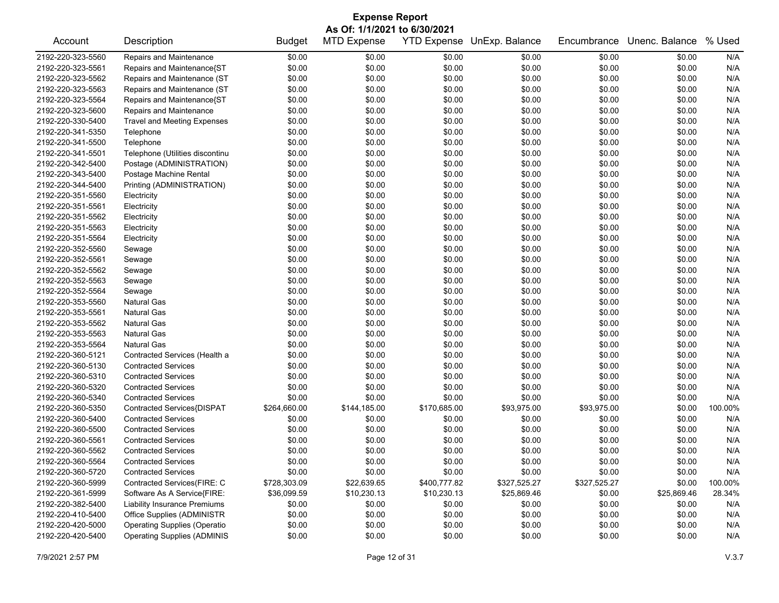| <b>Expense Report</b>        |                                     |               |                    |                    |                |              |                |         |  |
|------------------------------|-------------------------------------|---------------|--------------------|--------------------|----------------|--------------|----------------|---------|--|
| As Of: 1/1/2021 to 6/30/2021 |                                     |               |                    |                    |                |              |                |         |  |
| Account                      | Description                         | <b>Budget</b> | <b>MTD Expense</b> | <b>YTD Expense</b> | UnExp. Balance | Encumbrance  | Unenc. Balance | % Used  |  |
| 2192-220-323-5560            | Repairs and Maintenance             | \$0.00        | \$0.00             | \$0.00             | \$0.00         | \$0.00       | \$0.00         | N/A     |  |
| 2192-220-323-5561            | Repairs and Maintenance{ST          | \$0.00        | \$0.00             | \$0.00             | \$0.00         | \$0.00       | \$0.00         | N/A     |  |
| 2192-220-323-5562            | Repairs and Maintenance (ST         | \$0.00        | \$0.00             | \$0.00             | \$0.00         | \$0.00       | \$0.00         | N/A     |  |
| 2192-220-323-5563            | Repairs and Maintenance (ST         | \$0.00        | \$0.00             | \$0.00             | \$0.00         | \$0.00       | \$0.00         | N/A     |  |
| 2192-220-323-5564            | Repairs and Maintenance{ST          | \$0.00        | \$0.00             | \$0.00             | \$0.00         | \$0.00       | \$0.00         | N/A     |  |
| 2192-220-323-5600            | Repairs and Maintenance             | \$0.00        | \$0.00             | \$0.00             | \$0.00         | \$0.00       | \$0.00         | N/A     |  |
| 2192-220-330-5400            | <b>Travel and Meeting Expenses</b>  | \$0.00        | \$0.00             | \$0.00             | \$0.00         | \$0.00       | \$0.00         | N/A     |  |
| 2192-220-341-5350            | Telephone                           | \$0.00        | \$0.00             | \$0.00             | \$0.00         | \$0.00       | \$0.00         | N/A     |  |
| 2192-220-341-5500            | Telephone                           | \$0.00        | \$0.00             | \$0.00             | \$0.00         | \$0.00       | \$0.00         | N/A     |  |
| 2192-220-341-5501            | Telephone (Utilities discontinu     | \$0.00        | \$0.00             | \$0.00             | \$0.00         | \$0.00       | \$0.00         | N/A     |  |
| 2192-220-342-5400            | Postage (ADMINISTRATION)            | \$0.00        | \$0.00             | \$0.00             | \$0.00         | \$0.00       | \$0.00         | N/A     |  |
| 2192-220-343-5400            | Postage Machine Rental              | \$0.00        | \$0.00             | \$0.00             | \$0.00         | \$0.00       | \$0.00         | N/A     |  |
| 2192-220-344-5400            | Printing (ADMINISTRATION)           | \$0.00        | \$0.00             | \$0.00             | \$0.00         | \$0.00       | \$0.00         | N/A     |  |
| 2192-220-351-5560            | Electricity                         | \$0.00        | \$0.00             | \$0.00             | \$0.00         | \$0.00       | \$0.00         | N/A     |  |
| 2192-220-351-5561            | Electricity                         | \$0.00        | \$0.00             | \$0.00             | \$0.00         | \$0.00       | \$0.00         | N/A     |  |
| 2192-220-351-5562            | Electricity                         | \$0.00        | \$0.00             | \$0.00             | \$0.00         | \$0.00       | \$0.00         | N/A     |  |
| 2192-220-351-5563            | Electricity                         | \$0.00        | \$0.00             | \$0.00             | \$0.00         | \$0.00       | \$0.00         | N/A     |  |
| 2192-220-351-5564            | Electricity                         | \$0.00        | \$0.00             | \$0.00             | \$0.00         | \$0.00       | \$0.00         | N/A     |  |
| 2192-220-352-5560            | Sewage                              | \$0.00        | \$0.00             | \$0.00             | \$0.00         | \$0.00       | \$0.00         | N/A     |  |
| 2192-220-352-5561            | Sewage                              | \$0.00        | \$0.00             | \$0.00             | \$0.00         | \$0.00       | \$0.00         | N/A     |  |
| 2192-220-352-5562            | Sewage                              | \$0.00        | \$0.00             | \$0.00             | \$0.00         | \$0.00       | \$0.00         | N/A     |  |
| 2192-220-352-5563            | Sewage                              | \$0.00        | \$0.00             | \$0.00             | \$0.00         | \$0.00       | \$0.00         | N/A     |  |
| 2192-220-352-5564            | Sewage                              | \$0.00        | \$0.00             | \$0.00             | \$0.00         | \$0.00       | \$0.00         | N/A     |  |
| 2192-220-353-5560            | <b>Natural Gas</b>                  | \$0.00        | \$0.00             | \$0.00             | \$0.00         | \$0.00       | \$0.00         | N/A     |  |
| 2192-220-353-5561            | <b>Natural Gas</b>                  | \$0.00        | \$0.00             | \$0.00             | \$0.00         | \$0.00       | \$0.00         | N/A     |  |
| 2192-220-353-5562            | <b>Natural Gas</b>                  | \$0.00        | \$0.00             | \$0.00             | \$0.00         | \$0.00       | \$0.00         | N/A     |  |
| 2192-220-353-5563            | <b>Natural Gas</b>                  | \$0.00        | \$0.00             | \$0.00             | \$0.00         | \$0.00       | \$0.00         | N/A     |  |
| 2192-220-353-5564            | <b>Natural Gas</b>                  | \$0.00        | \$0.00             | \$0.00             | \$0.00         | \$0.00       | \$0.00         | N/A     |  |
| 2192-220-360-5121            | Contracted Services (Health a       | \$0.00        | \$0.00             | \$0.00             | \$0.00         | \$0.00       | \$0.00         | N/A     |  |
| 2192-220-360-5130            | <b>Contracted Services</b>          | \$0.00        | \$0.00             | \$0.00             | \$0.00         | \$0.00       | \$0.00         | N/A     |  |
| 2192-220-360-5310            | <b>Contracted Services</b>          | \$0.00        | \$0.00             | \$0.00             | \$0.00         | \$0.00       | \$0.00         | N/A     |  |
| 2192-220-360-5320            | <b>Contracted Services</b>          | \$0.00        | \$0.00             | \$0.00             | \$0.00         | \$0.00       | \$0.00         | N/A     |  |
| 2192-220-360-5340            | <b>Contracted Services</b>          | \$0.00        | \$0.00             | \$0.00             | \$0.00         | \$0.00       | \$0.00         | N/A     |  |
| 2192-220-360-5350            | Contracted Services{DISPAT          | \$264,660.00  | \$144,185.00       | \$170,685.00       | \$93,975.00    | \$93,975.00  | \$0.00         | 100.00% |  |
| 2192-220-360-5400            | <b>Contracted Services</b>          | \$0.00        | \$0.00             | \$0.00             | \$0.00         | \$0.00       | \$0.00         | N/A     |  |
| 2192-220-360-5500            | <b>Contracted Services</b>          | \$0.00        | \$0.00             | \$0.00             | \$0.00         | \$0.00       | \$0.00         | N/A     |  |
| 2192-220-360-5561            | <b>Contracted Services</b>          | \$0.00        | \$0.00             | \$0.00             | \$0.00         | \$0.00       | \$0.00         | N/A     |  |
| 2192-220-360-5562            | <b>Contracted Services</b>          | \$0.00        | \$0.00             | \$0.00             | \$0.00         | \$0.00       | \$0.00         | N/A     |  |
| 2192-220-360-5564            | <b>Contracted Services</b>          | \$0.00        | \$0.00             | \$0.00             | \$0.00         | \$0.00       | \$0.00         | N/A     |  |
| 2192-220-360-5720            | <b>Contracted Services</b>          | \$0.00        | \$0.00             | \$0.00             | \$0.00         | \$0.00       | \$0.00         | N/A     |  |
| 2192-220-360-5999            | Contracted Services(FIRE: C         | \$728,303.09  | \$22,639.65        | \$400,777.82       | \$327,525.27   | \$327,525.27 | \$0.00         | 100.00% |  |
| 2192-220-361-5999            | Software As A Service{FIRE:         | \$36,099.59   | \$10,230.13        | \$10,230.13        | \$25,869.46    | \$0.00       | \$25,869.46    | 28.34%  |  |
| 2192-220-382-5400            | <b>Liability Insurance Premiums</b> | \$0.00        | \$0.00             | \$0.00             | \$0.00         | \$0.00       | \$0.00         | N/A     |  |
| 2192-220-410-5400            | Office Supplies (ADMINISTR          | \$0.00        | \$0.00             | \$0.00             | \$0.00         | \$0.00       | \$0.00         | N/A     |  |
| 2192-220-420-5000            | <b>Operating Supplies (Operatio</b> | \$0.00        | \$0.00             | \$0.00             | \$0.00         | \$0.00       | \$0.00         | N/A     |  |
| 2192-220-420-5400            | <b>Operating Supplies (ADMINIS</b>  | \$0.00        | \$0.00             | \$0.00             | \$0.00         | \$0.00       | \$0.00         | N/A     |  |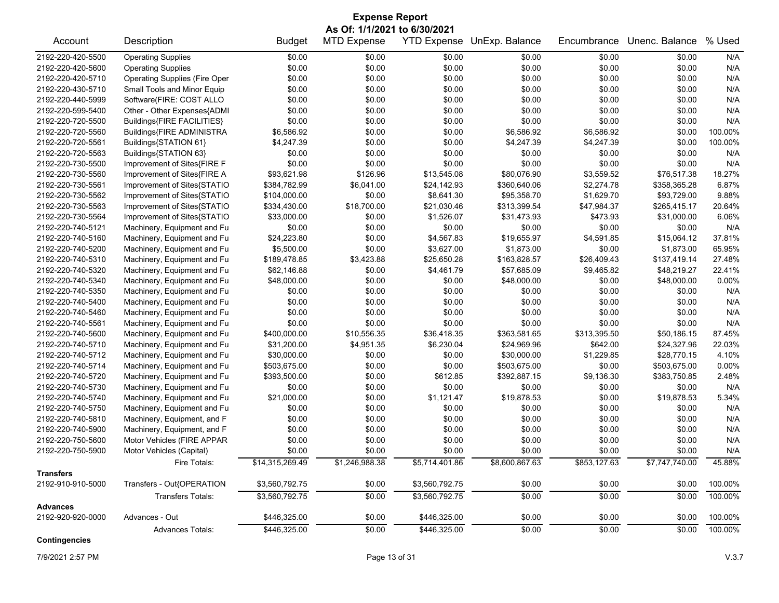| <b>Expense Report</b> |                                      |                 |                              |                |                            |              |                |          |  |
|-----------------------|--------------------------------------|-----------------|------------------------------|----------------|----------------------------|--------------|----------------|----------|--|
|                       |                                      |                 | As Of: 1/1/2021 to 6/30/2021 |                |                            |              |                |          |  |
| Account               | Description                          | <b>Budget</b>   | <b>MTD Expense</b>           |                | YTD Expense UnExp. Balance | Encumbrance  | Unenc. Balance | % Used   |  |
| 2192-220-420-5500     | <b>Operating Supplies</b>            | \$0.00          | \$0.00                       | \$0.00         | \$0.00                     | \$0.00       | \$0.00         | N/A      |  |
| 2192-220-420-5600     | <b>Operating Supplies</b>            | \$0.00          | \$0.00                       | \$0.00         | \$0.00                     | \$0.00       | \$0.00         | N/A      |  |
| 2192-220-420-5710     | <b>Operating Supplies (Fire Oper</b> | \$0.00          | \$0.00                       | \$0.00         | \$0.00                     | \$0.00       | \$0.00         | N/A      |  |
| 2192-220-430-5710     | Small Tools and Minor Equip          | \$0.00          | \$0.00                       | \$0.00         | \$0.00                     | \$0.00       | \$0.00         | N/A      |  |
| 2192-220-440-5999     | Software(FIRE: COST ALLO             | \$0.00          | \$0.00                       | \$0.00         | \$0.00                     | \$0.00       | \$0.00         | N/A      |  |
| 2192-220-599-5400     | Other - Other Expenses{ADMI          | \$0.00          | \$0.00                       | \$0.00         | \$0.00                     | \$0.00       | \$0.00         | N/A      |  |
| 2192-220-720-5500     | Buildings{FIRE FACILITIES}           | \$0.00          | \$0.00                       | \$0.00         | \$0.00                     | \$0.00       | \$0.00         | N/A      |  |
| 2192-220-720-5560     | Buildings{FIRE ADMINISTRA            | \$6,586.92      | \$0.00                       | \$0.00         | \$6,586.92                 | \$6,586.92   | \$0.00         | 100.00%  |  |
| 2192-220-720-5561     | Buildings{STATION 61}                | \$4,247.39      | \$0.00                       | \$0.00         | \$4,247.39                 | \$4,247.39   | \$0.00         | 100.00%  |  |
| 2192-220-720-5563     | Buildings{STATION 63}                | \$0.00          | \$0.00                       | \$0.00         | \$0.00                     | \$0.00       | \$0.00         | N/A      |  |
| 2192-220-730-5500     | Improvement of Sites{FIRE F          | \$0.00          | \$0.00                       | \$0.00         | \$0.00                     | \$0.00       | \$0.00         | N/A      |  |
| 2192-220-730-5560     | Improvement of Sites{FIRE A          | \$93,621.98     | \$126.96                     | \$13,545.08    | \$80,076.90                | \$3,559.52   | \$76,517.38    | 18.27%   |  |
| 2192-220-730-5561     | Improvement of Sites{STATIO          | \$384,782.99    | \$6,041.00                   | \$24,142.93    | \$360,640.06               | \$2,274.78   | \$358,365.28   | 6.87%    |  |
| 2192-220-730-5562     | Improvement of Sites{STATIO          | \$104,000.00    | \$0.00                       | \$8,641.30     | \$95,358.70                | \$1,629.70   | \$93,729.00    | 9.88%    |  |
| 2192-220-730-5563     | Improvement of Sites{STATIO          | \$334,430.00    | \$18,700.00                  | \$21,030.46    | \$313,399.54               | \$47,984.37  | \$265,415.17   | 20.64%   |  |
| 2192-220-730-5564     | Improvement of Sites{STATIO          | \$33,000.00     | \$0.00                       | \$1,526.07     | \$31,473.93                | \$473.93     | \$31,000.00    | 6.06%    |  |
| 2192-220-740-5121     | Machinery, Equipment and Fu          | \$0.00          | \$0.00                       | \$0.00         | \$0.00                     | \$0.00       | \$0.00         | N/A      |  |
| 2192-220-740-5160     | Machinery, Equipment and Fu          | \$24,223.80     | \$0.00                       | \$4,567.83     | \$19,655.97                | \$4,591.85   | \$15,064.12    | 37.81%   |  |
| 2192-220-740-5200     | Machinery, Equipment and Fu          | \$5,500.00      | \$0.00                       | \$3,627.00     | \$1,873.00                 | \$0.00       | \$1,873.00     | 65.95%   |  |
| 2192-220-740-5310     | Machinery, Equipment and Fu          | \$189,478.85    | \$3,423.88                   | \$25,650.28    | \$163,828.57               | \$26,409.43  | \$137,419.14   | 27.48%   |  |
| 2192-220-740-5320     | Machinery, Equipment and Fu          | \$62,146.88     | \$0.00                       | \$4,461.79     | \$57,685.09                | \$9,465.82   | \$48,219.27    | 22.41%   |  |
| 2192-220-740-5340     | Machinery, Equipment and Fu          | \$48,000.00     | \$0.00                       | \$0.00         | \$48,000.00                | \$0.00       | \$48,000.00    | $0.00\%$ |  |
| 2192-220-740-5350     | Machinery, Equipment and Fu          | \$0.00          | \$0.00                       | \$0.00         | \$0.00                     | \$0.00       | \$0.00         | N/A      |  |
| 2192-220-740-5400     | Machinery, Equipment and Fu          | \$0.00          | \$0.00                       | \$0.00         | \$0.00                     | \$0.00       | \$0.00         | N/A      |  |
| 2192-220-740-5460     | Machinery, Equipment and Fu          | \$0.00          | \$0.00                       | \$0.00         | \$0.00                     | \$0.00       | \$0.00         | N/A      |  |
| 2192-220-740-5561     | Machinery, Equipment and Fu          | \$0.00          | \$0.00                       | \$0.00         | \$0.00                     | \$0.00       | \$0.00         | N/A      |  |
| 2192-220-740-5600     | Machinery, Equipment and Fu          | \$400,000.00    | \$10,556.35                  | \$36,418.35    | \$363,581.65               | \$313,395.50 | \$50,186.15    | 87.45%   |  |
| 2192-220-740-5710     | Machinery, Equipment and Fu          | \$31,200.00     | \$4,951.35                   | \$6,230.04     | \$24,969.96                | \$642.00     | \$24,327.96    | 22.03%   |  |
| 2192-220-740-5712     | Machinery, Equipment and Fu          | \$30,000.00     | \$0.00                       | \$0.00         | \$30,000.00                | \$1,229.85   | \$28,770.15    | 4.10%    |  |
| 2192-220-740-5714     | Machinery, Equipment and Fu          | \$503,675.00    | \$0.00                       | \$0.00         | \$503,675.00               | \$0.00       | \$503,675.00   | 0.00%    |  |
| 2192-220-740-5720     | Machinery, Equipment and Fu          | \$393,500.00    | \$0.00                       | \$612.85       | \$392,887.15               | \$9,136.30   | \$383,750.85   | 2.48%    |  |
| 2192-220-740-5730     | Machinery, Equipment and Fu          | \$0.00          | \$0.00                       | \$0.00         | \$0.00                     | \$0.00       | \$0.00         | N/A      |  |
| 2192-220-740-5740     | Machinery, Equipment and Fu          | \$21,000.00     | \$0.00                       | \$1,121.47     | \$19,878.53                | \$0.00       | \$19,878.53    | 5.34%    |  |
| 2192-220-740-5750     | Machinery, Equipment and Fu          | \$0.00          | \$0.00                       | \$0.00         | \$0.00                     | \$0.00       | \$0.00         | N/A      |  |
| 2192-220-740-5810     | Machinery, Equipment, and F          | \$0.00          | \$0.00                       | \$0.00         | \$0.00                     | \$0.00       | \$0.00         | N/A      |  |
| 2192-220-740-5900     | Machinery, Equipment, and F          | \$0.00          | \$0.00                       | \$0.00         | \$0.00                     | \$0.00       | \$0.00         | N/A      |  |
| 2192-220-750-5600     | Motor Vehicles (FIRE APPAR           | \$0.00          | \$0.00                       | \$0.00         | \$0.00                     | \$0.00       | \$0.00         | N/A      |  |
| 2192-220-750-5900     | Motor Vehicles (Capital)             | \$0.00          | \$0.00                       | \$0.00         | \$0.00                     | \$0.00       | \$0.00         | N/A      |  |
|                       | Fire Totals:                         | \$14,315,269.49 | \$1,246,988.38               | \$5,714,401.86 | \$8,600,867.63             | \$853,127.63 | \$7,747,740.00 | 45.88%   |  |
| <b>Transfers</b>      |                                      |                 |                              |                |                            |              |                |          |  |
| 2192-910-910-5000     | Transfers - Out{OPERATION            | \$3,560,792.75  | \$0.00                       | \$3,560,792.75 | \$0.00                     | \$0.00       | \$0.00         | 100.00%  |  |
|                       | <b>Transfers Totals:</b>             | \$3,560,792.75  | \$0.00                       | \$3,560,792.75 | \$0.00                     | \$0.00       | \$0.00         | 100.00%  |  |
| <b>Advances</b>       |                                      |                 |                              |                |                            |              |                |          |  |
| 2192-920-920-0000     | Advances - Out                       | \$446,325.00    | \$0.00                       | \$446,325.00   | \$0.00                     | \$0.00       | \$0.00         | 100.00%  |  |
|                       | <b>Advances Totals:</b>              | \$446,325.00    | \$0.00                       | \$446,325.00   | \$0.00                     | \$0.00       | \$0.00         | 100.00%  |  |

**Contingencies**

7/9/2021 2:57 PM Page 13 of 31 V.3.7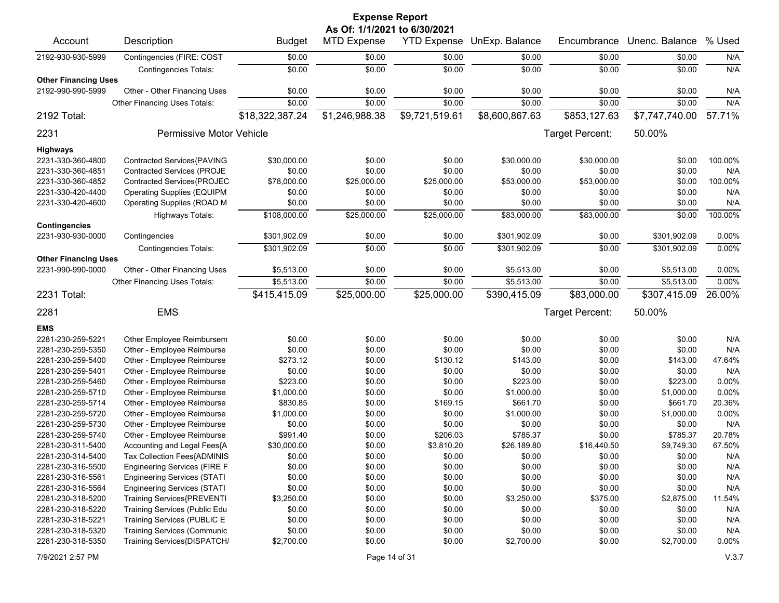| <b>Expense Report</b><br>As Of: 1/1/2021 to 6/30/2021 |                                     |                  |                    |                |                            |                 |                |         |  |
|-------------------------------------------------------|-------------------------------------|------------------|--------------------|----------------|----------------------------|-----------------|----------------|---------|--|
| Account                                               | Description                         | <b>Budget</b>    | <b>MTD Expense</b> |                | YTD Expense UnExp. Balance | Encumbrance     | Unenc. Balance | % Used  |  |
| 2192-930-930-5999                                     | Contingencies (FIRE: COST           | \$0.00           | \$0.00             | \$0.00         | \$0.00                     | \$0.00          | \$0.00         | N/A     |  |
|                                                       | <b>Contingencies Totals:</b>        | $\frac{1}{0000}$ | \$0.00             | \$0.00         | \$0.00                     | \$0.00          | \$0.00         | N/A     |  |
| <b>Other Financing Uses</b>                           |                                     |                  |                    |                |                            |                 |                |         |  |
| 2192-990-990-5999                                     | Other - Other Financing Uses        | \$0.00           | \$0.00             | \$0.00         | \$0.00                     | \$0.00          | \$0.00         | N/A     |  |
|                                                       | Other Financing Uses Totals:        | \$0.00           | \$0.00             | \$0.00         | \$0.00                     | \$0.00          | \$0.00         | N/A     |  |
| 2192 Total:                                           |                                     | \$18,322,387.24  | \$1,246,988.38     | \$9,721,519.61 | \$8,600,867.63             | \$853,127.63    | \$7,747,740.00 | 57.71%  |  |
| 2231                                                  | Permissive Motor Vehicle            |                  |                    |                |                            | Target Percent: | 50.00%         |         |  |
| Highways                                              |                                     |                  |                    |                |                            |                 |                |         |  |
| 2231-330-360-4800                                     | Contracted Services{PAVING          | \$30,000.00      | \$0.00             | \$0.00         | \$30,000.00                | \$30,000.00     | \$0.00         | 100.00% |  |
| 2231-330-360-4851                                     | <b>Contracted Services (PROJE</b>   | \$0.00           | \$0.00             | \$0.00         | \$0.00                     | \$0.00          | \$0.00         | N/A     |  |
| 2231-330-360-4852                                     | Contracted Services{PROJEC          | \$78,000.00      | \$25,000.00        | \$25,000.00    | \$53,000.00                | \$53,000.00     | \$0.00         | 100.00% |  |
| 2231-330-420-4400                                     | <b>Operating Supplies (EQUIPM</b>   | \$0.00           | \$0.00             | \$0.00         | \$0.00                     | \$0.00          | \$0.00         | N/A     |  |
| 2231-330-420-4600                                     | <b>Operating Supplies (ROAD M</b>   | \$0.00           | \$0.00             | \$0.00         | \$0.00                     | \$0.00          | \$0.00         | N/A     |  |
|                                                       | <b>Highways Totals:</b>             | \$108,000.00     | \$25,000.00        | \$25,000.00    | \$83,000.00                | \$83,000.00     | \$0.00         | 100.00% |  |
| <b>Contingencies</b><br>2231-930-930-0000             | Contingencies                       | \$301,902.09     | \$0.00             | \$0.00         | \$301,902.09               | \$0.00          | \$301,902.09   | 0.00%   |  |
|                                                       | <b>Contingencies Totals:</b>        | \$301,902.09     | \$0.00             | \$0.00         | \$301,902.09               | \$0.00          | \$301,902.09   | 0.00%   |  |
| <b>Other Financing Uses</b>                           |                                     |                  |                    |                |                            |                 |                |         |  |
| 2231-990-990-0000                                     | Other - Other Financing Uses        | \$5,513.00       | \$0.00             | \$0.00         | \$5,513.00                 | \$0.00          | \$5,513.00     | 0.00%   |  |
|                                                       | Other Financing Uses Totals:        | \$5,513.00       | \$0.00             | \$0.00         | \$5,513.00                 | \$0.00          | \$5,513.00     | 0.00%   |  |
| 2231 Total:                                           |                                     | \$415,415.09     | \$25,000.00        | \$25,000.00    | \$390,415.09               | \$83,000.00     | \$307,415.09   | 26.00%  |  |
| 2281                                                  | <b>EMS</b>                          |                  |                    |                |                            | Target Percent: | 50.00%         |         |  |
| <b>EMS</b>                                            |                                     |                  |                    |                |                            |                 |                |         |  |
| 2281-230-259-5221                                     | Other Employee Reimbursem           | \$0.00           | \$0.00             | \$0.00         | \$0.00                     | \$0.00          | \$0.00         | N/A     |  |
| 2281-230-259-5350                                     | Other - Employee Reimburse          | \$0.00           | \$0.00             | \$0.00         | \$0.00                     | \$0.00          | \$0.00         | N/A     |  |
| 2281-230-259-5400                                     | Other - Employee Reimburse          | \$273.12         | \$0.00             | \$130.12       | \$143.00                   | \$0.00          | \$143.00       | 47.64%  |  |
| 2281-230-259-5401                                     | Other - Employee Reimburse          | \$0.00           | \$0.00             | \$0.00         | \$0.00                     | \$0.00          | \$0.00         | N/A     |  |
| 2281-230-259-5460                                     | Other - Employee Reimburse          | \$223.00         | \$0.00             | \$0.00         | \$223.00                   | \$0.00          | \$223.00       | 0.00%   |  |
| 2281-230-259-5710                                     | Other - Employee Reimburse          | \$1,000.00       | \$0.00             | \$0.00         | \$1,000.00                 | \$0.00          | \$1,000.00     | 0.00%   |  |
| 2281-230-259-5714                                     | Other - Employee Reimburse          | \$830.85         | \$0.00             | \$169.15       | \$661.70                   | \$0.00          | \$661.70       | 20.36%  |  |
| 2281-230-259-5720                                     | Other - Employee Reimburse          | \$1,000.00       | \$0.00             | \$0.00         | \$1,000.00                 | \$0.00          | \$1,000.00     | 0.00%   |  |
| 2281-230-259-5730                                     | Other - Employee Reimburse          | \$0.00           | \$0.00             | \$0.00         | \$0.00                     | \$0.00          | \$0.00         | N/A     |  |
| 2281-230-259-5740                                     | Other - Employee Reimburse          | \$991.40         | \$0.00             | \$206.03       | \$785.37                   | \$0.00          | \$785.37       | 20.78%  |  |
| 2281-230-311-5400                                     | Accounting and Legal Fees{A         | \$30,000.00      | \$0.00             | \$3,810.20     | \$26,189.80                | \$16,440.50     | \$9,749.30     | 67.50%  |  |
| 2281-230-314-5400                                     | Tax Collection Fees{ADMINIS         | \$0.00           | \$0.00             | \$0.00         | \$0.00                     | \$0.00          | \$0.00         | N/A     |  |
| 2281-230-316-5500                                     | <b>Engineering Services (FIRE F</b> | \$0.00           | \$0.00             | \$0.00         | \$0.00                     | \$0.00          | \$0.00         | N/A     |  |
| 2281-230-316-5561                                     | <b>Engineering Services (STATI</b>  | \$0.00           | \$0.00             | \$0.00         | \$0.00                     | \$0.00          | \$0.00         | N/A     |  |
| 2281-230-316-5564                                     | <b>Engineering Services (STATI</b>  | \$0.00           | \$0.00             | \$0.00         | \$0.00                     | \$0.00          | \$0.00         | N/A     |  |
| 2281-230-318-5200                                     | <b>Training Services{PREVENTI</b>   | \$3,250.00       | \$0.00             | \$0.00         | \$3,250.00                 | \$375.00        | \$2,875.00     | 11.54%  |  |
| 2281-230-318-5220                                     | Training Services (Public Edu       | \$0.00           | \$0.00             | \$0.00         | \$0.00                     | \$0.00          | \$0.00         | N/A     |  |
| 2281-230-318-5221                                     | Training Services (PUBLIC E         | \$0.00           | \$0.00             | \$0.00         | \$0.00                     | \$0.00          | \$0.00         | N/A     |  |
| 2281-230-318-5320                                     | <b>Training Services (Communic</b>  | \$0.00           | \$0.00             | \$0.00         | \$0.00                     | \$0.00          | \$0.00         | N/A     |  |
| 2281-230-318-5350                                     | Training Services{DISPATCH/         | \$2,700.00       | \$0.00             | \$0.00         | \$2,700.00                 | \$0.00          | \$2,700.00     | 0.00%   |  |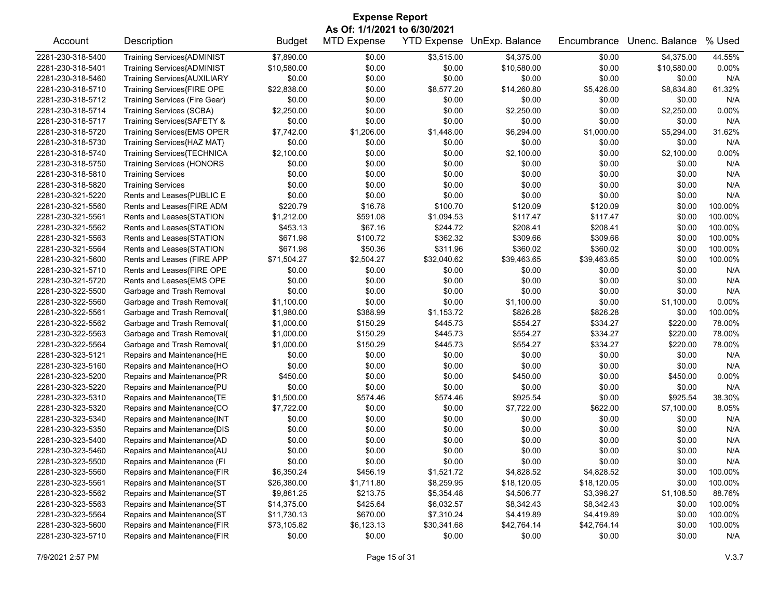| <b>Expense Report</b> |                                   |               |                              |             |                            |             |                |         |  |  |
|-----------------------|-----------------------------------|---------------|------------------------------|-------------|----------------------------|-------------|----------------|---------|--|--|
|                       |                                   |               | As Of: 1/1/2021 to 6/30/2021 |             |                            |             |                |         |  |  |
| Account               | Description                       | <b>Budget</b> | <b>MTD Expense</b>           |             | YTD Expense UnExp. Balance | Encumbrance | Unenc. Balance | % Used  |  |  |
| 2281-230-318-5400     | <b>Training Services{ADMINIST</b> | \$7,890.00    | \$0.00                       | \$3,515.00  | \$4,375.00                 | \$0.00      | \$4,375.00     | 44.55%  |  |  |
| 2281-230-318-5401     | Training Services{ADMINIST        | \$10,580.00   | \$0.00                       | \$0.00      | \$10,580.00                | \$0.00      | \$10,580.00    | 0.00%   |  |  |
| 2281-230-318-5460     | Training Services{AUXILIARY       | \$0.00        | \$0.00                       | \$0.00      | \$0.00                     | \$0.00      | \$0.00         | N/A     |  |  |
| 2281-230-318-5710     | Training Services{FIRE OPE        | \$22,838.00   | \$0.00                       | \$8,577.20  | \$14,260.80                | \$5,426.00  | \$8,834.80     | 61.32%  |  |  |
| 2281-230-318-5712     | Training Services (Fire Gear)     | \$0.00        | \$0.00                       | \$0.00      | \$0.00                     | \$0.00      | \$0.00         | N/A     |  |  |
| 2281-230-318-5714     | <b>Training Services (SCBA)</b>   | \$2,250.00    | \$0.00                       | \$0.00      | \$2,250.00                 | \$0.00      | \$2,250.00     | 0.00%   |  |  |
| 2281-230-318-5717     | Training Services{SAFETY &        | \$0.00        | \$0.00                       | \$0.00      | \$0.00                     | \$0.00      | \$0.00         | N/A     |  |  |
| 2281-230-318-5720     | Training Services{EMS OPER        | \$7,742.00    | \$1,206.00                   | \$1,448.00  | \$6,294.00                 | \$1,000.00  | \$5,294.00     | 31.62%  |  |  |
| 2281-230-318-5730     | Training Services{HAZ MAT}        | \$0.00        | \$0.00                       | \$0.00      | \$0.00                     | \$0.00      | \$0.00         | N/A     |  |  |
| 2281-230-318-5740     | Training Services{TECHNICA        | \$2,100.00    | \$0.00                       | \$0.00      | \$2,100.00                 | \$0.00      | \$2,100.00     | 0.00%   |  |  |
| 2281-230-318-5750     | <b>Training Services (HONORS</b>  | \$0.00        | \$0.00                       | \$0.00      | \$0.00                     | \$0.00      | \$0.00         | N/A     |  |  |
| 2281-230-318-5810     | <b>Training Services</b>          | \$0.00        | \$0.00                       | \$0.00      | \$0.00                     | \$0.00      | \$0.00         | N/A     |  |  |
| 2281-230-318-5820     | <b>Training Services</b>          | \$0.00        | \$0.00                       | \$0.00      | \$0.00                     | \$0.00      | \$0.00         | N/A     |  |  |
| 2281-230-321-5220     | Rents and Leases{PUBLIC E         | \$0.00        | \$0.00                       | \$0.00      | \$0.00                     | \$0.00      | \$0.00         | N/A     |  |  |
| 2281-230-321-5560     | Rents and Leases{FIRE ADM         | \$220.79      | \$16.78                      | \$100.70    | \$120.09                   | \$120.09    | \$0.00         | 100.00% |  |  |
| 2281-230-321-5561     | Rents and Leases{STATION          | \$1,212.00    | \$591.08                     | \$1,094.53  | \$117.47                   | \$117.47    | \$0.00         | 100.00% |  |  |
| 2281-230-321-5562     | Rents and Leases{STATION          | \$453.13      | \$67.16                      | \$244.72    | \$208.41                   | \$208.41    | \$0.00         | 100.00% |  |  |
| 2281-230-321-5563     | Rents and Leases{STATION          | \$671.98      | \$100.72                     | \$362.32    | \$309.66                   | \$309.66    | \$0.00         | 100.00% |  |  |
| 2281-230-321-5564     | Rents and Leases{STATION          | \$671.98      | \$50.36                      | \$311.96    | \$360.02                   | \$360.02    | \$0.00         | 100.00% |  |  |
| 2281-230-321-5600     | Rents and Leases (FIRE APP        | \$71,504.27   | \$2,504.27                   | \$32,040.62 | \$39,463.65                | \$39,463.65 | \$0.00         | 100.00% |  |  |
| 2281-230-321-5710     | Rents and Leases{FIRE OPE         | \$0.00        | \$0.00                       | \$0.00      | \$0.00                     | \$0.00      | \$0.00         | N/A     |  |  |
| 2281-230-321-5720     | Rents and Leases{EMS OPE          | \$0.00        | \$0.00                       | \$0.00      | \$0.00                     | \$0.00      | \$0.00         | N/A     |  |  |
| 2281-230-322-5500     | Garbage and Trash Removal         | \$0.00        | \$0.00                       | \$0.00      | \$0.00                     | \$0.00      | \$0.00         | N/A     |  |  |
| 2281-230-322-5560     | Garbage and Trash Removal{        | \$1,100.00    | \$0.00                       | \$0.00      | \$1,100.00                 | \$0.00      | \$1,100.00     | 0.00%   |  |  |
| 2281-230-322-5561     | Garbage and Trash Removal{        | \$1,980.00    | \$388.99                     | \$1,153.72  | \$826.28                   | \$826.28    | \$0.00         | 100.00% |  |  |
| 2281-230-322-5562     | Garbage and Trash Removal{        | \$1,000.00    | \$150.29                     | \$445.73    | \$554.27                   | \$334.27    | \$220.00       | 78.00%  |  |  |
| 2281-230-322-5563     | Garbage and Trash Removal{        | \$1,000.00    | \$150.29                     | \$445.73    | \$554.27                   | \$334.27    | \$220.00       | 78.00%  |  |  |
| 2281-230-322-5564     | Garbage and Trash Removal{        | \$1,000.00    | \$150.29                     | \$445.73    | \$554.27                   | \$334.27    | \$220.00       | 78.00%  |  |  |
| 2281-230-323-5121     | Repairs and Maintenance{HE        | \$0.00        | \$0.00                       | \$0.00      | \$0.00                     | \$0.00      | \$0.00         | N/A     |  |  |
| 2281-230-323-5160     | Repairs and Maintenance{HO        | \$0.00        | \$0.00                       | \$0.00      | \$0.00                     | \$0.00      | \$0.00         | N/A     |  |  |
| 2281-230-323-5200     | Repairs and Maintenance{PR        | \$450.00      | \$0.00                       | \$0.00      | \$450.00                   | \$0.00      | \$450.00       | 0.00%   |  |  |
| 2281-230-323-5220     | Repairs and Maintenance{PU        | \$0.00        | \$0.00                       | \$0.00      | \$0.00                     | \$0.00      | \$0.00         | N/A     |  |  |
| 2281-230-323-5310     | Repairs and Maintenance{TE        | \$1,500.00    | \$574.46                     | \$574.46    | \$925.54                   | \$0.00      | \$925.54       | 38.30%  |  |  |
| 2281-230-323-5320     | Repairs and Maintenance{CO        | \$7,722.00    | \$0.00                       | \$0.00      | \$7,722.00                 | \$622.00    | \$7,100.00     | 8.05%   |  |  |
| 2281-230-323-5340     | Repairs and Maintenance{INT       | \$0.00        | \$0.00                       | \$0.00      | \$0.00                     | \$0.00      | \$0.00         | N/A     |  |  |
| 2281-230-323-5350     | Repairs and Maintenance{DIS       | \$0.00        | \$0.00                       | \$0.00      | \$0.00                     | \$0.00      | \$0.00         | N/A     |  |  |
| 2281-230-323-5400     | Repairs and Maintenance{AD        | \$0.00        | \$0.00                       | \$0.00      | \$0.00                     | \$0.00      | \$0.00         | N/A     |  |  |
| 2281-230-323-5460     | Repairs and Maintenance{AU        | \$0.00        | \$0.00                       | \$0.00      | \$0.00                     | \$0.00      | \$0.00         | N/A     |  |  |
| 2281-230-323-5500     | Repairs and Maintenance (FI       | \$0.00        | \$0.00                       | \$0.00      | \$0.00                     | \$0.00      | \$0.00         | N/A     |  |  |
| 2281-230-323-5560     | Repairs and Maintenance{FIR       | \$6,350.24    | \$456.19                     | \$1,521.72  | \$4,828.52                 | \$4,828.52  | \$0.00         | 100.00% |  |  |
| 2281-230-323-5561     | Repairs and Maintenance{ST        | \$26,380.00   | \$1,711.80                   | \$8,259.95  | \$18,120.05                | \$18,120.05 | \$0.00         | 100.00% |  |  |
| 2281-230-323-5562     | Repairs and Maintenance{ST        | \$9,861.25    | \$213.75                     | \$5,354.48  | \$4,506.77                 | \$3,398.27  | \$1,108.50     | 88.76%  |  |  |
| 2281-230-323-5563     | Repairs and Maintenance{ST        | \$14,375.00   | \$425.64                     | \$6,032.57  | \$8,342.43                 | \$8,342.43  | \$0.00         | 100.00% |  |  |
| 2281-230-323-5564     | Repairs and Maintenance{ST        | \$11,730.13   | \$670.00                     | \$7,310.24  | \$4,419.89                 | \$4,419.89  | \$0.00         | 100.00% |  |  |
| 2281-230-323-5600     | Repairs and Maintenance{FIR       | \$73,105.82   | \$6,123.13                   | \$30,341.68 | \$42,764.14                | \$42,764.14 | \$0.00         | 100.00% |  |  |
| 2281-230-323-5710     | Repairs and Maintenance{FIR       | \$0.00        | \$0.00                       | \$0.00      | \$0.00                     | \$0.00      | \$0.00         | N/A     |  |  |
|                       |                                   |               |                              |             |                            |             |                |         |  |  |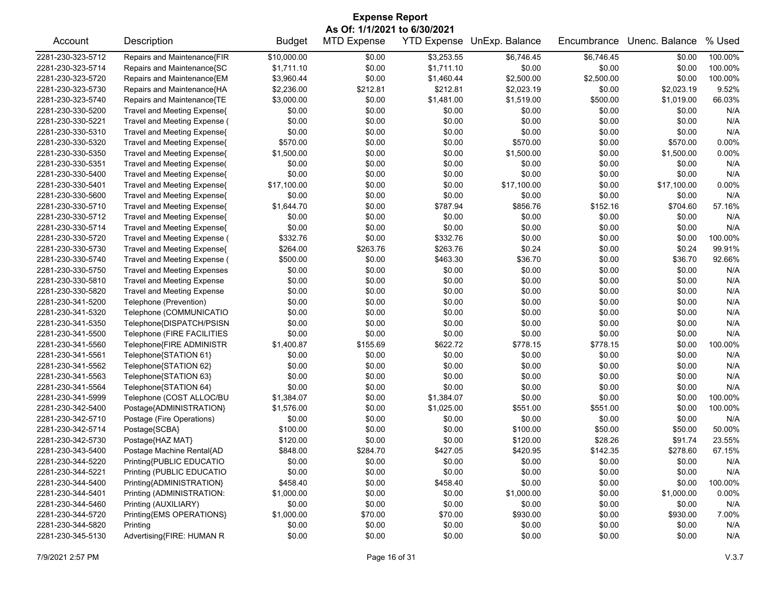| <b>Expense Report</b> |                                    |               |                              |                    |                |             |                |         |  |
|-----------------------|------------------------------------|---------------|------------------------------|--------------------|----------------|-------------|----------------|---------|--|
|                       |                                    |               | As Of: 1/1/2021 to 6/30/2021 |                    |                |             |                |         |  |
| Account               | Description                        | <b>Budget</b> | <b>MTD Expense</b>           | <b>YTD Expense</b> | UnExp. Balance | Encumbrance | Unenc. Balance | % Used  |  |
| 2281-230-323-5712     | Repairs and Maintenance{FIR        | \$10,000.00   | \$0.00                       | \$3,253.55         | \$6,746.45     | \$6,746.45  | \$0.00         | 100.00% |  |
| 2281-230-323-5714     | Repairs and Maintenance{SC         | \$1,711.10    | \$0.00                       | \$1,711.10         | \$0.00         | \$0.00      | \$0.00         | 100.00% |  |
| 2281-230-323-5720     | Repairs and Maintenance{EM         | \$3,960.44    | \$0.00                       | \$1,460.44         | \$2,500.00     | \$2,500.00  | \$0.00         | 100.00% |  |
| 2281-230-323-5730     | Repairs and Maintenance{HA         | \$2,236.00    | \$212.81                     | \$212.81           | \$2,023.19     | \$0.00      | \$2,023.19     | 9.52%   |  |
| 2281-230-323-5740     | Repairs and Maintenance{TE         | \$3,000.00    | \$0.00                       | \$1,481.00         | \$1,519.00     | \$500.00    | \$1,019.00     | 66.03%  |  |
| 2281-230-330-5200     | Travel and Meeting Expense{        | \$0.00        | \$0.00                       | \$0.00             | \$0.00         | \$0.00      | \$0.00         | N/A     |  |
| 2281-230-330-5221     | Travel and Meeting Expense (       | \$0.00        | \$0.00                       | \$0.00             | \$0.00         | \$0.00      | \$0.00         | N/A     |  |
| 2281-230-330-5310     | Travel and Meeting Expense{        | \$0.00        | \$0.00                       | \$0.00             | \$0.00         | \$0.00      | \$0.00         | N/A     |  |
| 2281-230-330-5320     | Travel and Meeting Expense{        | \$570.00      | \$0.00                       | \$0.00             | \$570.00       | \$0.00      | \$570.00       | 0.00%   |  |
| 2281-230-330-5350     | Travel and Meeting Expense{        | \$1,500.00    | \$0.00                       | \$0.00             | \$1,500.00     | \$0.00      | \$1,500.00     | 0.00%   |  |
| 2281-230-330-5351     | Travel and Meeting Expense(        | \$0.00        | \$0.00                       | \$0.00             | \$0.00         | \$0.00      | \$0.00         | N/A     |  |
| 2281-230-330-5400     | Travel and Meeting Expense{        | \$0.00        | \$0.00                       | \$0.00             | \$0.00         | \$0.00      | \$0.00         | N/A     |  |
| 2281-230-330-5401     | Travel and Meeting Expense{        | \$17,100.00   | \$0.00                       | \$0.00             | \$17,100.00    | \$0.00      | \$17,100.00    | 0.00%   |  |
| 2281-230-330-5600     | Travel and Meeting Expense{        | \$0.00        | \$0.00                       | \$0.00             | \$0.00         | \$0.00      | \$0.00         | N/A     |  |
| 2281-230-330-5710     | Travel and Meeting Expense{        | \$1,644.70    | \$0.00                       | \$787.94           | \$856.76       | \$152.16    | \$704.60       | 57.16%  |  |
| 2281-230-330-5712     | Travel and Meeting Expense{        | \$0.00        | \$0.00                       | \$0.00             | \$0.00         | \$0.00      | \$0.00         | N/A     |  |
| 2281-230-330-5714     | Travel and Meeting Expense{        | \$0.00        | \$0.00                       | \$0.00             | \$0.00         | \$0.00      | \$0.00         | N/A     |  |
| 2281-230-330-5720     | Travel and Meeting Expense (       | \$332.76      | \$0.00                       | \$332.76           | \$0.00         | \$0.00      | \$0.00         | 100.00% |  |
| 2281-230-330-5730     | Travel and Meeting Expense{        | \$264.00      | \$263.76                     | \$263.76           | \$0.24         | \$0.00      | \$0.24         | 99.91%  |  |
| 2281-230-330-5740     | Travel and Meeting Expense (       | \$500.00      | \$0.00                       | \$463.30           | \$36.70        | \$0.00      | \$36.70        | 92.66%  |  |
| 2281-230-330-5750     | <b>Travel and Meeting Expenses</b> | \$0.00        | \$0.00                       | \$0.00             | \$0.00         | \$0.00      | \$0.00         | N/A     |  |
| 2281-230-330-5810     | <b>Travel and Meeting Expense</b>  | \$0.00        | \$0.00                       | \$0.00             | \$0.00         | \$0.00      | \$0.00         | N/A     |  |
| 2281-230-330-5820     | <b>Travel and Meeting Expense</b>  | \$0.00        | \$0.00                       | \$0.00             | \$0.00         | \$0.00      | \$0.00         | N/A     |  |
| 2281-230-341-5200     | Telephone (Prevention)             | \$0.00        | \$0.00                       | \$0.00             | \$0.00         | \$0.00      | \$0.00         | N/A     |  |
| 2281-230-341-5320     | Telephone (COMMUNICATIO            | \$0.00        | \$0.00                       | \$0.00             | \$0.00         | \$0.00      | \$0.00         | N/A     |  |
| 2281-230-341-5350     | Telephone{DISPATCH/PSISN           | \$0.00        | \$0.00                       | \$0.00             | \$0.00         | \$0.00      | \$0.00         | N/A     |  |
| 2281-230-341-5500     |                                    | \$0.00        | \$0.00                       | \$0.00             | \$0.00         | \$0.00      | \$0.00         | N/A     |  |
|                       | Telephone (FIRE FACILITIES         |               |                              |                    |                |             | \$0.00         | 100.00% |  |
| 2281-230-341-5560     | Telephone{FIRE ADMINISTR           | \$1,400.87    | \$155.69                     | \$622.72           | \$778.15       | \$778.15    |                |         |  |
| 2281-230-341-5561     | Telephone{STATION 61}              | \$0.00        | \$0.00                       | \$0.00             | \$0.00         | \$0.00      | \$0.00         | N/A     |  |
| 2281-230-341-5562     | Telephone{STATION 62}              | \$0.00        | \$0.00                       | \$0.00             | \$0.00         | \$0.00      | \$0.00         | N/A     |  |
| 2281-230-341-5563     | Telephone{STATION 63}              | \$0.00        | \$0.00                       | \$0.00             | \$0.00         | \$0.00      | \$0.00         | N/A     |  |
| 2281-230-341-5564     | Telephone{STATION 64}              | \$0.00        | \$0.00                       | \$0.00             | \$0.00         | \$0.00      | \$0.00         | N/A     |  |
| 2281-230-341-5999     | Telephone (COST ALLOC/BU           | \$1,384.07    | \$0.00                       | \$1,384.07         | \$0.00         | \$0.00      | \$0.00         | 100.00% |  |
| 2281-230-342-5400     | Postage{ADMINISTRATION}            | \$1,576.00    | \$0.00                       | \$1,025.00         | \$551.00       | \$551.00    | \$0.00         | 100.00% |  |
| 2281-230-342-5710     | Postage (Fire Operations)          | \$0.00        | \$0.00                       | \$0.00             | \$0.00         | \$0.00      | \$0.00         | N/A     |  |
| 2281-230-342-5714     | Postage{SCBA}                      | \$100.00      | \$0.00                       | \$0.00             | \$100.00       | \$50.00     | \$50.00        | 50.00%  |  |
| 2281-230-342-5730     | Postage{HAZ MAT}                   | \$120.00      | \$0.00                       | \$0.00             | \$120.00       | \$28.26     | \$91.74        | 23.55%  |  |
| 2281-230-343-5400     | Postage Machine Rental{AD          | \$848.00      | \$284.70                     | \$427.05           | \$420.95       | \$142.35    | \$278.60       | 67.15%  |  |
| 2281-230-344-5220     | Printing{PUBLIC EDUCATIO           | \$0.00        | \$0.00                       | \$0.00             | \$0.00         | \$0.00      | \$0.00         | N/A     |  |
| 2281-230-344-5221     | Printing (PUBLIC EDUCATIO          | \$0.00        | \$0.00                       | \$0.00             | \$0.00         | \$0.00      | \$0.00         | N/A     |  |
| 2281-230-344-5400     | Printing{ADMINISTRATION}           | \$458.40      | \$0.00                       | \$458.40           | \$0.00         | \$0.00      | \$0.00         | 100.00% |  |
| 2281-230-344-5401     | Printing (ADMINISTRATION:          | \$1,000.00    | \$0.00                       | \$0.00             | \$1,000.00     | \$0.00      | \$1,000.00     | 0.00%   |  |
| 2281-230-344-5460     | Printing (AUXILIARY)               | \$0.00        | \$0.00                       | \$0.00             | \$0.00         | \$0.00      | \$0.00         | N/A     |  |
| 2281-230-344-5720     | Printing{EMS OPERATIONS}           | \$1,000.00    | \$70.00                      | \$70.00            | \$930.00       | \$0.00      | \$930.00       | 7.00%   |  |
| 2281-230-344-5820     | Printing                           | \$0.00        | \$0.00                       | \$0.00             | \$0.00         | \$0.00      | \$0.00         | N/A     |  |
| 2281-230-345-5130     | Advertising{FIRE: HUMAN R          | \$0.00        | \$0.00                       | \$0.00             | \$0.00         | \$0.00      | \$0.00         | N/A     |  |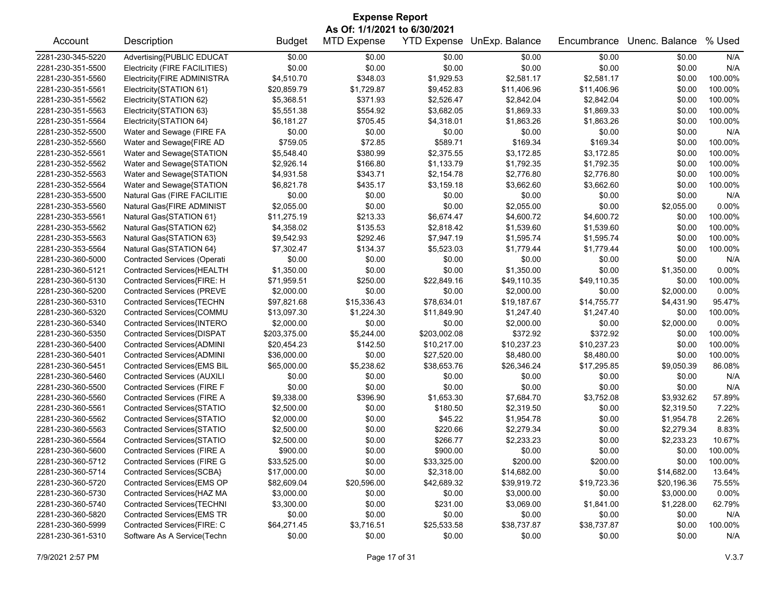| <b>Expense Report</b>        |                                    |                           |                    |              |                            |             |                      |         |  |
|------------------------------|------------------------------------|---------------------------|--------------------|--------------|----------------------------|-------------|----------------------|---------|--|
| As Of: 1/1/2021 to 6/30/2021 |                                    |                           |                    |              |                            |             |                      |         |  |
| Account                      | Description                        | <b>Budget</b>             | <b>MTD Expense</b> |              | YTD Expense UnExp. Balance | Encumbrance | Unenc. Balance       | % Used  |  |
| 2281-230-345-5220            | Advertising{PUBLIC EDUCAT          | \$0.00                    | \$0.00             | \$0.00       | \$0.00                     | \$0.00      | \$0.00               | N/A     |  |
| 2281-230-351-5500            | Electricity (FIRE FACILITIES)      | \$0.00                    | \$0.00             | \$0.00       | \$0.00                     | \$0.00      | \$0.00               | N/A     |  |
| 2281-230-351-5560            | Electricity{FIRE ADMINISTRA        | \$4,510.70                | \$348.03           | \$1,929.53   | \$2,581.17                 | \$2,581.17  | \$0.00               | 100.00% |  |
| 2281-230-351-5561            | Electricity{STATION 61}            | \$20,859.79               | \$1,729.87         | \$9,452.83   | \$11,406.96                | \$11,406.96 | \$0.00               | 100.00% |  |
| 2281-230-351-5562            | Electricity{STATION 62}            | \$5,368.51                | \$371.93           | \$2,526.47   | \$2,842.04                 | \$2,842.04  | \$0.00               | 100.00% |  |
| 2281-230-351-5563            | Electricity{STATION 63}            | \$5,551.38                | \$554.92           | \$3,682.05   | \$1,869.33                 | \$1,869.33  | \$0.00               | 100.00% |  |
| 2281-230-351-5564            | Electricity{STATION 64}            | \$6,181.27                | \$705.45           | \$4,318.01   | \$1,863.26                 | \$1,863.26  | \$0.00               | 100.00% |  |
| 2281-230-352-5500            | Water and Sewage (FIRE FA          | \$0.00                    | \$0.00             | \$0.00       | \$0.00                     | \$0.00      | \$0.00               | N/A     |  |
| 2281-230-352-5560            | Water and Sewage{FIRE AD           | \$759.05                  | \$72.85            | \$589.71     | \$169.34                   | \$169.34    | \$0.00               | 100.00% |  |
| 2281-230-352-5561            | Water and Sewage{STATION           | \$5,548.40                | \$380.99           | \$2,375.55   | \$3,172.85                 | \$3,172.85  | \$0.00               | 100.00% |  |
| 2281-230-352-5562            | Water and Sewage{STATION           | \$2,926.14                | \$166.80           | \$1,133.79   | \$1,792.35                 | \$1,792.35  | \$0.00               | 100.00% |  |
| 2281-230-352-5563            | Water and Sewage{STATION           | \$4,931.58                | \$343.71           | \$2,154.78   | \$2,776.80                 | \$2,776.80  | \$0.00               | 100.00% |  |
| 2281-230-352-5564            | Water and Sewage{STATION           | \$6,821.78                | \$435.17           | \$3,159.18   | \$3,662.60                 | \$3,662.60  | \$0.00               | 100.00% |  |
| 2281-230-353-5500            | Natural Gas (FIRE FACILITIE        | \$0.00                    | \$0.00             | \$0.00       | \$0.00                     | \$0.00      | \$0.00               | N/A     |  |
| 2281-230-353-5560            | Natural Gas{FIRE ADMINIST          | \$2,055.00                | \$0.00             | \$0.00       | \$2,055.00                 | \$0.00      | \$2,055.00           | 0.00%   |  |
| 2281-230-353-5561            | Natural Gas{STATION 61}            | \$11,275.19               | \$213.33           | \$6,674.47   | \$4,600.72                 | \$4,600.72  | \$0.00               | 100.00% |  |
| 2281-230-353-5562            | Natural Gas{STATION 62}            | \$4,358.02                | \$135.53           | \$2,818.42   | \$1,539.60                 | \$1,539.60  | \$0.00               | 100.00% |  |
| 2281-230-353-5563            | Natural Gas{STATION 63}            | \$9,542.93                | \$292.46           | \$7,947.19   | \$1,595.74                 | \$1,595.74  | \$0.00               | 100.00% |  |
| 2281-230-353-5564            | Natural Gas{STATION 64}            | \$7,302.47                | \$134.37           | \$5,523.03   | \$1,779.44                 | \$1,779.44  | \$0.00               | 100.00% |  |
| 2281-230-360-5000            | Contracted Services (Operati       | \$0.00                    | \$0.00             | \$0.00       | \$0.00                     | \$0.00      | \$0.00               | N/A     |  |
| 2281-230-360-5121            | Contracted Services{HEALTH         | \$1,350.00                | \$0.00             | \$0.00       | \$1,350.00                 | \$0.00      | \$1,350.00           | 0.00%   |  |
| 2281-230-360-5130            | Contracted Services{FIRE: H        | \$71,959.51               | \$250.00           | \$22,849.16  | \$49,110.35                | \$49,110.35 | \$0.00               | 100.00% |  |
| 2281-230-360-5200            | Contracted Services (PREVE         | \$2,000.00                | \$0.00             | \$0.00       | \$2,000.00                 | \$0.00      | \$2,000.00           | 0.00%   |  |
| 2281-230-360-5310            | Contracted Services{TECHN          | \$97,821.68               | \$15,336.43        | \$78,634.01  | \$19,187.67                | \$14,755.77 | \$4,431.90           | 95.47%  |  |
| 2281-230-360-5320            | Contracted Services{COMMU          |                           | \$1,224.30         | \$11,849.90  |                            | \$1,247.40  |                      | 100.00% |  |
| 2281-230-360-5340            | Contracted Services{INTERO         | \$13,097.30<br>\$2,000.00 | \$0.00             | \$0.00       | \$1,247.40<br>\$2,000.00   | \$0.00      | \$0.00<br>\$2,000.00 | 0.00%   |  |
| 2281-230-360-5350            |                                    | \$203,375.00              | \$5,244.00         | \$203,002.08 | \$372.92                   | \$372.92    | \$0.00               | 100.00% |  |
|                              | Contracted Services{DISPAT         |                           |                    |              |                            |             |                      | 100.00% |  |
| 2281-230-360-5400            | Contracted Services{ADMINI         | \$20,454.23               | \$142.50           | \$10,217.00  | \$10,237.23                | \$10,237.23 | \$0.00               |         |  |
| 2281-230-360-5401            | Contracted Services{ADMINI         | \$36,000.00               | \$0.00             | \$27,520.00  | \$8,480.00                 | \$8,480.00  | \$0.00               | 100.00% |  |
| 2281-230-360-5451            | Contracted Services{EMS BIL        | \$65,000.00               | \$5,238.62         | \$38,653.76  | \$26,346.24                | \$17,295.85 | \$9,050.39           | 86.08%  |  |
| 2281-230-360-5460            | Contracted Services (AUXILI        | \$0.00                    | \$0.00             | \$0.00       | \$0.00                     | \$0.00      | \$0.00               | N/A     |  |
| 2281-230-360-5500            | Contracted Services (FIRE F        | \$0.00                    | \$0.00             | \$0.00       | \$0.00                     | \$0.00      | \$0.00               | N/A     |  |
| 2281-230-360-5560            | <b>Contracted Services (FIRE A</b> | \$9,338.00                | \$396.90           | \$1,653.30   | \$7,684.70                 | \$3,752.08  | \$3,932.62           | 57.89%  |  |
| 2281-230-360-5561            | Contracted Services{STATIO         | \$2,500.00                | \$0.00             | \$180.50     | \$2,319.50                 | \$0.00      | \$2,319.50           | 7.22%   |  |
| 2281-230-360-5562            | Contracted Services{STATIO         | \$2,000.00                | \$0.00             | \$45.22      | \$1,954.78                 | \$0.00      | \$1,954.78           | 2.26%   |  |
| 2281-230-360-5563            | Contracted Services{STATIO         | \$2,500.00                | \$0.00             | \$220.66     | \$2,279.34                 | \$0.00      | \$2,279.34           | 8.83%   |  |
| 2281-230-360-5564            | Contracted Services{STATIO         | \$2,500.00                | \$0.00             | \$266.77     | \$2,233.23                 | \$0.00      | \$2,233.23           | 10.67%  |  |
| 2281-230-360-5600            | Contracted Services (FIRE A        | \$900.00                  | \$0.00             | \$900.00     | \$0.00                     | \$0.00      | \$0.00               | 100.00% |  |
| 2281-230-360-5712            | <b>Contracted Services (FIRE G</b> | \$33,525.00               | \$0.00             | \$33,325.00  | \$200.00                   | \$200.00    | \$0.00               | 100.00% |  |
| 2281-230-360-5714            | Contracted Services{SCBA}          | \$17,000.00               | \$0.00             | \$2,318.00   | \$14,682.00                | \$0.00      | \$14,682.00          | 13.64%  |  |
| 2281-230-360-5720            | Contracted Services{EMS OP         | \$82,609.04               | \$20,596.00        | \$42,689.32  | \$39,919.72                | \$19,723.36 | \$20,196.36          | 75.55%  |  |
| 2281-230-360-5730            | Contracted Services{HAZ MA         | \$3,000.00                | \$0.00             | \$0.00       | \$3,000.00                 | \$0.00      | \$3,000.00           | 0.00%   |  |
| 2281-230-360-5740            | Contracted Services{TECHNI         | \$3,300.00                | \$0.00             | \$231.00     | \$3,069.00                 | \$1,841.00  | \$1,228.00           | 62.79%  |  |
| 2281-230-360-5820            | Contracted Services{EMS TR         | \$0.00                    | \$0.00             | \$0.00       | \$0.00                     | \$0.00      | \$0.00               | N/A     |  |
| 2281-230-360-5999            | Contracted Services{FIRE: C        | \$64,271.45               | \$3,716.51         | \$25,533.58  | \$38,737.87                | \$38,737.87 | \$0.00               | 100.00% |  |
| 2281-230-361-5310            | Software As A Service(Techn        | \$0.00                    | \$0.00             | \$0.00       | \$0.00                     | \$0.00      | \$0.00               | N/A     |  |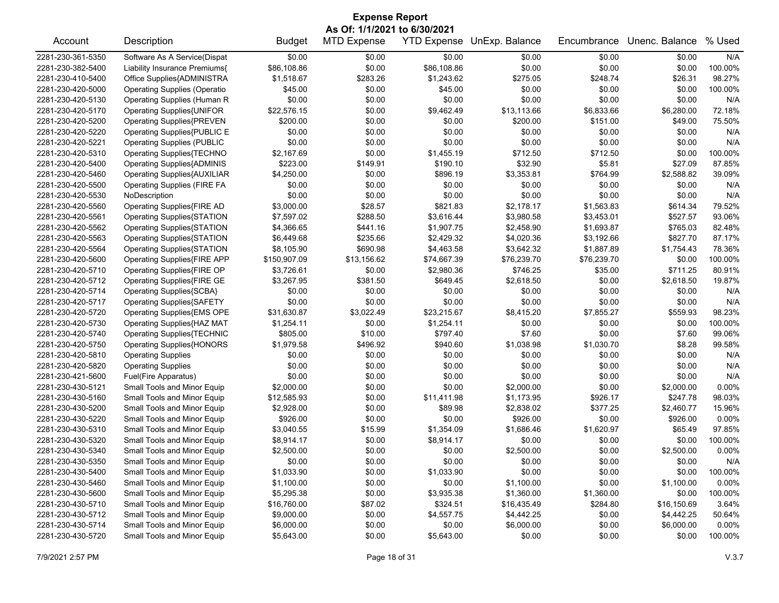| <b>Expense Report</b> |                                     |               |                    |             |                            |             |                |         |  |  |  |
|-----------------------|-------------------------------------|---------------|--------------------|-------------|----------------------------|-------------|----------------|---------|--|--|--|
|                       | As Of: 1/1/2021 to 6/30/2021        |               |                    |             |                            |             |                |         |  |  |  |
| Account               | Description                         | <b>Budget</b> | <b>MTD Expense</b> |             | YTD Expense UnExp. Balance | Encumbrance | Unenc. Balance | % Used  |  |  |  |
| 2281-230-361-5350     | Software As A Service(Dispat        | \$0.00        | \$0.00             | \$0.00      | \$0.00                     | \$0.00      | \$0.00         | N/A     |  |  |  |
| 2281-230-382-5400     | Liability Insurance Premiums{       | \$86,108.86   | \$0.00             | \$86,108.86 | \$0.00                     | \$0.00      | \$0.00         | 100.00% |  |  |  |
| 2281-230-410-5400     | Office Supplies{ADMINISTRA          | \$1,518.67    | \$283.26           | \$1,243.62  | \$275.05                   | \$248.74    | \$26.31        | 98.27%  |  |  |  |
| 2281-230-420-5000     | <b>Operating Supplies (Operatio</b> | \$45.00       | \$0.00             | \$45.00     | \$0.00                     | \$0.00      | \$0.00         | 100.00% |  |  |  |
| 2281-230-420-5130     | <b>Operating Supplies (Human R</b>  | \$0.00        | \$0.00             | \$0.00      | \$0.00                     | \$0.00      | \$0.00         | N/A     |  |  |  |
| 2281-230-420-5170     | Operating Supplies{UNIFOR           | \$22,576.15   | \$0.00             | \$9,462.49  | \$13,113.66                | \$6,833.66  | \$6,280.00     | 72.18%  |  |  |  |
| 2281-230-420-5200     | <b>Operating Supplies{PREVEN</b>    | \$200.00      | \$0.00             | \$0.00      | \$200.00                   | \$151.00    | \$49.00        | 75.50%  |  |  |  |
| 2281-230-420-5220     | Operating Supplies{PUBLIC E         | \$0.00        | \$0.00             | \$0.00      | \$0.00                     | \$0.00      | \$0.00         | N/A     |  |  |  |
| 2281-230-420-5221     | <b>Operating Supplies (PUBLIC</b>   | \$0.00        | \$0.00             | \$0.00      | \$0.00                     | \$0.00      | \$0.00         | N/A     |  |  |  |
| 2281-230-420-5310     | Operating Supplies{TECHNO           | \$2,167.69    | \$0.00             | \$1,455.19  | \$712.50                   | \$712.50    | \$0.00         | 100.00% |  |  |  |
| 2281-230-420-5400     | <b>Operating Supplies{ADMINIS</b>   | \$223.00      | \$149.91           | \$190.10    | \$32.90                    | \$5.81      | \$27.09        | 87.85%  |  |  |  |
| 2281-230-420-5460     | Operating Supplies{AUXILIAR         | \$4,250.00    | \$0.00             | \$896.19    | \$3,353.81                 | \$764.99    | \$2,588.82     | 39.09%  |  |  |  |
| 2281-230-420-5500     | <b>Operating Supplies (FIRE FA</b>  | \$0.00        | \$0.00             | \$0.00      | \$0.00                     | \$0.00      | \$0.00         | N/A     |  |  |  |
| 2281-230-420-5530     | NoDescription                       | \$0.00        | \$0.00             | \$0.00      | \$0.00                     | \$0.00      | \$0.00         | N/A     |  |  |  |
| 2281-230-420-5560     | Operating Supplies{FIRE AD          | \$3,000.00    | \$28.57            | \$821.83    | \$2,178.17                 | \$1,563.83  | \$614.34       | 79.52%  |  |  |  |
| 2281-230-420-5561     | <b>Operating Supplies{STATION</b>   | \$7,597.02    | \$288.50           | \$3,616.44  | \$3,980.58                 | \$3,453.01  | \$527.57       | 93.06%  |  |  |  |
| 2281-230-420-5562     | Operating Supplies{STATION          | \$4,366.65    | \$441.16           | \$1,907.75  | \$2,458.90                 | \$1,693.87  | \$765.03       | 82.48%  |  |  |  |
| 2281-230-420-5563     | Operating Supplies{STATION          | \$6,449.68    | \$235.66           | \$2,429.32  | \$4,020.36                 | \$3,192.66  | \$827.70       | 87.17%  |  |  |  |
| 2281-230-420-5564     | <b>Operating Supplies{STATION</b>   | \$8,105.90    | \$690.98           | \$4,463.58  | \$3,642.32                 | \$1,887.89  | \$1,754.43     | 78.36%  |  |  |  |
| 2281-230-420-5600     | Operating Supplies{FIRE APP         | \$150,907.09  | \$13,156.62        | \$74,667.39 | \$76,239.70                | \$76,239.70 | \$0.00         | 100.00% |  |  |  |
| 2281-230-420-5710     | Operating Supplies{FIRE OP          | \$3,726.61    | \$0.00             | \$2,980.36  | \$746.25                   | \$35.00     | \$711.25       | 80.91%  |  |  |  |
| 2281-230-420-5712     | Operating Supplies{FIRE GE          | \$3,267.95    | \$381.50           | \$649.45    | \$2,618.50                 | \$0.00      | \$2,618.50     | 19.87%  |  |  |  |
| 2281-230-420-5714     | Operating Supplies{SCBA}            | \$0.00        | \$0.00             | \$0.00      | \$0.00                     | \$0.00      | \$0.00         | N/A     |  |  |  |
| 2281-230-420-5717     | <b>Operating Supplies{SAFETY</b>    | \$0.00        | \$0.00             | \$0.00      | \$0.00                     | \$0.00      | \$0.00         | N/A     |  |  |  |
| 2281-230-420-5720     | Operating Supplies{EMS OPE          | \$31,630.87   | \$3,022.49         | \$23,215.67 | \$8,415.20                 | \$7,855.27  | \$559.93       | 98.23%  |  |  |  |
| 2281-230-420-5730     | Operating Supplies{HAZ MAT          | \$1,254.11    | \$0.00             | \$1,254.11  | \$0.00                     | \$0.00      | \$0.00         | 100.00% |  |  |  |
| 2281-230-420-5740     | <b>Operating Supplies{TECHNIC</b>   | \$805.00      | \$10.00            | \$797.40    | \$7.60                     | \$0.00      | \$7.60         | 99.06%  |  |  |  |
| 2281-230-420-5750     | <b>Operating Supplies{HONORS</b>    | \$1,979.58    | \$496.92           | \$940.60    | \$1,038.98                 | \$1,030.70  | \$8.28         | 99.58%  |  |  |  |
| 2281-230-420-5810     | <b>Operating Supplies</b>           | \$0.00        | \$0.00             | \$0.00      | \$0.00                     | \$0.00      | \$0.00         | N/A     |  |  |  |
| 2281-230-420-5820     | <b>Operating Supplies</b>           | \$0.00        | \$0.00             | \$0.00      | \$0.00                     | \$0.00      | \$0.00         | N/A     |  |  |  |
| 2281-230-421-5600     | Fuel(Fire Apparatus)                | \$0.00        | \$0.00             | \$0.00      | \$0.00                     | \$0.00      | \$0.00         | N/A     |  |  |  |
| 2281-230-430-5121     | Small Tools and Minor Equip         | \$2,000.00    | \$0.00             | \$0.00      | \$2,000.00                 | \$0.00      | \$2,000.00     | 0.00%   |  |  |  |
| 2281-230-430-5160     | Small Tools and Minor Equip         | \$12,585.93   | \$0.00             | \$11,411.98 | \$1,173.95                 | \$926.17    | \$247.78       | 98.03%  |  |  |  |
| 2281-230-430-5200     | Small Tools and Minor Equip         | \$2,928.00    | \$0.00             | \$89.98     | \$2,838.02                 | \$377.25    | \$2,460.77     | 15.96%  |  |  |  |
| 2281-230-430-5220     | Small Tools and Minor Equip         | \$926.00      | \$0.00             | \$0.00      | \$926.00                   | \$0.00      | \$926.00       | 0.00%   |  |  |  |
| 2281-230-430-5310     | Small Tools and Minor Equip         | \$3,040.55    | \$15.99            | \$1,354.09  | \$1,686.46                 | \$1,620.97  | \$65.49        | 97.85%  |  |  |  |
| 2281-230-430-5320     | Small Tools and Minor Equip         | \$8,914.17    | \$0.00             | \$8,914.17  | \$0.00                     | \$0.00      | \$0.00         | 100.00% |  |  |  |
| 2281-230-430-5340     | Small Tools and Minor Equip         | \$2,500.00    | \$0.00             | \$0.00      | \$2,500.00                 | \$0.00      | \$2,500.00     | 0.00%   |  |  |  |
| 2281-230-430-5350     | Small Tools and Minor Equip         | \$0.00        | \$0.00             | \$0.00      | \$0.00                     | \$0.00      | \$0.00         | N/A     |  |  |  |
| 2281-230-430-5400     | Small Tools and Minor Equip         | \$1,033.90    | \$0.00             | \$1,033.90  | \$0.00                     | \$0.00      | \$0.00         | 100.00% |  |  |  |
| 2281-230-430-5460     | Small Tools and Minor Equip         | \$1,100.00    | \$0.00             | \$0.00      | \$1,100.00                 | \$0.00      | \$1,100.00     | 0.00%   |  |  |  |
| 2281-230-430-5600     | Small Tools and Minor Equip         | \$5,295.38    | \$0.00             | \$3,935.38  | \$1,360.00                 | \$1,360.00  | \$0.00         | 100.00% |  |  |  |
| 2281-230-430-5710     | Small Tools and Minor Equip         | \$16,760.00   | \$87.02            | \$324.51    | \$16,435.49                | \$284.80    | \$16,150.69    | 3.64%   |  |  |  |
| 2281-230-430-5712     | Small Tools and Minor Equip         | \$9,000.00    | \$0.00             | \$4,557.75  | \$4,442.25                 | \$0.00      | \$4,442.25     | 50.64%  |  |  |  |
| 2281-230-430-5714     | Small Tools and Minor Equip         | \$6,000.00    | \$0.00             | \$0.00      | \$6,000.00                 | \$0.00      | \$6,000.00     | 0.00%   |  |  |  |
| 2281-230-430-5720     | Small Tools and Minor Equip         | \$5,643.00    | \$0.00             | \$5,643.00  | \$0.00                     | \$0.00      | \$0.00         | 100.00% |  |  |  |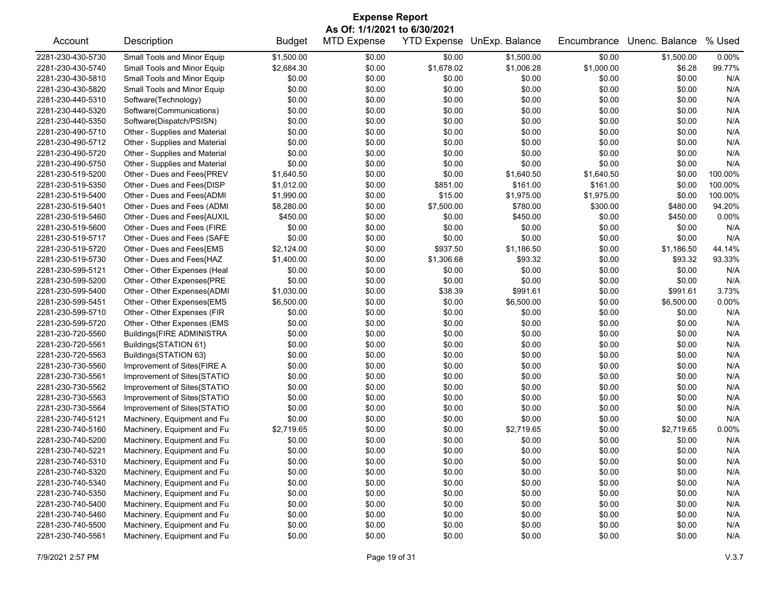| <b>Expense Report</b> |                               |               |                              |            |                            |             |                |         |  |
|-----------------------|-------------------------------|---------------|------------------------------|------------|----------------------------|-------------|----------------|---------|--|
|                       |                               |               | As Of: 1/1/2021 to 6/30/2021 |            |                            |             |                |         |  |
| Account               | Description                   | <b>Budget</b> | <b>MTD Expense</b>           |            | YTD Expense UnExp. Balance | Encumbrance | Unenc. Balance | % Used  |  |
| 2281-230-430-5730     | Small Tools and Minor Equip   | \$1,500.00    | \$0.00                       | \$0.00     | \$1,500.00                 | \$0.00      | \$1,500.00     | 0.00%   |  |
| 2281-230-430-5740     | Small Tools and Minor Equip   | \$2,684.30    | \$0.00                       | \$1,678.02 | \$1,006.28                 | \$1,000.00  | \$6.28         | 99.77%  |  |
| 2281-230-430-5810     | Small Tools and Minor Equip   | \$0.00        | \$0.00                       | \$0.00     | \$0.00                     | \$0.00      | \$0.00         | N/A     |  |
| 2281-230-430-5820     | Small Tools and Minor Equip   | \$0.00        | \$0.00                       | \$0.00     | \$0.00                     | \$0.00      | \$0.00         | N/A     |  |
| 2281-230-440-5310     | Software(Technology)          | \$0.00        | \$0.00                       | \$0.00     | \$0.00                     | \$0.00      | \$0.00         | N/A     |  |
| 2281-230-440-5320     | Software(Communications)      | \$0.00        | \$0.00                       | \$0.00     | \$0.00                     | \$0.00      | \$0.00         | N/A     |  |
| 2281-230-440-5350     | Software(Dispatch/PSISN)      | \$0.00        | \$0.00                       | \$0.00     | \$0.00                     | \$0.00      | \$0.00         | N/A     |  |
| 2281-230-490-5710     | Other - Supplies and Material | \$0.00        | \$0.00                       | \$0.00     | \$0.00                     | \$0.00      | \$0.00         | N/A     |  |
| 2281-230-490-5712     | Other - Supplies and Material | \$0.00        | \$0.00                       | \$0.00     | \$0.00                     | \$0.00      | \$0.00         | N/A     |  |
| 2281-230-490-5720     | Other - Supplies and Material | \$0.00        | \$0.00                       | \$0.00     | \$0.00                     | \$0.00      | \$0.00         | N/A     |  |
| 2281-230-490-5750     | Other - Supplies and Material | \$0.00        | \$0.00                       | \$0.00     | \$0.00                     | \$0.00      | \$0.00         | N/A     |  |
| 2281-230-519-5200     | Other - Dues and Fees{PREV    | \$1,640.50    | \$0.00                       | \$0.00     | \$1,640.50                 | \$1,640.50  | \$0.00         | 100.00% |  |
| 2281-230-519-5350     | Other - Dues and Fees{DISP    | \$1,012.00    | \$0.00                       | \$851.00   | \$161.00                   | \$161.00    | \$0.00         | 100.00% |  |
| 2281-230-519-5400     | Other - Dues and Fees{ADMI    | \$1,990.00    | \$0.00                       | \$15.00    | \$1,975.00                 | \$1,975.00  | \$0.00         | 100.00% |  |
| 2281-230-519-5401     | Other - Dues and Fees (ADMI   | \$8,280.00    | \$0.00                       | \$7,500.00 | \$780.00                   | \$300.00    | \$480.00       | 94.20%  |  |
| 2281-230-519-5460     | Other - Dues and Fees{AUXIL   | \$450.00      | \$0.00                       | \$0.00     | \$450.00                   | \$0.00      | \$450.00       | 0.00%   |  |
| 2281-230-519-5600     | Other - Dues and Fees (FIRE   | \$0.00        | \$0.00                       | \$0.00     | \$0.00                     | \$0.00      | \$0.00         | N/A     |  |
| 2281-230-519-5717     | Other - Dues and Fees (SAFE   | \$0.00        | \$0.00                       | \$0.00     | \$0.00                     | \$0.00      | \$0.00         | N/A     |  |
| 2281-230-519-5720     | Other - Dues and Fees{EMS     | \$2,124.00    | \$0.00                       | \$937.50   | \$1,186.50                 | \$0.00      | \$1,186.50     | 44.14%  |  |
| 2281-230-519-5730     | Other - Dues and Fees{HAZ     | \$1,400.00    | \$0.00                       | \$1,306.68 | \$93.32                    | \$0.00      | \$93.32        | 93.33%  |  |
| 2281-230-599-5121     | Other - Other Expenses (Heal  | \$0.00        | \$0.00                       | \$0.00     | \$0.00                     | \$0.00      | \$0.00         | N/A     |  |
| 2281-230-599-5200     | Other - Other Expenses{PRE    | \$0.00        | \$0.00                       | \$0.00     | \$0.00                     | \$0.00      | \$0.00         | N/A     |  |
| 2281-230-599-5400     | Other - Other Expenses{ADMI   | \$1,030.00    | \$0.00                       | \$38.39    | \$991.61                   | \$0.00      | \$991.61       | 3.73%   |  |
| 2281-230-599-5451     | Other - Other Expenses{EMS    | \$6,500.00    | \$0.00                       | \$0.00     | \$6,500.00                 | \$0.00      | \$6,500.00     | 0.00%   |  |
| 2281-230-599-5710     | Other - Other Expenses (FIR   | \$0.00        | \$0.00                       | \$0.00     | \$0.00                     | \$0.00      | \$0.00         | N/A     |  |
| 2281-230-599-5720     | Other - Other Expenses (EMS   | \$0.00        | \$0.00                       | \$0.00     | \$0.00                     | \$0.00      | \$0.00         | N/A     |  |
| 2281-230-720-5560     | Buildings{FIRE ADMINISTRA     | \$0.00        | \$0.00                       | \$0.00     | \$0.00                     | \$0.00      | \$0.00         | N/A     |  |
| 2281-230-720-5561     | Buildings{STATION 61}         | \$0.00        | \$0.00                       | \$0.00     | \$0.00                     | \$0.00      | \$0.00         | N/A     |  |
| 2281-230-720-5563     | Buildings{STATION 63}         | \$0.00        | \$0.00                       | \$0.00     | \$0.00                     | \$0.00      | \$0.00         | N/A     |  |
| 2281-230-730-5560     | Improvement of Sites{FIRE A   | \$0.00        | \$0.00                       | \$0.00     | \$0.00                     | \$0.00      | \$0.00         | N/A     |  |
| 2281-230-730-5561     | Improvement of Sites{STATIO   | \$0.00        | \$0.00                       | \$0.00     | \$0.00                     | \$0.00      | \$0.00         | N/A     |  |
| 2281-230-730-5562     | Improvement of Sites{STATIO   | \$0.00        | \$0.00                       | \$0.00     | \$0.00                     | \$0.00      | \$0.00         | N/A     |  |
| 2281-230-730-5563     | Improvement of Sites{STATIO   | \$0.00        | \$0.00                       | \$0.00     | \$0.00                     | \$0.00      | \$0.00         | N/A     |  |
| 2281-230-730-5564     | Improvement of Sites{STATIO   | \$0.00        | \$0.00                       | \$0.00     | \$0.00                     | \$0.00      | \$0.00         | N/A     |  |
| 2281-230-740-5121     | Machinery, Equipment and Fu   | \$0.00        | \$0.00                       | \$0.00     | \$0.00                     | \$0.00      | \$0.00         | N/A     |  |
| 2281-230-740-5160     | Machinery, Equipment and Fu   | \$2,719.65    | \$0.00                       | \$0.00     | \$2,719.65                 | \$0.00      | \$2,719.65     | 0.00%   |  |
| 2281-230-740-5200     | Machinery, Equipment and Fu   | \$0.00        | \$0.00                       | \$0.00     | \$0.00                     | \$0.00      | \$0.00         | N/A     |  |
| 2281-230-740-5221     | Machinery, Equipment and Fu   | \$0.00        | \$0.00                       | \$0.00     | \$0.00                     | \$0.00      | \$0.00         | N/A     |  |
| 2281-230-740-5310     | Machinery, Equipment and Fu   | \$0.00        | \$0.00                       | \$0.00     | \$0.00                     | \$0.00      | \$0.00         | N/A     |  |
| 2281-230-740-5320     | Machinery, Equipment and Fu   | \$0.00        | \$0.00                       | \$0.00     | \$0.00                     | \$0.00      | \$0.00         | N/A     |  |
| 2281-230-740-5340     | Machinery, Equipment and Fu   | \$0.00        | \$0.00                       | \$0.00     | \$0.00                     | \$0.00      | \$0.00         | N/A     |  |
| 2281-230-740-5350     | Machinery, Equipment and Fu   | \$0.00        | \$0.00                       | \$0.00     | \$0.00                     | \$0.00      | \$0.00         | N/A     |  |
| 2281-230-740-5400     | Machinery, Equipment and Fu   | \$0.00        | \$0.00                       | \$0.00     | \$0.00                     | \$0.00      | \$0.00         | N/A     |  |
| 2281-230-740-5460     | Machinery, Equipment and Fu   | \$0.00        | \$0.00                       | \$0.00     | \$0.00                     | \$0.00      | \$0.00         | N/A     |  |
| 2281-230-740-5500     | Machinery, Equipment and Fu   | \$0.00        | \$0.00                       | \$0.00     | \$0.00                     | \$0.00      | \$0.00         | N/A     |  |
| 2281-230-740-5561     | Machinery, Equipment and Fu   | \$0.00        | \$0.00                       | \$0.00     | \$0.00                     | \$0.00      | \$0.00         | N/A     |  |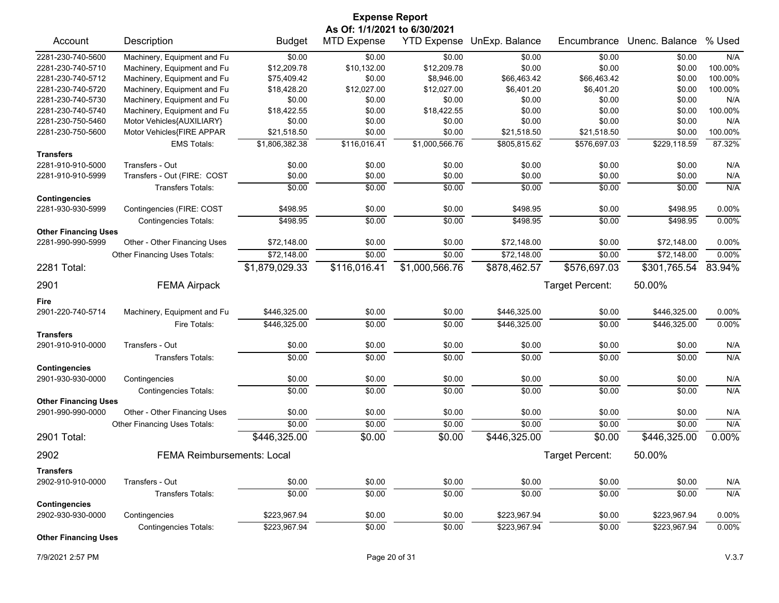| <b>Expense Report</b><br>As Of: 1/1/2021 to 6/30/2021 |                                   |                |                    |                |                            |                 |                |          |
|-------------------------------------------------------|-----------------------------------|----------------|--------------------|----------------|----------------------------|-----------------|----------------|----------|
| Account                                               | Description                       | <b>Budget</b>  | <b>MTD Expense</b> |                | YTD Expense UnExp. Balance | Encumbrance     | Unenc. Balance | % Used   |
| 2281-230-740-5600                                     | Machinery, Equipment and Fu       | \$0.00         | \$0.00             | \$0.00         | \$0.00                     | \$0.00          | \$0.00         | N/A      |
| 2281-230-740-5710                                     | Machinery, Equipment and Fu       | \$12,209.78    | \$10,132.00        | \$12,209.78    | \$0.00                     | \$0.00          | \$0.00         | 100.00%  |
| 2281-230-740-5712                                     | Machinery, Equipment and Fu       | \$75,409.42    | \$0.00             | \$8,946.00     | \$66,463.42                | \$66,463.42     | \$0.00         | 100.00%  |
| 2281-230-740-5720                                     | Machinery, Equipment and Fu       | \$18,428.20    | \$12,027.00        | \$12,027.00    | \$6,401.20                 | \$6,401.20      | \$0.00         | 100.00%  |
| 2281-230-740-5730                                     | Machinery, Equipment and Fu       | \$0.00         | \$0.00             | \$0.00         | \$0.00                     | \$0.00          | \$0.00         | N/A      |
| 2281-230-740-5740                                     | Machinery, Equipment and Fu       | \$18,422.55    | \$0.00             | \$18,422.55    | \$0.00                     | \$0.00          | \$0.00         | 100.00%  |
| 2281-230-750-5460                                     | Motor Vehicles{AUXILIARY}         | \$0.00         | \$0.00             | \$0.00         | \$0.00                     | \$0.00          | \$0.00         | N/A      |
| 2281-230-750-5600                                     | Motor Vehicles{FIRE APPAR         | \$21,518.50    | \$0.00             | \$0.00         | \$21,518.50                | \$21,518.50     | \$0.00         | 100.00%  |
| <b>Transfers</b>                                      | <b>EMS Totals:</b>                | \$1,806,382.38 | \$116,016.41       | \$1,000,566.76 | \$805,815.62               | \$576,697.03    | \$229,118.59   | 87.32%   |
| 2281-910-910-5000                                     | Transfers - Out                   | \$0.00         | \$0.00             | \$0.00         | \$0.00                     | \$0.00          | \$0.00         | N/A      |
| 2281-910-910-5999                                     | Transfers - Out (FIRE: COST       | \$0.00         | \$0.00             | \$0.00         | \$0.00                     | \$0.00          | \$0.00         | N/A      |
|                                                       | Transfers Totals:                 | \$0.00         | \$0.00             | \$0.00         | \$0.00                     | \$0.00          | \$0.00         | N/A      |
| <b>Contingencies</b>                                  |                                   |                |                    |                |                            |                 |                |          |
| 2281-930-930-5999                                     | Contingencies (FIRE: COST         | \$498.95       | \$0.00             | \$0.00         | \$498.95                   | \$0.00          | \$498.95       | 0.00%    |
|                                                       | <b>Contingencies Totals:</b>      | \$498.95       | \$0.00             | \$0.00         | \$498.95                   | \$0.00          | \$498.95       | 0.00%    |
| <b>Other Financing Uses</b><br>2281-990-990-5999      | Other - Other Financing Uses      | \$72,148.00    | \$0.00             | \$0.00         | \$72,148.00                | \$0.00          | \$72.148.00    | 0.00%    |
|                                                       | Other Financing Uses Totals:      | \$72,148.00    | \$0.00             | \$0.00         | \$72,148.00                | \$0.00          | \$72,148.00    | 0.00%    |
|                                                       |                                   |                |                    |                |                            |                 |                |          |
| 2281 Total:                                           |                                   | \$1,879,029.33 | \$116,016.41       | \$1,000,566.76 | \$878,462.57               | \$576,697.03    | \$301,765.54   | 83.94%   |
| 2901                                                  | <b>FEMA Airpack</b>               |                |                    |                |                            | Target Percent: | 50.00%         |          |
| Fire                                                  |                                   |                |                    |                |                            |                 |                |          |
| 2901-220-740-5714                                     | Machinery, Equipment and Fu       | \$446,325.00   | \$0.00             | \$0.00         | \$446,325.00               | \$0.00          | \$446,325.00   | $0.00\%$ |
|                                                       | Fire Totals:                      | \$446,325.00   | \$0.00             | \$0.00         | \$446,325.00               | \$0.00          | \$446,325.00   | 0.00%    |
| <b>Transfers</b>                                      |                                   |                |                    |                |                            |                 |                |          |
| 2901-910-910-0000                                     | Transfers - Out                   | \$0.00         | \$0.00             | \$0.00         | \$0.00                     | \$0.00          | \$0.00         | N/A      |
|                                                       | <b>Transfers Totals:</b>          | \$0.00         | \$0.00             | \$0.00         | \$0.00                     | \$0.00          | \$0.00         | N/A      |
| <b>Contingencies</b><br>2901-930-930-0000             | Contingencies                     | \$0.00         | \$0.00             | \$0.00         | \$0.00                     | \$0.00          | \$0.00         | N/A      |
|                                                       | <b>Contingencies Totals:</b>      | \$0.00         | \$0.00             | \$0.00         | \$0.00                     | \$0.00          | \$0.00         | N/A      |
| <b>Other Financing Uses</b>                           |                                   |                |                    |                |                            |                 |                |          |
| 2901-990-990-0000                                     | Other - Other Financing Uses      | \$0.00         | \$0.00             | \$0.00         | \$0.00                     | \$0.00          | \$0.00         | N/A      |
|                                                       | Other Financing Uses Totals:      | \$0.00         | \$0.00             | \$0.00         | \$0.00                     | \$0.00          | \$0.00         | N/A      |
| 2901 Total:                                           |                                   | \$446,325.00   | \$0.00             | \$0.00         | \$446,325.00               | \$0.00          | \$446,325.00   | 0.00%    |
| 2902                                                  | <b>FEMA Reimbursements: Local</b> |                |                    |                |                            | Target Percent: | 50.00%         |          |
| <b>Transfers</b>                                      |                                   |                |                    |                |                            |                 |                |          |
| 2902-910-910-0000                                     | Transfers - Out                   | \$0.00         | \$0.00             | \$0.00         | \$0.00                     | \$0.00          | \$0.00         | N/A      |
|                                                       | <b>Transfers Totals:</b>          | \$0.00         | \$0.00             | \$0.00         | \$0.00                     | \$0.00          | \$0.00         | N/A      |
| <b>Contingencies</b>                                  |                                   |                |                    |                |                            |                 |                |          |
| 2902-930-930-0000                                     | Contingencies                     | \$223,967.94   | \$0.00             | \$0.00         | \$223,967.94               | \$0.00          | \$223,967.94   | 0.00%    |
|                                                       | <b>Contingencies Totals:</b>      | \$223,967.94   | \$0.00             | \$0.00         | \$223,967.94               | \$0.00          | \$223,967.94   | $0.00\%$ |
| <b>Other Financing Uses</b>                           |                                   |                |                    |                |                            |                 |                |          |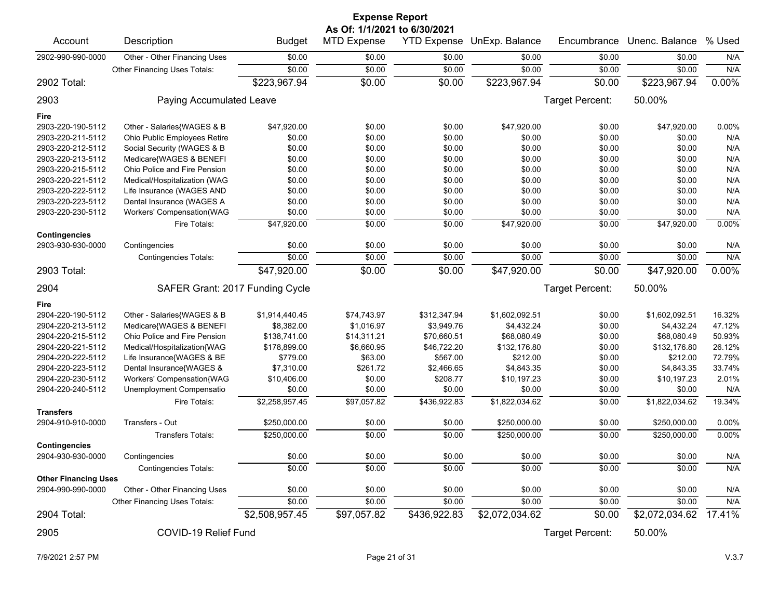| <b>Expense Report</b>       |                                 |                |                              |                    |                |                 |                |          |  |  |
|-----------------------------|---------------------------------|----------------|------------------------------|--------------------|----------------|-----------------|----------------|----------|--|--|
| Account                     |                                 |                | As Of: 1/1/2021 to 6/30/2021 |                    | UnExp. Balance | Encumbrance     | Unenc. Balance | % Used   |  |  |
|                             | Description                     | <b>Budget</b>  | <b>MTD Expense</b>           | <b>YTD Expense</b> |                |                 |                |          |  |  |
| 2902-990-990-0000           | Other - Other Financing Uses    | \$0.00         | \$0.00                       | \$0.00             | \$0.00         | \$0.00          | \$0.00         | N/A      |  |  |
|                             | Other Financing Uses Totals:    | \$0.00         | \$0.00                       | \$0.00             | \$0.00         | \$0.00          | \$0.00         | N/A      |  |  |
| 2902 Total:                 |                                 | \$223,967.94   | \$0.00                       | \$0.00             | \$223,967.94   | \$0.00          | \$223,967.94   | $0.00\%$ |  |  |
| 2903                        | Paying Accumulated Leave        |                |                              |                    |                | Target Percent: | 50.00%         |          |  |  |
| Fire                        |                                 |                |                              |                    |                |                 |                |          |  |  |
| 2903-220-190-5112           | Other - Salaries{WAGES & B      | \$47,920.00    | \$0.00                       | \$0.00             | \$47,920.00    | \$0.00          | \$47,920.00    | 0.00%    |  |  |
| 2903-220-211-5112           | Ohio Public Employees Retire    | \$0.00         | \$0.00                       | \$0.00             | \$0.00         | \$0.00          | \$0.00         | N/A      |  |  |
| 2903-220-212-5112           | Social Security (WAGES & B      | \$0.00         | \$0.00                       | \$0.00             | \$0.00         | \$0.00          | \$0.00         | N/A      |  |  |
| 2903-220-213-5112           | Medicare{WAGES & BENEFI         | \$0.00         | \$0.00                       | \$0.00             | \$0.00         | \$0.00          | \$0.00         | N/A      |  |  |
| 2903-220-215-5112           | Ohio Police and Fire Pension    | \$0.00         | \$0.00                       | \$0.00             | \$0.00         | \$0.00          | \$0.00         | N/A      |  |  |
| 2903-220-221-5112           | Medical/Hospitalization (WAG    | \$0.00         | \$0.00                       | \$0.00             | \$0.00         | \$0.00          | \$0.00         | N/A      |  |  |
| 2903-220-222-5112           | Life Insurance (WAGES AND       | \$0.00         | \$0.00                       | \$0.00             | \$0.00         | \$0.00          | \$0.00         | N/A      |  |  |
| 2903-220-223-5112           | Dental Insurance (WAGES A       | \$0.00         | \$0.00                       | \$0.00             | \$0.00         | \$0.00          | \$0.00         | N/A      |  |  |
| 2903-220-230-5112           | Workers' Compensation(WAG       | \$0.00         | \$0.00                       | \$0.00             | \$0.00         | \$0.00          | \$0.00         | N/A      |  |  |
|                             | Fire Totals:                    | \$47,920.00    | \$0.00                       | \$0.00             | \$47,920.00    | \$0.00          | \$47,920.00    | 0.00%    |  |  |
| <b>Contingencies</b>        |                                 |                |                              |                    |                |                 |                |          |  |  |
| 2903-930-930-0000           | Contingencies                   | \$0.00         | \$0.00                       | \$0.00             | \$0.00         | \$0.00          | \$0.00         | N/A      |  |  |
|                             | <b>Contingencies Totals:</b>    | \$0.00         | \$0.00                       | \$0.00             | \$0.00         | \$0.00          | \$0.00         | N/A      |  |  |
|                             |                                 |                |                              |                    |                |                 |                |          |  |  |
| 2903 Total:                 |                                 | \$47,920.00    | \$0.00                       | \$0.00             | \$47,920.00    | \$0.00          | \$47,920.00    | 0.00%    |  |  |
| 2904                        | SAFER Grant: 2017 Funding Cycle |                |                              |                    |                | Target Percent: | 50.00%         |          |  |  |
| Fire                        |                                 |                |                              |                    |                |                 |                |          |  |  |
| 2904-220-190-5112           | Other - Salaries{WAGES & B      | \$1,914,440.45 | \$74,743.97                  | \$312,347.94       | \$1,602,092.51 | \$0.00          | \$1,602,092.51 | 16.32%   |  |  |
| 2904-220-213-5112           | Medicare{WAGES & BENEFI         | \$8,382.00     | \$1,016.97                   | \$3,949.76         | \$4,432.24     | \$0.00          | \$4,432.24     | 47.12%   |  |  |
| 2904-220-215-5112           | Ohio Police and Fire Pension    | \$138,741.00   | \$14,311.21                  | \$70,660.51        | \$68,080.49    | \$0.00          | \$68,080.49    | 50.93%   |  |  |
| 2904-220-221-5112           | Medical/Hospitalization{WAG     | \$178,899.00   | \$6,660.95                   | \$46,722.20        | \$132,176.80   | \$0.00          | \$132,176.80   | 26.12%   |  |  |
| 2904-220-222-5112           | Life Insurance{WAGES & BE       | \$779.00       | \$63.00                      | \$567.00           | \$212.00       | \$0.00          | \$212.00       | 72.79%   |  |  |
| 2904-220-223-5112           | Dental Insurance{WAGES &        | \$7,310.00     | \$261.72                     | \$2,466.65         | \$4,843.35     | \$0.00          | \$4,843.35     | 33.74%   |  |  |
| 2904-220-230-5112           | Workers' Compensation{WAG       | \$10,406.00    | \$0.00                       | \$208.77           | \$10,197.23    | \$0.00          | \$10,197.23    | 2.01%    |  |  |
| 2904-220-240-5112           | Unemployment Compensatio        | \$0.00         | \$0.00                       | \$0.00             | \$0.00         | \$0.00          | \$0.00         | N/A      |  |  |
|                             | Fire Totals:                    | \$2,258,957.45 | \$97,057.82                  | \$436,922.83       | \$1,822,034.62 | \$0.00          | \$1,822,034.62 | 19.34%   |  |  |
| <b>Transfers</b>            |                                 |                |                              |                    |                |                 |                |          |  |  |
| 2904-910-910-0000           | Transfers - Out                 | \$250,000.00   | \$0.00                       | \$0.00             | \$250,000.00   | \$0.00          | \$250,000.00   | 0.00%    |  |  |
|                             | <b>Transfers Totals:</b>        | \$250,000.00   | \$0.00                       | \$0.00             | \$250,000.00   | \$0.00          | \$250,000.00   | 0.00%    |  |  |
| <b>Contingencies</b>        |                                 |                |                              |                    |                |                 |                |          |  |  |
| 2904-930-930-0000           | Contingencies                   | \$0.00         | \$0.00                       | \$0.00             | \$0.00         | \$0.00          | \$0.00         | N/A      |  |  |
|                             | <b>Contingencies Totals:</b>    | \$0.00         | \$0.00                       | \$0.00             | \$0.00         | \$0.00          | \$0.00         | N/A      |  |  |
| <b>Other Financing Uses</b> |                                 |                |                              |                    |                |                 |                |          |  |  |
| 2904-990-990-0000           | Other - Other Financing Uses    | \$0.00         | \$0.00                       | \$0.00             | \$0.00         | \$0.00          |                |          |  |  |
|                             |                                 |                |                              |                    |                |                 | \$0.00         | N/A      |  |  |
|                             | Other Financing Uses Totals:    | \$0.00         | \$0.00                       | \$0.00             | \$0.00         | \$0.00          | \$0.00         | N/A      |  |  |
| 2904 Total:                 |                                 | \$2,508,957.45 | \$97,057.82                  | \$436,922.83       | \$2,072,034.62 | \$0.00          | \$2,072,034.62 | 17.41%   |  |  |
| 2905                        | COVID-19 Relief Fund            |                |                              |                    |                | Target Percent: | 50.00%         |          |  |  |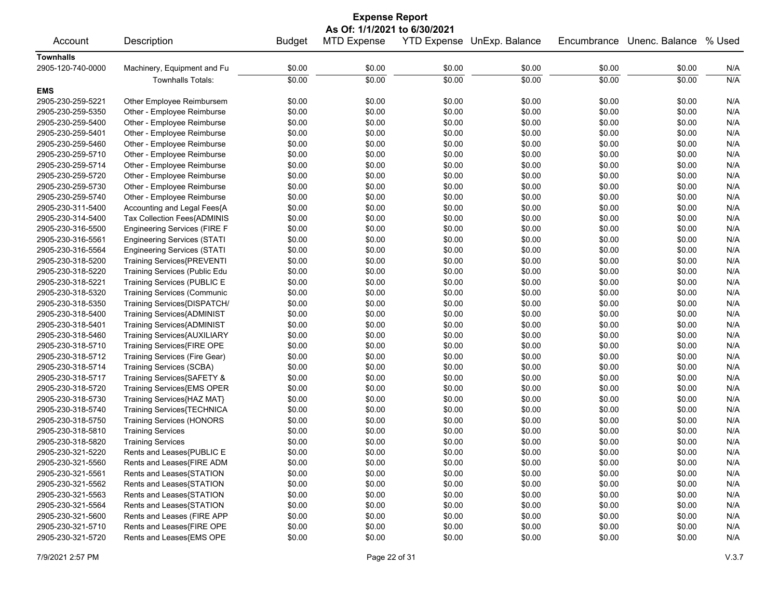| <b>Expense Report</b> |                                     |               |                              |        |                            |             |                |        |  |
|-----------------------|-------------------------------------|---------------|------------------------------|--------|----------------------------|-------------|----------------|--------|--|
|                       |                                     |               | As Of: 1/1/2021 to 6/30/2021 |        |                            |             |                |        |  |
| Account               | Description                         | <b>Budget</b> | <b>MTD Expense</b>           |        | YTD Expense UnExp. Balance | Encumbrance | Unenc. Balance | % Used |  |
| <b>Townhalls</b>      |                                     |               |                              |        |                            |             |                |        |  |
| 2905-120-740-0000     | Machinery, Equipment and Fu         | \$0.00        | \$0.00                       | \$0.00 | \$0.00                     | \$0.00      | \$0.00         | N/A    |  |
|                       | <b>Townhalls Totals:</b>            | \$0.00        | \$0.00                       | \$0.00 | \$0.00                     | \$0.00      | \$0.00         | N/A    |  |
| <b>EMS</b>            |                                     |               |                              |        |                            |             |                |        |  |
| 2905-230-259-5221     | Other Employee Reimbursem           | \$0.00        | \$0.00                       | \$0.00 | \$0.00                     | \$0.00      | \$0.00         | N/A    |  |
| 2905-230-259-5350     | Other - Employee Reimburse          | \$0.00        | \$0.00                       | \$0.00 | \$0.00                     | \$0.00      | \$0.00         | N/A    |  |
| 2905-230-259-5400     | Other - Employee Reimburse          | \$0.00        | \$0.00                       | \$0.00 | \$0.00                     | \$0.00      | \$0.00         | N/A    |  |
| 2905-230-259-5401     | Other - Employee Reimburse          | \$0.00        | \$0.00                       | \$0.00 | \$0.00                     | \$0.00      | \$0.00         | N/A    |  |
| 2905-230-259-5460     | Other - Employee Reimburse          | \$0.00        | \$0.00                       | \$0.00 | \$0.00                     | \$0.00      | \$0.00         | N/A    |  |
| 2905-230-259-5710     | Other - Employee Reimburse          | \$0.00        | \$0.00                       | \$0.00 | \$0.00                     | \$0.00      | \$0.00         | N/A    |  |
| 2905-230-259-5714     | Other - Employee Reimburse          | \$0.00        | \$0.00                       | \$0.00 | \$0.00                     | \$0.00      | \$0.00         | N/A    |  |
| 2905-230-259-5720     | Other - Employee Reimburse          | \$0.00        | \$0.00                       | \$0.00 | \$0.00                     | \$0.00      | \$0.00         | N/A    |  |
| 2905-230-259-5730     | Other - Employee Reimburse          | \$0.00        | \$0.00                       | \$0.00 | \$0.00                     | \$0.00      | \$0.00         | N/A    |  |
| 2905-230-259-5740     | Other - Employee Reimburse          | \$0.00        | \$0.00                       | \$0.00 | \$0.00                     | \$0.00      | \$0.00         | N/A    |  |
| 2905-230-311-5400     | Accounting and Legal Fees{A         | \$0.00        | \$0.00                       | \$0.00 | \$0.00                     | \$0.00      | \$0.00         | N/A    |  |
| 2905-230-314-5400     | Tax Collection Fees{ADMINIS         | \$0.00        | \$0.00                       | \$0.00 | \$0.00                     | \$0.00      | \$0.00         | N/A    |  |
| 2905-230-316-5500     | <b>Engineering Services (FIRE F</b> | \$0.00        | \$0.00                       | \$0.00 | \$0.00                     | \$0.00      | \$0.00         | N/A    |  |
| 2905-230-316-5561     | <b>Engineering Services (STATI</b>  | \$0.00        | \$0.00                       | \$0.00 | \$0.00                     | \$0.00      | \$0.00         | N/A    |  |
| 2905-230-316-5564     | <b>Engineering Services (STATI</b>  | \$0.00        | \$0.00                       | \$0.00 | \$0.00                     | \$0.00      | \$0.00         | N/A    |  |
| 2905-230-318-5200     | Training Services{PREVENTI          | \$0.00        | \$0.00                       | \$0.00 | \$0.00                     | \$0.00      | \$0.00         | N/A    |  |
| 2905-230-318-5220     | Training Services (Public Edu       | \$0.00        | \$0.00                       | \$0.00 | \$0.00                     | \$0.00      | \$0.00         | N/A    |  |
| 2905-230-318-5221     | Training Services (PUBLIC E         | \$0.00        | \$0.00                       | \$0.00 | \$0.00                     | \$0.00      | \$0.00         | N/A    |  |
| 2905-230-318-5320     | <b>Training Services (Communic</b>  | \$0.00        | \$0.00                       | \$0.00 | \$0.00                     | \$0.00      | \$0.00         | N/A    |  |
| 2905-230-318-5350     | Training Services{DISPATCH/         | \$0.00        | \$0.00                       | \$0.00 | \$0.00                     | \$0.00      | \$0.00         | N/A    |  |
| 2905-230-318-5400     | Training Services{ADMINIST          | \$0.00        | \$0.00                       | \$0.00 | \$0.00                     | \$0.00      | \$0.00         | N/A    |  |
| 2905-230-318-5401     | Training Services{ADMINIST          | \$0.00        | \$0.00                       | \$0.00 | \$0.00                     | \$0.00      | \$0.00         | N/A    |  |
| 2905-230-318-5460     | Training Services{AUXILIARY         | \$0.00        | \$0.00                       | \$0.00 | \$0.00                     | \$0.00      | \$0.00         | N/A    |  |
| 2905-230-318-5710     | Training Services{FIRE OPE          | \$0.00        | \$0.00                       | \$0.00 | \$0.00                     | \$0.00      | \$0.00         | N/A    |  |
| 2905-230-318-5712     | Training Services (Fire Gear)       | \$0.00        | \$0.00                       | \$0.00 | \$0.00                     | \$0.00      | \$0.00         | N/A    |  |
| 2905-230-318-5714     | <b>Training Services (SCBA)</b>     | \$0.00        | \$0.00                       | \$0.00 | \$0.00                     | \$0.00      | \$0.00         | N/A    |  |
| 2905-230-318-5717     | Training Services{SAFETY &          | \$0.00        | \$0.00                       | \$0.00 | \$0.00                     | \$0.00      | \$0.00         | N/A    |  |
| 2905-230-318-5720     | Training Services{EMS OPER          | \$0.00        | \$0.00                       | \$0.00 | \$0.00                     | \$0.00      | \$0.00         | N/A    |  |
| 2905-230-318-5730     | Training Services{HAZ MAT}          | \$0.00        | \$0.00                       | \$0.00 | \$0.00                     | \$0.00      | \$0.00         | N/A    |  |
| 2905-230-318-5740     | Training Services{TECHNICA          | \$0.00        | \$0.00                       | \$0.00 | \$0.00                     | \$0.00      | \$0.00         | N/A    |  |
| 2905-230-318-5750     | <b>Training Services (HONORS</b>    | \$0.00        | \$0.00                       | \$0.00 | \$0.00                     | \$0.00      | \$0.00         | N/A    |  |
| 2905-230-318-5810     | <b>Training Services</b>            | \$0.00        | \$0.00                       | \$0.00 | \$0.00                     | \$0.00      | \$0.00         | N/A    |  |
| 2905-230-318-5820     | <b>Training Services</b>            | \$0.00        | \$0.00                       | \$0.00 | \$0.00                     | \$0.00      | \$0.00         | N/A    |  |
| 2905-230-321-5220     | Rents and Leases{PUBLIC E           | \$0.00        | \$0.00                       | \$0.00 | \$0.00                     | \$0.00      | \$0.00         | N/A    |  |
| 2905-230-321-5560     | Rents and Leases{FIRE ADM           | \$0.00        | \$0.00                       | \$0.00 | \$0.00                     | \$0.00      | \$0.00         | N/A    |  |
| 2905-230-321-5561     | Rents and Leases{STATION            | \$0.00        | \$0.00                       | \$0.00 | \$0.00                     | \$0.00      | \$0.00         | N/A    |  |
| 2905-230-321-5562     | Rents and Leases{STATION            | \$0.00        | \$0.00                       | \$0.00 | \$0.00                     | \$0.00      | \$0.00         | N/A    |  |
| 2905-230-321-5563     | Rents and Leases{STATION            | \$0.00        | \$0.00                       | \$0.00 | \$0.00                     | \$0.00      | \$0.00         | N/A    |  |
| 2905-230-321-5564     | Rents and Leases{STATION            | \$0.00        | \$0.00                       | \$0.00 | \$0.00                     | \$0.00      | \$0.00         | N/A    |  |
| 2905-230-321-5600     | Rents and Leases (FIRE APP          | \$0.00        | \$0.00                       | \$0.00 | \$0.00                     | \$0.00      | \$0.00         | N/A    |  |
| 2905-230-321-5710     | Rents and Leases{FIRE OPE           | \$0.00        | \$0.00                       | \$0.00 | \$0.00                     | \$0.00      | \$0.00         | N/A    |  |
| 2905-230-321-5720     | Rents and Leases{EMS OPE            | \$0.00        | \$0.00                       | \$0.00 | \$0.00                     | \$0.00      | \$0.00         | N/A    |  |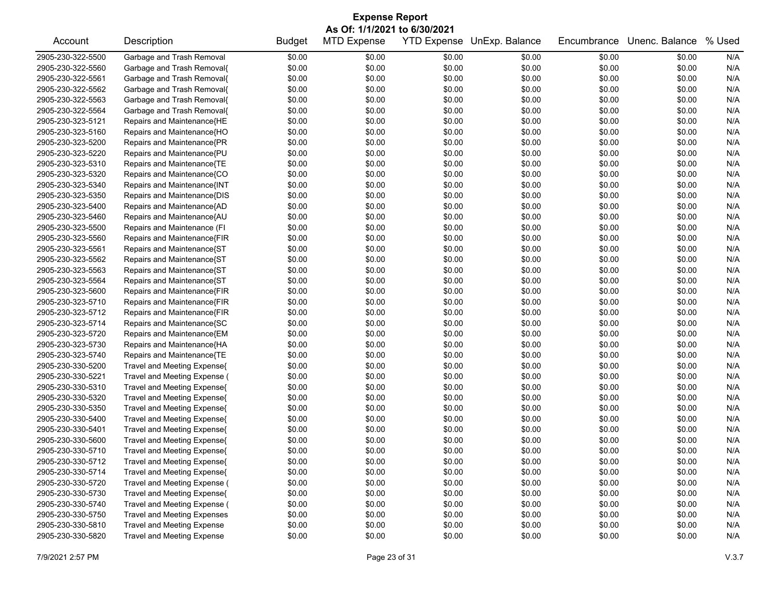| <b>Expense Report</b> |                                    |               |                    |                    |                |             |                |        |  |  |
|-----------------------|------------------------------------|---------------|--------------------|--------------------|----------------|-------------|----------------|--------|--|--|
|                       | As Of: 1/1/2021 to 6/30/2021       |               |                    |                    |                |             |                |        |  |  |
| Account               | Description                        | <b>Budget</b> | <b>MTD Expense</b> | <b>YTD Expense</b> | UnExp. Balance | Encumbrance | Unenc. Balance | % Used |  |  |
| 2905-230-322-5500     | Garbage and Trash Removal          | \$0.00        | \$0.00             | \$0.00             | \$0.00         | \$0.00      | \$0.00         | N/A    |  |  |
| 2905-230-322-5560     | Garbage and Trash Removal{         | \$0.00        | \$0.00             | \$0.00             | \$0.00         | \$0.00      | \$0.00         | N/A    |  |  |
| 2905-230-322-5561     | Garbage and Trash Removal{         | \$0.00        | \$0.00             | \$0.00             | \$0.00         | \$0.00      | \$0.00         | N/A    |  |  |
| 2905-230-322-5562     | Garbage and Trash Removal{         | \$0.00        | \$0.00             | \$0.00             | \$0.00         | \$0.00      | \$0.00         | N/A    |  |  |
| 2905-230-322-5563     | Garbage and Trash Removal{         | \$0.00        | \$0.00             | \$0.00             | \$0.00         | \$0.00      | \$0.00         | N/A    |  |  |
| 2905-230-322-5564     | Garbage and Trash Removal{         | \$0.00        | \$0.00             | \$0.00             | \$0.00         | \$0.00      | \$0.00         | N/A    |  |  |
| 2905-230-323-5121     | Repairs and Maintenance{HE         | \$0.00        | \$0.00             | \$0.00             | \$0.00         | \$0.00      | \$0.00         | N/A    |  |  |
| 2905-230-323-5160     | Repairs and Maintenance{HO         | \$0.00        | \$0.00             | \$0.00             | \$0.00         | \$0.00      | \$0.00         | N/A    |  |  |
| 2905-230-323-5200     | Repairs and Maintenance{PR         | \$0.00        | \$0.00             | \$0.00             | \$0.00         | \$0.00      | \$0.00         | N/A    |  |  |
| 2905-230-323-5220     | Repairs and Maintenance{PU         | \$0.00        | \$0.00             | \$0.00             | \$0.00         | \$0.00      | \$0.00         | N/A    |  |  |
| 2905-230-323-5310     | Repairs and Maintenance{TE         | \$0.00        | \$0.00             | \$0.00             | \$0.00         | \$0.00      | \$0.00         | N/A    |  |  |
| 2905-230-323-5320     | Repairs and Maintenance{CO         | \$0.00        | \$0.00             | \$0.00             | \$0.00         | \$0.00      | \$0.00         | N/A    |  |  |
| 2905-230-323-5340     | Repairs and Maintenance{INT        | \$0.00        | \$0.00             | \$0.00             | \$0.00         | \$0.00      | \$0.00         | N/A    |  |  |
| 2905-230-323-5350     | Repairs and Maintenance{DIS        | \$0.00        | \$0.00             | \$0.00             | \$0.00         | \$0.00      | \$0.00         | N/A    |  |  |
| 2905-230-323-5400     | Repairs and Maintenance{AD         | \$0.00        | \$0.00             | \$0.00             | \$0.00         | \$0.00      | \$0.00         | N/A    |  |  |
| 2905-230-323-5460     | Repairs and Maintenance{AU         | \$0.00        | \$0.00             | \$0.00             | \$0.00         | \$0.00      | \$0.00         | N/A    |  |  |
| 2905-230-323-5500     | Repairs and Maintenance (FI        | \$0.00        | \$0.00             | \$0.00             | \$0.00         | \$0.00      | \$0.00         | N/A    |  |  |
| 2905-230-323-5560     | Repairs and Maintenance{FIR        | \$0.00        | \$0.00             | \$0.00             | \$0.00         | \$0.00      | \$0.00         | N/A    |  |  |
| 2905-230-323-5561     | Repairs and Maintenance{ST         | \$0.00        | \$0.00             | \$0.00             | \$0.00         | \$0.00      | \$0.00         | N/A    |  |  |
| 2905-230-323-5562     | Repairs and Maintenance{ST         | \$0.00        | \$0.00             | \$0.00             | \$0.00         | \$0.00      | \$0.00         | N/A    |  |  |
| 2905-230-323-5563     | Repairs and Maintenance{ST         | \$0.00        | \$0.00             | \$0.00             | \$0.00         | \$0.00      | \$0.00         | N/A    |  |  |
| 2905-230-323-5564     | Repairs and Maintenance{ST         | \$0.00        | \$0.00             | \$0.00             | \$0.00         | \$0.00      | \$0.00         | N/A    |  |  |
| 2905-230-323-5600     | Repairs and Maintenance{FIR        | \$0.00        | \$0.00             | \$0.00             | \$0.00         | \$0.00      | \$0.00         | N/A    |  |  |
| 2905-230-323-5710     | Repairs and Maintenance{FIR        | \$0.00        | \$0.00             | \$0.00             | \$0.00         | \$0.00      | \$0.00         | N/A    |  |  |
| 2905-230-323-5712     | Repairs and Maintenance{FIR        | \$0.00        | \$0.00             | \$0.00             | \$0.00         | \$0.00      | \$0.00         | N/A    |  |  |
| 2905-230-323-5714     | Repairs and Maintenance{SC         | \$0.00        | \$0.00             | \$0.00             | \$0.00         | \$0.00      | \$0.00         | N/A    |  |  |
| 2905-230-323-5720     | Repairs and Maintenance{EM         | \$0.00        | \$0.00             | \$0.00             | \$0.00         | \$0.00      | \$0.00         | N/A    |  |  |
| 2905-230-323-5730     | Repairs and Maintenance{HA         | \$0.00        | \$0.00             | \$0.00             | \$0.00         | \$0.00      | \$0.00         | N/A    |  |  |
| 2905-230-323-5740     | Repairs and Maintenance{TE         | \$0.00        | \$0.00             | \$0.00             | \$0.00         | \$0.00      | \$0.00         | N/A    |  |  |
| 2905-230-330-5200     | Travel and Meeting Expense{        | \$0.00        | \$0.00             | \$0.00             | \$0.00         | \$0.00      | \$0.00         | N/A    |  |  |
| 2905-230-330-5221     | Travel and Meeting Expense (       | \$0.00        | \$0.00             | \$0.00             | \$0.00         | \$0.00      | \$0.00         | N/A    |  |  |
| 2905-230-330-5310     | Travel and Meeting Expense{        | \$0.00        | \$0.00             | \$0.00             | \$0.00         | \$0.00      | \$0.00         | N/A    |  |  |
| 2905-230-330-5320     | Travel and Meeting Expense{        | \$0.00        | \$0.00             | \$0.00             | \$0.00         | \$0.00      | \$0.00         | N/A    |  |  |
| 2905-230-330-5350     | Travel and Meeting Expense{        | \$0.00        | \$0.00             | \$0.00             | \$0.00         | \$0.00      | \$0.00         | N/A    |  |  |
| 2905-230-330-5400     | Travel and Meeting Expense{        | \$0.00        | \$0.00             | \$0.00             | \$0.00         | \$0.00      | \$0.00         | N/A    |  |  |
| 2905-230-330-5401     | Travel and Meeting Expense{        | \$0.00        | \$0.00             | \$0.00             | \$0.00         | \$0.00      | \$0.00         | N/A    |  |  |
| 2905-230-330-5600     | Travel and Meeting Expense{        | \$0.00        | \$0.00             | \$0.00             | \$0.00         | \$0.00      | \$0.00         | N/A    |  |  |
| 2905-230-330-5710     | Travel and Meeting Expense{        | \$0.00        | \$0.00             | \$0.00             | \$0.00         | \$0.00      | \$0.00         | N/A    |  |  |
| 2905-230-330-5712     | Travel and Meeting Expense{        | \$0.00        | \$0.00             | \$0.00             | \$0.00         | \$0.00      | \$0.00         | N/A    |  |  |
| 2905-230-330-5714     | Travel and Meeting Expense{        | \$0.00        | \$0.00             | \$0.00             | \$0.00         | \$0.00      | \$0.00         | N/A    |  |  |
| 2905-230-330-5720     | Travel and Meeting Expense (       | \$0.00        | \$0.00             | \$0.00             | \$0.00         | \$0.00      | \$0.00         | N/A    |  |  |
| 2905-230-330-5730     | Travel and Meeting Expense{        | \$0.00        | \$0.00             | \$0.00             | \$0.00         | \$0.00      | \$0.00         | N/A    |  |  |
| 2905-230-330-5740     | Travel and Meeting Expense (       | \$0.00        | \$0.00             | \$0.00             | \$0.00         | \$0.00      | \$0.00         | N/A    |  |  |
| 2905-230-330-5750     | <b>Travel and Meeting Expenses</b> | \$0.00        | \$0.00             | \$0.00             | \$0.00         | \$0.00      | \$0.00         | N/A    |  |  |
| 2905-230-330-5810     | <b>Travel and Meeting Expense</b>  | \$0.00        | \$0.00             | \$0.00             | \$0.00         | \$0.00      | \$0.00         | N/A    |  |  |
| 2905-230-330-5820     | <b>Travel and Meeting Expense</b>  | \$0.00        | \$0.00             | \$0.00             | \$0.00         | \$0.00      | \$0.00         | N/A    |  |  |
|                       |                                    |               |                    |                    |                |             |                |        |  |  |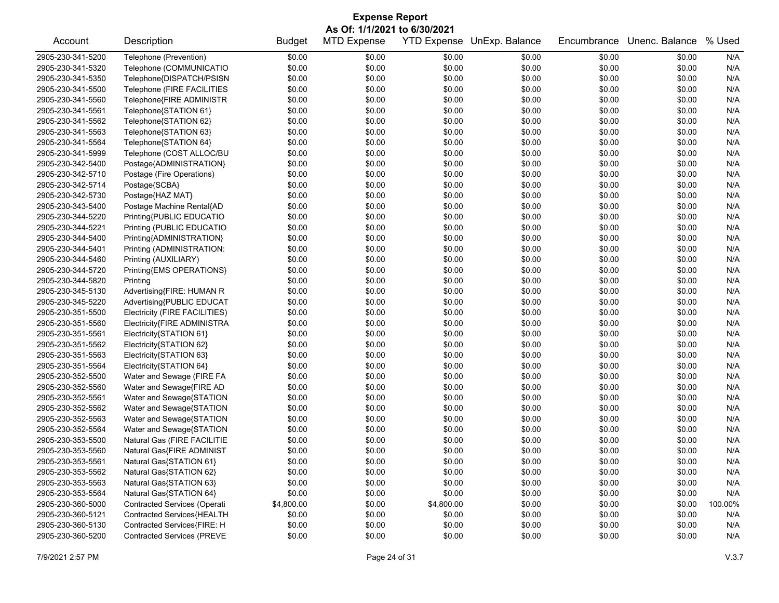| <b>Expense Report</b> |                                     |               |                    |                    |                |             |                |         |  |  |
|-----------------------|-------------------------------------|---------------|--------------------|--------------------|----------------|-------------|----------------|---------|--|--|
|                       | As Of: 1/1/2021 to 6/30/2021        |               |                    |                    |                |             |                |         |  |  |
| Account               | Description                         | <b>Budget</b> | <b>MTD Expense</b> | <b>YTD Expense</b> | UnExp. Balance | Encumbrance | Unenc. Balance | % Used  |  |  |
| 2905-230-341-5200     | Telephone (Prevention)              | \$0.00        | \$0.00             | \$0.00             | \$0.00         | \$0.00      | \$0.00         | N/A     |  |  |
| 2905-230-341-5320     | Telephone (COMMUNICATIO             | \$0.00        | \$0.00             | \$0.00             | \$0.00         | \$0.00      | \$0.00         | N/A     |  |  |
| 2905-230-341-5350     | Telephone{DISPATCH/PSISN            | \$0.00        | \$0.00             | \$0.00             | \$0.00         | \$0.00      | \$0.00         | N/A     |  |  |
| 2905-230-341-5500     | Telephone (FIRE FACILITIES          | \$0.00        | \$0.00             | \$0.00             | \$0.00         | \$0.00      | \$0.00         | N/A     |  |  |
| 2905-230-341-5560     | Telephone{FIRE ADMINISTR            | \$0.00        | \$0.00             | \$0.00             | \$0.00         | \$0.00      | \$0.00         | N/A     |  |  |
| 2905-230-341-5561     | Telephone{STATION 61}               | \$0.00        | \$0.00             | \$0.00             | \$0.00         | \$0.00      | \$0.00         | N/A     |  |  |
| 2905-230-341-5562     | Telephone{STATION 62}               | \$0.00        | \$0.00             | \$0.00             | \$0.00         | \$0.00      | \$0.00         | N/A     |  |  |
| 2905-230-341-5563     | Telephone{STATION 63}               | \$0.00        | \$0.00             | \$0.00             | \$0.00         | \$0.00      | \$0.00         | N/A     |  |  |
| 2905-230-341-5564     | Telephone{STATION 64}               | \$0.00        | \$0.00             | \$0.00             | \$0.00         | \$0.00      | \$0.00         | N/A     |  |  |
| 2905-230-341-5999     | Telephone (COST ALLOC/BU            | \$0.00        | \$0.00             | \$0.00             | \$0.00         | \$0.00      | \$0.00         | N/A     |  |  |
| 2905-230-342-5400     | Postage{ADMINISTRATION}             | \$0.00        | \$0.00             | \$0.00             | \$0.00         | \$0.00      | \$0.00         | N/A     |  |  |
| 2905-230-342-5710     | Postage (Fire Operations)           | \$0.00        | \$0.00             | \$0.00             | \$0.00         | \$0.00      | \$0.00         | N/A     |  |  |
| 2905-230-342-5714     | Postage{SCBA}                       | \$0.00        | \$0.00             | \$0.00             | \$0.00         | \$0.00      | \$0.00         | N/A     |  |  |
| 2905-230-342-5730     | Postage{HAZ MAT}                    | \$0.00        | \$0.00             | \$0.00             | \$0.00         | \$0.00      | \$0.00         | N/A     |  |  |
| 2905-230-343-5400     | Postage Machine Rental{AD           | \$0.00        | \$0.00             | \$0.00             | \$0.00         | \$0.00      | \$0.00         | N/A     |  |  |
| 2905-230-344-5220     | Printing{PUBLIC EDUCATIO            | \$0.00        | \$0.00             | \$0.00             | \$0.00         | \$0.00      | \$0.00         | N/A     |  |  |
| 2905-230-344-5221     | Printing (PUBLIC EDUCATIO           | \$0.00        | \$0.00             | \$0.00             | \$0.00         | \$0.00      | \$0.00         | N/A     |  |  |
| 2905-230-344-5400     | Printing{ADMINISTRATION}            | \$0.00        | \$0.00             | \$0.00             | \$0.00         | \$0.00      | \$0.00         | N/A     |  |  |
| 2905-230-344-5401     | Printing (ADMINISTRATION:           | \$0.00        | \$0.00             | \$0.00             | \$0.00         | \$0.00      | \$0.00         | N/A     |  |  |
| 2905-230-344-5460     | Printing (AUXILIARY)                | \$0.00        | \$0.00             | \$0.00             | \$0.00         | \$0.00      | \$0.00         | N/A     |  |  |
| 2905-230-344-5720     | Printing{EMS OPERATIONS}            | \$0.00        | \$0.00             | \$0.00             | \$0.00         | \$0.00      | \$0.00         | N/A     |  |  |
| 2905-230-344-5820     | Printing                            | \$0.00        | \$0.00             | \$0.00             | \$0.00         | \$0.00      | \$0.00         | N/A     |  |  |
| 2905-230-345-5130     | Advertising{FIRE: HUMAN R           | \$0.00        | \$0.00             | \$0.00             | \$0.00         | \$0.00      | \$0.00         | N/A     |  |  |
| 2905-230-345-5220     | Advertising{PUBLIC EDUCAT           | \$0.00        | \$0.00             | \$0.00             | \$0.00         | \$0.00      | \$0.00         | N/A     |  |  |
| 2905-230-351-5500     | Electricity (FIRE FACILITIES)       | \$0.00        | \$0.00             | \$0.00             | \$0.00         | \$0.00      | \$0.00         | N/A     |  |  |
| 2905-230-351-5560     | Electricity{FIRE ADMINISTRA         | \$0.00        | \$0.00             | \$0.00             | \$0.00         | \$0.00      | \$0.00         | N/A     |  |  |
| 2905-230-351-5561     | Electricity{STATION 61}             | \$0.00        | \$0.00             | \$0.00             | \$0.00         | \$0.00      | \$0.00         | N/A     |  |  |
| 2905-230-351-5562     | Electricity{STATION 62}             | \$0.00        | \$0.00             | \$0.00             | \$0.00         | \$0.00      | \$0.00         | N/A     |  |  |
| 2905-230-351-5563     | Electricity{STATION 63}             | \$0.00        | \$0.00             | \$0.00             | \$0.00         | \$0.00      | \$0.00         | N/A     |  |  |
| 2905-230-351-5564     | Electricity{STATION 64}             | \$0.00        | \$0.00             | \$0.00             | \$0.00         | \$0.00      | \$0.00         | N/A     |  |  |
| 2905-230-352-5500     | Water and Sewage (FIRE FA           | \$0.00        | \$0.00             | \$0.00             | \$0.00         | \$0.00      | \$0.00         | N/A     |  |  |
| 2905-230-352-5560     | Water and Sewage{FIRE AD            | \$0.00        | \$0.00             | \$0.00             | \$0.00         | \$0.00      | \$0.00         | N/A     |  |  |
| 2905-230-352-5561     | Water and Sewage{STATION            | \$0.00        | \$0.00             | \$0.00             | \$0.00         | \$0.00      | \$0.00         | N/A     |  |  |
| 2905-230-352-5562     | Water and Sewage{STATION            | \$0.00        | \$0.00             | \$0.00             | \$0.00         | \$0.00      | \$0.00         | N/A     |  |  |
| 2905-230-352-5563     | Water and Sewage{STATION            | \$0.00        | \$0.00             | \$0.00             | \$0.00         | \$0.00      | \$0.00         | N/A     |  |  |
| 2905-230-352-5564     | Water and Sewage{STATION            | \$0.00        | \$0.00             | \$0.00             | \$0.00         | \$0.00      | \$0.00         | N/A     |  |  |
| 2905-230-353-5500     | Natural Gas (FIRE FACILITIE         | \$0.00        | \$0.00             | \$0.00             | \$0.00         | \$0.00      | \$0.00         | N/A     |  |  |
| 2905-230-353-5560     | Natural Gas{FIRE ADMINIST           | \$0.00        | \$0.00             | \$0.00             | \$0.00         | \$0.00      | \$0.00         | N/A     |  |  |
| 2905-230-353-5561     | Natural Gas{STATION 61}             | \$0.00        | \$0.00             | \$0.00             | \$0.00         | \$0.00      | \$0.00         | N/A     |  |  |
| 2905-230-353-5562     | Natural Gas{STATION 62}             | \$0.00        | \$0.00             | \$0.00             | \$0.00         | \$0.00      | \$0.00         | N/A     |  |  |
| 2905-230-353-5563     | Natural Gas{STATION 63}             | \$0.00        | \$0.00             | \$0.00             | \$0.00         | \$0.00      | \$0.00         | N/A     |  |  |
| 2905-230-353-5564     | Natural Gas{STATION 64}             | \$0.00        | \$0.00             | \$0.00             | \$0.00         | \$0.00      | \$0.00         | N/A     |  |  |
| 2905-230-360-5000     | <b>Contracted Services (Operati</b> | \$4,800.00    | \$0.00             | \$4,800.00         | \$0.00         | \$0.00      | \$0.00         | 100.00% |  |  |
| 2905-230-360-5121     | Contracted Services{HEALTH          | \$0.00        | \$0.00             | \$0.00             | \$0.00         | \$0.00      | \$0.00         | N/A     |  |  |
| 2905-230-360-5130     | Contracted Services{FIRE: H         | \$0.00        | \$0.00             | \$0.00             | \$0.00         | \$0.00      | \$0.00         | N/A     |  |  |
| 2905-230-360-5200     | <b>Contracted Services (PREVE</b>   | \$0.00        | \$0.00             | \$0.00             | \$0.00         | \$0.00      | \$0.00         | N/A     |  |  |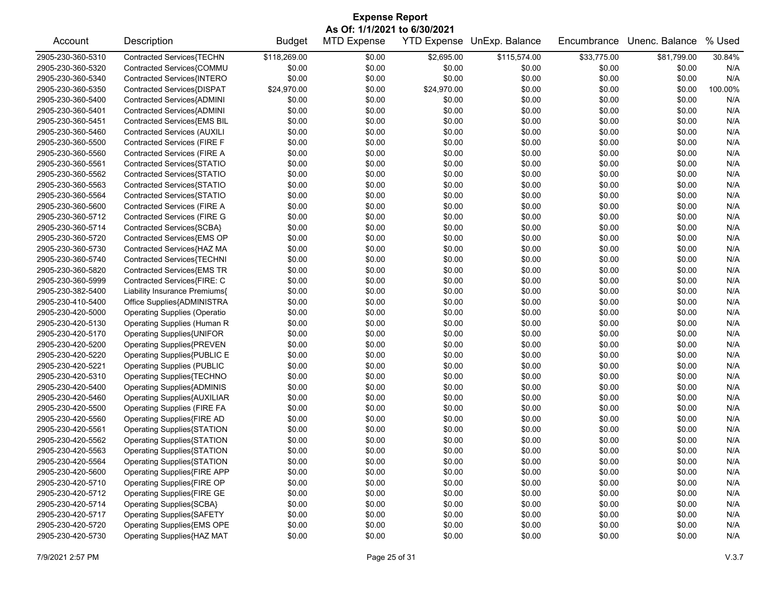| <b>Expense Report</b> |                                     |               |                              |             |                            |             |                |         |  |  |
|-----------------------|-------------------------------------|---------------|------------------------------|-------------|----------------------------|-------------|----------------|---------|--|--|
|                       |                                     |               | As Of: 1/1/2021 to 6/30/2021 |             |                            |             |                |         |  |  |
| Account               | Description                         | <b>Budget</b> | <b>MTD Expense</b>           |             | YTD Expense UnExp. Balance | Encumbrance | Unenc. Balance | % Used  |  |  |
| 2905-230-360-5310     | Contracted Services{TECHN           | \$118,269.00  | \$0.00                       | \$2,695.00  | \$115,574.00               | \$33,775.00 | \$81,799.00    | 30.84%  |  |  |
| 2905-230-360-5320     | Contracted Services{COMMU           | \$0.00        | \$0.00                       | \$0.00      | \$0.00                     | \$0.00      | \$0.00         | N/A     |  |  |
| 2905-230-360-5340     | Contracted Services{INTERO          | \$0.00        | \$0.00                       | \$0.00      | \$0.00                     | \$0.00      | \$0.00         | N/A     |  |  |
| 2905-230-360-5350     | Contracted Services{DISPAT          | \$24,970.00   | \$0.00                       | \$24,970.00 | \$0.00                     | \$0.00      | \$0.00         | 100.00% |  |  |
| 2905-230-360-5400     | Contracted Services{ADMINI          | \$0.00        | \$0.00                       | \$0.00      | \$0.00                     | \$0.00      | \$0.00         | N/A     |  |  |
| 2905-230-360-5401     | Contracted Services{ADMINI          | \$0.00        | \$0.00                       | \$0.00      | \$0.00                     | \$0.00      | \$0.00         | N/A     |  |  |
| 2905-230-360-5451     | Contracted Services{EMS BIL         | \$0.00        | \$0.00                       | \$0.00      | \$0.00                     | \$0.00      | \$0.00         | N/A     |  |  |
| 2905-230-360-5460     | <b>Contracted Services (AUXILI</b>  | \$0.00        | \$0.00                       | \$0.00      | \$0.00                     | \$0.00      | \$0.00         | N/A     |  |  |
| 2905-230-360-5500     | Contracted Services (FIRE F         | \$0.00        | \$0.00                       | \$0.00      | \$0.00                     | \$0.00      | \$0.00         | N/A     |  |  |
| 2905-230-360-5560     | Contracted Services (FIRE A         | \$0.00        | \$0.00                       | \$0.00      | \$0.00                     | \$0.00      | \$0.00         | N/A     |  |  |
| 2905-230-360-5561     | Contracted Services{STATIO          | \$0.00        | \$0.00                       | \$0.00      | \$0.00                     | \$0.00      | \$0.00         | N/A     |  |  |
| 2905-230-360-5562     | Contracted Services{STATIO          | \$0.00        | \$0.00                       | \$0.00      | \$0.00                     | \$0.00      | \$0.00         | N/A     |  |  |
| 2905-230-360-5563     | Contracted Services{STATIO          | \$0.00        | \$0.00                       | \$0.00      | \$0.00                     | \$0.00      | \$0.00         | N/A     |  |  |
| 2905-230-360-5564     | Contracted Services{STATIO          | \$0.00        | \$0.00                       | \$0.00      | \$0.00                     | \$0.00      | \$0.00         | N/A     |  |  |
| 2905-230-360-5600     | Contracted Services (FIRE A         | \$0.00        | \$0.00                       | \$0.00      | \$0.00                     | \$0.00      | \$0.00         | N/A     |  |  |
| 2905-230-360-5712     | <b>Contracted Services (FIRE G</b>  | \$0.00        | \$0.00                       | \$0.00      | \$0.00                     | \$0.00      | \$0.00         | N/A     |  |  |
| 2905-230-360-5714     | Contracted Services{SCBA}           | \$0.00        | \$0.00                       | \$0.00      | \$0.00                     | \$0.00      | \$0.00         | N/A     |  |  |
| 2905-230-360-5720     | Contracted Services{EMS OP          | \$0.00        | \$0.00                       | \$0.00      | \$0.00                     | \$0.00      | \$0.00         | N/A     |  |  |
| 2905-230-360-5730     | Contracted Services{HAZ MA          | \$0.00        | \$0.00                       | \$0.00      | \$0.00                     | \$0.00      | \$0.00         | N/A     |  |  |
| 2905-230-360-5740     | Contracted Services{TECHNI          | \$0.00        | \$0.00                       | \$0.00      | \$0.00                     | \$0.00      | \$0.00         | N/A     |  |  |
| 2905-230-360-5820     | Contracted Services{EMS TR          | \$0.00        | \$0.00                       | \$0.00      | \$0.00                     | \$0.00      | \$0.00         | N/A     |  |  |
| 2905-230-360-5999     | Contracted Services{FIRE: C         | \$0.00        | \$0.00                       | \$0.00      | \$0.00                     | \$0.00      | \$0.00         | N/A     |  |  |
| 2905-230-382-5400     | Liability Insurance Premiums{       | \$0.00        | \$0.00                       | \$0.00      | \$0.00                     | \$0.00      | \$0.00         | N/A     |  |  |
| 2905-230-410-5400     | Office Supplies{ADMINISTRA          | \$0.00        | \$0.00                       | \$0.00      | \$0.00                     | \$0.00      | \$0.00         | N/A     |  |  |
| 2905-230-420-5000     | <b>Operating Supplies (Operatio</b> | \$0.00        | \$0.00                       | \$0.00      | \$0.00                     | \$0.00      | \$0.00         | N/A     |  |  |
| 2905-230-420-5130     | Operating Supplies (Human R         | \$0.00        | \$0.00                       | \$0.00      | \$0.00                     | \$0.00      | \$0.00         | N/A     |  |  |
| 2905-230-420-5170     | Operating Supplies{UNIFOR           | \$0.00        | \$0.00                       | \$0.00      | \$0.00                     | \$0.00      | \$0.00         | N/A     |  |  |
| 2905-230-420-5200     | <b>Operating Supplies{PREVEN</b>    | \$0.00        | \$0.00                       | \$0.00      | \$0.00                     | \$0.00      | \$0.00         | N/A     |  |  |
| 2905-230-420-5220     | Operating Supplies{PUBLIC E         | \$0.00        | \$0.00                       | \$0.00      | \$0.00                     | \$0.00      | \$0.00         | N/A     |  |  |
| 2905-230-420-5221     | <b>Operating Supplies (PUBLIC</b>   | \$0.00        | \$0.00                       | \$0.00      | \$0.00                     | \$0.00      | \$0.00         | N/A     |  |  |
| 2905-230-420-5310     | Operating Supplies{TECHNO           | \$0.00        | \$0.00                       | \$0.00      | \$0.00                     | \$0.00      | \$0.00         | N/A     |  |  |
| 2905-230-420-5400     | <b>Operating Supplies{ADMINIS</b>   | \$0.00        | \$0.00                       | \$0.00      | \$0.00                     | \$0.00      | \$0.00         | N/A     |  |  |
| 2905-230-420-5460     | <b>Operating Supplies{AUXILIAR</b>  | \$0.00        | \$0.00                       | \$0.00      | \$0.00                     | \$0.00      | \$0.00         | N/A     |  |  |
| 2905-230-420-5500     | <b>Operating Supplies (FIRE FA</b>  | \$0.00        | \$0.00                       | \$0.00      | \$0.00                     | \$0.00      | \$0.00         | N/A     |  |  |
| 2905-230-420-5560     | Operating Supplies{FIRE AD          | \$0.00        | \$0.00                       | \$0.00      | \$0.00                     | \$0.00      | \$0.00         | N/A     |  |  |
| 2905-230-420-5561     | <b>Operating Supplies{STATION</b>   | \$0.00        | \$0.00                       | \$0.00      | \$0.00                     | \$0.00      | \$0.00         | N/A     |  |  |
| 2905-230-420-5562     | Operating Supplies{STATION          | \$0.00        | \$0.00                       | \$0.00      | \$0.00                     | \$0.00      | \$0.00         | N/A     |  |  |
| 2905-230-420-5563     | <b>Operating Supplies{STATION</b>   | \$0.00        | \$0.00                       | \$0.00      | \$0.00                     | \$0.00      | \$0.00         | N/A     |  |  |
| 2905-230-420-5564     | <b>Operating Supplies{STATION</b>   | \$0.00        | \$0.00                       | \$0.00      | \$0.00                     | \$0.00      | \$0.00         | N/A     |  |  |
| 2905-230-420-5600     | Operating Supplies{FIRE APP         | \$0.00        | \$0.00                       | \$0.00      | \$0.00                     | \$0.00      | \$0.00         | N/A     |  |  |
| 2905-230-420-5710     | Operating Supplies{FIRE OP          | \$0.00        | \$0.00                       | \$0.00      | \$0.00                     | \$0.00      | \$0.00         | N/A     |  |  |
| 2905-230-420-5712     | Operating Supplies{FIRE GE          | \$0.00        | \$0.00                       | \$0.00      | \$0.00                     | \$0.00      | \$0.00         | N/A     |  |  |
| 2905-230-420-5714     | <b>Operating Supplies{SCBA}</b>     | \$0.00        | \$0.00                       | \$0.00      | \$0.00                     | \$0.00      | \$0.00         | N/A     |  |  |
| 2905-230-420-5717     | <b>Operating Supplies{SAFETY</b>    | \$0.00        | \$0.00                       | \$0.00      | \$0.00                     | \$0.00      | \$0.00         | N/A     |  |  |
| 2905-230-420-5720     | Operating Supplies{EMS OPE          | \$0.00        | \$0.00                       | \$0.00      | \$0.00                     | \$0.00      | \$0.00         | N/A     |  |  |
| 2905-230-420-5730     | Operating Supplies{HAZ MAT          | \$0.00        | \$0.00                       | \$0.00      | \$0.00                     | \$0.00      | \$0.00         | N/A     |  |  |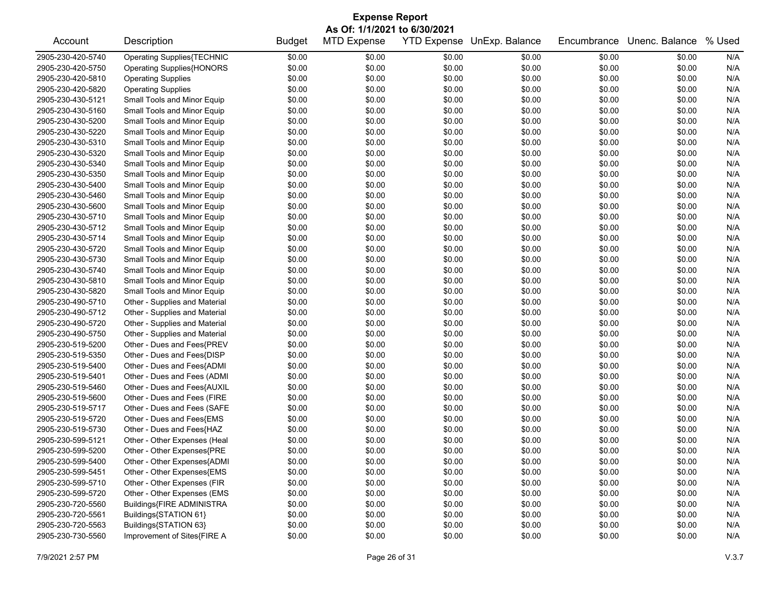|                                        | <b>Expense Report</b>                                |                  |                              |        |                            |             |                       |            |  |  |
|----------------------------------------|------------------------------------------------------|------------------|------------------------------|--------|----------------------------|-------------|-----------------------|------------|--|--|
|                                        |                                                      |                  | As Of: 1/1/2021 to 6/30/2021 |        |                            |             |                       |            |  |  |
| Account                                | Description                                          | <b>Budget</b>    | <b>MTD Expense</b>           |        | YTD Expense UnExp. Balance | Encumbrance | Unenc. Balance % Used |            |  |  |
| 2905-230-420-5740                      | <b>Operating Supplies{TECHNIC</b>                    | \$0.00           | \$0.00                       | \$0.00 | \$0.00                     | \$0.00      | \$0.00                | N/A        |  |  |
| 2905-230-420-5750                      | <b>Operating Supplies{HONORS</b>                     | \$0.00           | \$0.00                       | \$0.00 | \$0.00                     | \$0.00      | \$0.00                | N/A        |  |  |
| 2905-230-420-5810                      | <b>Operating Supplies</b>                            | \$0.00           | \$0.00                       | \$0.00 | \$0.00                     | \$0.00      | \$0.00                | N/A        |  |  |
| 2905-230-420-5820                      | <b>Operating Supplies</b>                            | \$0.00           | \$0.00                       | \$0.00 | \$0.00                     | \$0.00      | \$0.00                | N/A        |  |  |
| 2905-230-430-5121                      | Small Tools and Minor Equip                          | \$0.00           | \$0.00                       | \$0.00 | \$0.00                     | \$0.00      | \$0.00                | N/A        |  |  |
| 2905-230-430-5160                      | Small Tools and Minor Equip                          | \$0.00           | \$0.00                       | \$0.00 | \$0.00                     | \$0.00      | \$0.00                | N/A        |  |  |
| 2905-230-430-5200                      | Small Tools and Minor Equip                          | \$0.00           | \$0.00                       | \$0.00 | \$0.00                     | \$0.00      | \$0.00                | N/A        |  |  |
| 2905-230-430-5220                      | Small Tools and Minor Equip                          | \$0.00           | \$0.00                       | \$0.00 | \$0.00                     | \$0.00      | \$0.00                | N/A        |  |  |
| 2905-230-430-5310                      | Small Tools and Minor Equip                          | \$0.00           | \$0.00                       | \$0.00 | \$0.00                     | \$0.00      | \$0.00                | N/A        |  |  |
| 2905-230-430-5320                      | Small Tools and Minor Equip                          | \$0.00           | \$0.00                       | \$0.00 | \$0.00                     | \$0.00      | \$0.00                | N/A        |  |  |
| 2905-230-430-5340                      | Small Tools and Minor Equip                          | \$0.00           | \$0.00                       | \$0.00 | \$0.00                     | \$0.00      | \$0.00                | N/A        |  |  |
| 2905-230-430-5350                      | Small Tools and Minor Equip                          | \$0.00           | \$0.00                       | \$0.00 | \$0.00                     | \$0.00      | \$0.00                | N/A        |  |  |
| 2905-230-430-5400                      | Small Tools and Minor Equip                          | \$0.00           | \$0.00                       | \$0.00 | \$0.00                     | \$0.00      | \$0.00                | N/A        |  |  |
| 2905-230-430-5460                      | Small Tools and Minor Equip                          | \$0.00           | \$0.00                       | \$0.00 | \$0.00                     | \$0.00      | \$0.00                | N/A        |  |  |
| 2905-230-430-5600                      | Small Tools and Minor Equip                          | \$0.00           | \$0.00                       | \$0.00 | \$0.00                     | \$0.00      | \$0.00                | N/A        |  |  |
| 2905-230-430-5710                      | Small Tools and Minor Equip                          | \$0.00           | \$0.00                       | \$0.00 | \$0.00                     | \$0.00      | \$0.00                | N/A        |  |  |
| 2905-230-430-5712                      | Small Tools and Minor Equip                          | \$0.00           | \$0.00                       | \$0.00 | \$0.00                     | \$0.00      | \$0.00                | N/A        |  |  |
| 2905-230-430-5714                      | Small Tools and Minor Equip                          | \$0.00           | \$0.00                       | \$0.00 | \$0.00                     | \$0.00      | \$0.00                | N/A        |  |  |
| 2905-230-430-5720                      | Small Tools and Minor Equip                          | \$0.00           | \$0.00                       | \$0.00 | \$0.00                     | \$0.00      | \$0.00                | N/A        |  |  |
| 2905-230-430-5730                      | Small Tools and Minor Equip                          | \$0.00           | \$0.00                       | \$0.00 | \$0.00                     | \$0.00      | \$0.00                | N/A        |  |  |
| 2905-230-430-5740                      | Small Tools and Minor Equip                          | \$0.00           | \$0.00                       | \$0.00 | \$0.00                     | \$0.00      | \$0.00                | N/A        |  |  |
| 2905-230-430-5810                      | Small Tools and Minor Equip                          | \$0.00           | \$0.00                       | \$0.00 | \$0.00                     | \$0.00      | \$0.00                | N/A        |  |  |
| 2905-230-430-5820                      | Small Tools and Minor Equip                          | \$0.00           | \$0.00                       | \$0.00 | \$0.00                     | \$0.00      | \$0.00                | N/A        |  |  |
| 2905-230-490-5710                      | Other - Supplies and Material                        | \$0.00           | \$0.00                       | \$0.00 | \$0.00                     | \$0.00      | \$0.00                | N/A        |  |  |
| 2905-230-490-5712                      | Other - Supplies and Material                        | \$0.00           | \$0.00                       | \$0.00 | \$0.00                     | \$0.00      | \$0.00                | N/A        |  |  |
| 2905-230-490-5720                      | Other - Supplies and Material                        | \$0.00           | \$0.00                       | \$0.00 | \$0.00                     | \$0.00      | \$0.00                | N/A        |  |  |
| 2905-230-490-5750                      | Other - Supplies and Material                        | \$0.00           | \$0.00                       | \$0.00 | \$0.00                     | \$0.00      | \$0.00                | N/A        |  |  |
| 2905-230-519-5200                      | Other - Dues and Fees{PREV                           | \$0.00           | \$0.00                       | \$0.00 | \$0.00                     | \$0.00      | \$0.00                | N/A        |  |  |
| 2905-230-519-5350                      | Other - Dues and Fees{DISP                           | \$0.00           | \$0.00                       | \$0.00 | \$0.00                     | \$0.00      | \$0.00                | N/A        |  |  |
| 2905-230-519-5400                      | Other - Dues and Fees{ADMI                           | \$0.00           | \$0.00                       | \$0.00 | \$0.00                     | \$0.00      | \$0.00                | N/A        |  |  |
| 2905-230-519-5401                      | Other - Dues and Fees (ADMI                          | \$0.00           | \$0.00                       | \$0.00 | \$0.00                     | \$0.00      | \$0.00                | N/A        |  |  |
| 2905-230-519-5460                      | Other - Dues and Fees{AUXIL                          | \$0.00           | \$0.00                       | \$0.00 | \$0.00                     | \$0.00      | \$0.00                | N/A        |  |  |
| 2905-230-519-5600                      | Other - Dues and Fees (FIRE                          | \$0.00           | \$0.00                       | \$0.00 | \$0.00                     | \$0.00      | \$0.00                | N/A        |  |  |
| 2905-230-519-5717                      | Other - Dues and Fees (SAFE                          | \$0.00           | \$0.00                       | \$0.00 | \$0.00                     | \$0.00      | \$0.00                | N/A        |  |  |
| 2905-230-519-5720                      | Other - Dues and Fees{EMS                            | \$0.00           | \$0.00                       | \$0.00 | \$0.00                     | \$0.00      | \$0.00                | N/A        |  |  |
| 2905-230-519-5730                      | Other - Dues and Fees{HAZ                            | \$0.00           | \$0.00                       | \$0.00 | \$0.00                     | \$0.00      | \$0.00                | N/A        |  |  |
| 2905-230-599-5121                      | Other - Other Expenses (Heal                         | \$0.00           | \$0.00                       | \$0.00 | \$0.00                     | \$0.00      | \$0.00                | N/A        |  |  |
| 2905-230-599-5200                      | Other - Other Expenses{PRE                           | \$0.00           | \$0.00                       | \$0.00 | \$0.00                     | \$0.00      | \$0.00                | N/A        |  |  |
| 2905-230-599-5400                      | Other - Other Expenses{ADMI                          | \$0.00           | \$0.00                       | \$0.00 | \$0.00                     | \$0.00      | \$0.00                | N/A        |  |  |
| 2905-230-599-5451                      | Other - Other Expenses{EMS                           | \$0.00           | \$0.00                       | \$0.00 | \$0.00                     | \$0.00      | \$0.00                | N/A        |  |  |
| 2905-230-599-5710                      | Other - Other Expenses (FIR                          | \$0.00           | \$0.00                       | \$0.00 |                            |             |                       |            |  |  |
| 2905-230-599-5720                      | Other - Other Expenses (EMS                          |                  |                              |        | \$0.00                     | \$0.00      | \$0.00<br>\$0.00      | N/A<br>N/A |  |  |
| 2905-230-720-5560                      | Buildings{FIRE ADMINISTRA                            | \$0.00           | \$0.00                       | \$0.00 | \$0.00                     | \$0.00      |                       |            |  |  |
|                                        |                                                      | \$0.00           | \$0.00                       | \$0.00 | \$0.00                     | \$0.00      | \$0.00                | N/A        |  |  |
| 2905-230-720-5561                      | Buildings{STATION 61}                                | \$0.00           | \$0.00                       | \$0.00 | \$0.00                     | \$0.00      | \$0.00                | N/A        |  |  |
| 2905-230-720-5563<br>2905-230-730-5560 | Buildings{STATION 63}<br>Improvement of Sites{FIRE A | \$0.00<br>\$0.00 | \$0.00                       | \$0.00 | \$0.00<br>\$0.00           | \$0.00      | \$0.00                | N/A        |  |  |
|                                        |                                                      |                  | \$0.00                       | \$0.00 |                            | \$0.00      | \$0.00                | N/A        |  |  |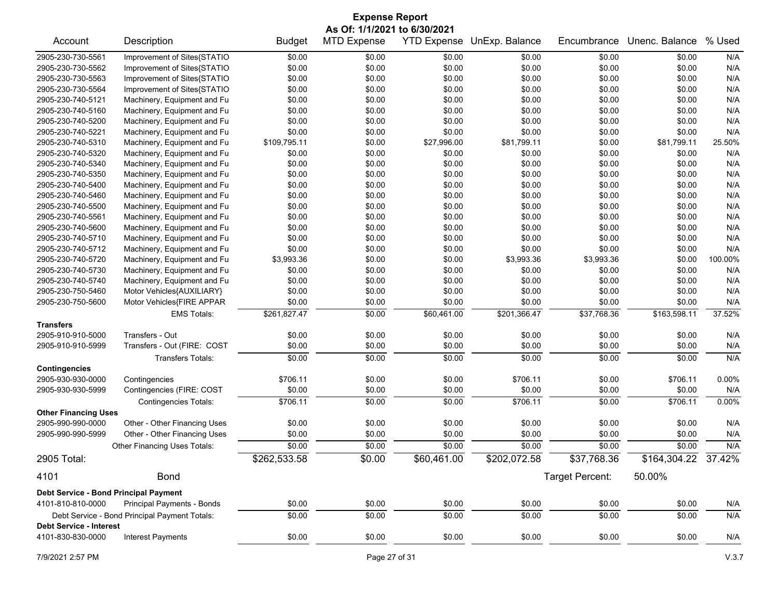| <b>Expense Report</b>                 |                                               |               |                              |                    |                |                 |                     |         |
|---------------------------------------|-----------------------------------------------|---------------|------------------------------|--------------------|----------------|-----------------|---------------------|---------|
|                                       |                                               |               | As Of: 1/1/2021 to 6/30/2021 |                    |                |                 |                     |         |
| Account                               | Description                                   | <b>Budget</b> | <b>MTD Expense</b>           | <b>YTD Expense</b> | UnExp. Balance | Encumbrance     | Unenc. Balance      | % Used  |
| 2905-230-730-5561                     | Improvement of Sites{STATIO                   | \$0.00        | \$0.00                       | \$0.00             | \$0.00         | \$0.00          | \$0.00              | N/A     |
| 2905-230-730-5562                     | Improvement of Sites{STATIO                   | \$0.00        | \$0.00                       | \$0.00             | \$0.00         | \$0.00          | \$0.00              | N/A     |
| 2905-230-730-5563                     | Improvement of Sites{STATIO                   | \$0.00        | \$0.00                       | \$0.00             | \$0.00         | \$0.00          | \$0.00              | N/A     |
| 2905-230-730-5564                     | Improvement of Sites{STATIO                   | \$0.00        | \$0.00                       | \$0.00             | \$0.00         | \$0.00          | \$0.00              | N/A     |
| 2905-230-740-5121                     | Machinery, Equipment and Fu                   | \$0.00        | \$0.00                       | \$0.00             | \$0.00         | \$0.00          | \$0.00              | N/A     |
| 2905-230-740-5160                     | Machinery, Equipment and Fu                   | \$0.00        | \$0.00                       | \$0.00             | \$0.00         | \$0.00          | \$0.00              | N/A     |
| 2905-230-740-5200                     | Machinery, Equipment and Fu                   | \$0.00        | \$0.00                       | \$0.00             | \$0.00         | \$0.00          | \$0.00              | N/A     |
| 2905-230-740-5221                     | Machinery, Equipment and Fu                   | \$0.00        | \$0.00                       | \$0.00             | \$0.00         | \$0.00          | \$0.00              | N/A     |
| 2905-230-740-5310                     | Machinery, Equipment and Fu                   | \$109,795.11  | \$0.00                       | \$27,996.00        | \$81,799.11    | \$0.00          | \$81,799.11         | 25.50%  |
| 2905-230-740-5320                     | Machinery, Equipment and Fu                   | \$0.00        | \$0.00                       | \$0.00             | \$0.00         | \$0.00          | \$0.00              | N/A     |
| 2905-230-740-5340                     | Machinery, Equipment and Fu                   | \$0.00        | \$0.00                       | \$0.00             | \$0.00         | \$0.00          | \$0.00              | N/A     |
| 2905-230-740-5350                     | Machinery, Equipment and Fu                   | \$0.00        | \$0.00                       | \$0.00             | \$0.00         | \$0.00          | \$0.00              | N/A     |
| 2905-230-740-5400                     | Machinery, Equipment and Fu                   | \$0.00        | \$0.00                       | \$0.00             | \$0.00         | \$0.00          | \$0.00              | N/A     |
| 2905-230-740-5460                     | Machinery, Equipment and Fu                   | \$0.00        | \$0.00                       | \$0.00             | \$0.00         | \$0.00          | \$0.00              | N/A     |
| 2905-230-740-5500                     | Machinery, Equipment and Fu                   | \$0.00        | \$0.00                       | \$0.00             | \$0.00         | \$0.00          | \$0.00              | N/A     |
| 2905-230-740-5561                     | Machinery, Equipment and Fu                   | \$0.00        | \$0.00                       | \$0.00             | \$0.00         | \$0.00          | \$0.00              | N/A     |
| 2905-230-740-5600                     | Machinery, Equipment and Fu                   | \$0.00        | \$0.00                       | \$0.00             | \$0.00         | \$0.00          | \$0.00              | N/A     |
| 2905-230-740-5710                     | Machinery, Equipment and Fu                   | \$0.00        | \$0.00                       | \$0.00             | \$0.00         | \$0.00          | \$0.00              | N/A     |
| 2905-230-740-5712                     | Machinery, Equipment and Fu                   | \$0.00        | \$0.00                       | \$0.00             | \$0.00         | \$0.00          | \$0.00              | N/A     |
| 2905-230-740-5720                     | Machinery, Equipment and Fu                   | \$3,993.36    | \$0.00                       | \$0.00             | \$3,993.36     | \$3,993.36      | \$0.00              | 100.00% |
| 2905-230-740-5730                     | Machinery, Equipment and Fu                   | \$0.00        | \$0.00                       | \$0.00             | \$0.00         | \$0.00          | \$0.00              | N/A     |
| 2905-230-740-5740                     | Machinery, Equipment and Fu                   | \$0.00        | \$0.00                       | \$0.00             | \$0.00         | \$0.00          | \$0.00              | N/A     |
| 2905-230-750-5460                     | Motor Vehicles{AUXILIARY}                     | \$0.00        | \$0.00                       | \$0.00             | \$0.00         | \$0.00          | \$0.00              | N/A     |
| 2905-230-750-5600                     | Motor Vehicles{FIRE APPAR                     | \$0.00        | \$0.00                       | \$0.00             | \$0.00         | \$0.00          | \$0.00              | N/A     |
|                                       | <b>EMS Totals:</b>                            | \$261,827.47  | \$0.00                       | \$60,461.00        | \$201,366.47   | \$37,768.36     | \$163,598.11        | 37.52%  |
| <b>Transfers</b>                      |                                               |               |                              |                    |                |                 |                     |         |
| 2905-910-910-5000                     | Transfers - Out                               | \$0.00        | \$0.00                       | \$0.00             | \$0.00         | \$0.00          | \$0.00              | N/A     |
| 2905-910-910-5999                     | Transfers - Out (FIRE: COST                   | \$0.00        | \$0.00                       | \$0.00             | \$0.00         | \$0.00          | \$0.00              | N/A     |
|                                       | <b>Transfers Totals:</b>                      | \$0.00        | \$0.00                       | \$0.00             | \$0.00         | \$0.00          | \$0.00              | N/A     |
| <b>Contingencies</b>                  |                                               |               |                              |                    |                |                 |                     |         |
| 2905-930-930-0000                     | Contingencies                                 | \$706.11      | \$0.00                       | \$0.00             | \$706.11       | \$0.00          | \$706.11            | 0.00%   |
| 2905-930-930-5999                     | Contingencies (FIRE: COST                     | \$0.00        | \$0.00                       | \$0.00             | \$0.00         | \$0.00          | \$0.00              | N/A     |
|                                       | <b>Contingencies Totals:</b>                  | \$706.11      | \$0.00                       | \$0.00             | \$706.11       | \$0.00          | \$706.11            | 0.00%   |
| <b>Other Financing Uses</b>           |                                               |               |                              |                    |                |                 |                     |         |
| 2905-990-990-0000                     | Other - Other Financing Uses                  | \$0.00        | \$0.00                       | \$0.00             | \$0.00         | \$0.00          | \$0.00              | N/A     |
| 2905-990-990-5999                     | Other - Other Financing Uses                  | \$0.00        | \$0.00                       | \$0.00             | \$0.00         | \$0.00          | \$0.00              | N/A     |
|                                       | Other Financing Uses Totals:                  | \$0.00        | \$0.00                       | \$0.00             | \$0.00         | \$0.00          | \$0.00              | N/A     |
| 2905 Total:                           |                                               | \$262,533.58  | \$0.00                       | \$60,461.00        | \$202,072.58   | \$37,768.36     | \$164,304.22 37.42% |         |
| 4101                                  | <b>Bond</b>                                   |               |                              |                    |                | Target Percent: | 50.00%              |         |
| Debt Service - Bond Principal Payment |                                               |               |                              |                    |                |                 |                     |         |
| 4101-810-810-0000                     | Principal Payments - Bonds                    | \$0.00        | \$0.00                       | \$0.00             | \$0.00         | \$0.00          | \$0.00              | N/A     |
|                                       | Debt Service - Bond Principal Payment Totals: | \$0.00        | $\frac{1}{0000}$             | \$0.00             | \$0.00         | \$0.00          | \$0.00              | N/A     |
| <b>Debt Service - Interest</b>        |                                               |               |                              |                    |                |                 |                     |         |
| 4101-830-830-0000                     | Interest Payments                             | \$0.00        | \$0.00                       | \$0.00             | \$0.00         | \$0.00          | \$0.00              | N/A     |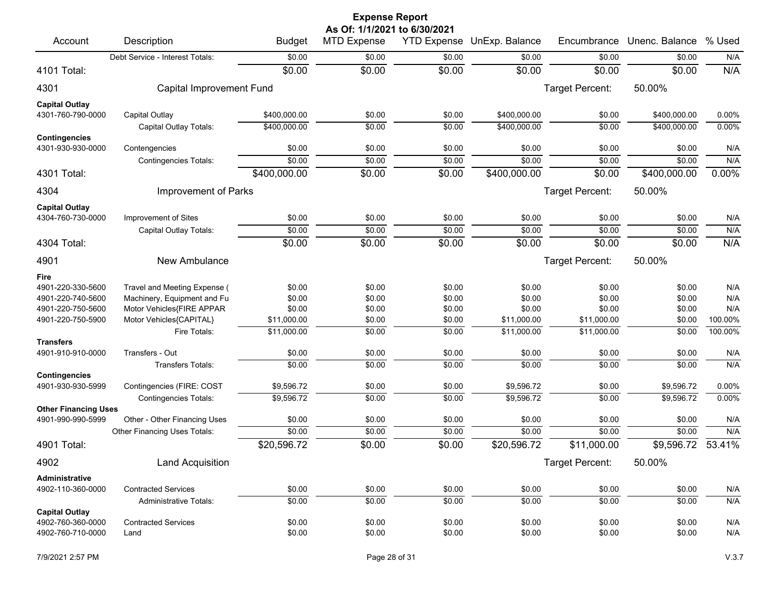|                                                  |                                               |               | <b>Expense Report</b>        |                    |                |                 |                |           |
|--------------------------------------------------|-----------------------------------------------|---------------|------------------------------|--------------------|----------------|-----------------|----------------|-----------|
|                                                  |                                               |               | As Of: 1/1/2021 to 6/30/2021 |                    |                |                 |                |           |
| Account                                          | Description                                   | <b>Budget</b> | <b>MTD Expense</b>           | <b>YTD Expense</b> | UnExp. Balance | Encumbrance     | Unenc. Balance | % Used    |
|                                                  | Debt Service - Interest Totals:               | \$0.00        | \$0.00                       | \$0.00             | \$0.00         | \$0.00          | \$0.00         | N/A       |
| 4101 Total:                                      |                                               | \$0.00        | \$0.00                       | \$0.00             | \$0.00         | \$0.00          | \$0.00         | N/A       |
| 4301                                             | Capital Improvement Fund                      |               |                              |                    |                | Target Percent: | 50.00%         |           |
| <b>Capital Outlay</b>                            |                                               |               |                              |                    |                |                 |                |           |
| 4301-760-790-0000                                | Capital Outlay                                | \$400,000.00  | \$0.00                       | \$0.00             | \$400,000.00   | \$0.00          | \$400,000.00   | 0.00%     |
|                                                  | Capital Outlay Totals:                        | \$400,000.00  | \$0.00                       | \$0.00             | \$400,000.00   | \$0.00          | \$400,000.00   | 0.00%     |
| Contingencies<br>4301-930-930-0000               |                                               | \$0.00        | \$0.00                       | \$0.00             | \$0.00         | \$0.00          | \$0.00         | N/A       |
|                                                  | Contengencies<br><b>Contingencies Totals:</b> | \$0.00        | \$0.00                       | \$0.00             | \$0.00         | \$0.00          | \$0.00         | N/A       |
| 4301 Total:                                      |                                               | \$400,000.00  | \$0.00                       | \$0.00             | \$400,000.00   | \$0.00          | \$400,000.00   | 0.00%     |
| 4304                                             | Improvement of Parks                          |               |                              |                    |                | Target Percent: | 50.00%         |           |
|                                                  |                                               |               |                              |                    |                |                 |                |           |
| <b>Capital Outlay</b><br>4304-760-730-0000       | Improvement of Sites                          | \$0.00        | \$0.00                       | \$0.00             | \$0.00         | \$0.00          | \$0.00         | N/A       |
|                                                  | Capital Outlay Totals:                        | \$0.00        | \$0.00                       | \$0.00             | \$0.00         | \$0.00          | \$0.00         | N/A       |
| 4304 Total:                                      |                                               | \$0.00        | \$0.00                       | \$0.00             | \$0.00         | \$0.00          | \$0.00         | N/A       |
| 4901                                             | New Ambulance                                 |               |                              |                    |                | Target Percent: | 50.00%         |           |
| Fire                                             |                                               |               |                              |                    |                |                 |                |           |
| 4901-220-330-5600                                | Travel and Meeting Expense (                  | \$0.00        | \$0.00                       | \$0.00             | \$0.00         | \$0.00          | \$0.00         | N/A       |
| 4901-220-740-5600                                | Machinery, Equipment and Fu                   | \$0.00        | \$0.00                       | \$0.00             | \$0.00         | \$0.00          | \$0.00         | N/A       |
| 4901-220-750-5600                                | Motor Vehicles{FIRE APPAR                     | \$0.00        | \$0.00                       | \$0.00             | \$0.00         | \$0.00          | \$0.00         | N/A       |
| 4901-220-750-5900                                | Motor Vehicles{CAPITAL}                       | \$11,000.00   | \$0.00                       | \$0.00             | \$11,000.00    | \$11,000.00     | \$0.00         | 100.00%   |
|                                                  | Fire Totals:                                  | \$11,000.00   | $\frac{1}{00}$               | \$0.00             | \$11,000.00    | \$11,000.00     | \$0.00         | 100.00%   |
| <b>Transfers</b>                                 |                                               |               |                              |                    |                |                 |                |           |
| 4901-910-910-0000                                | Transfers - Out                               | \$0.00        | \$0.00                       | \$0.00             | \$0.00         | \$0.00          | \$0.00         | N/A       |
|                                                  | <b>Transfers Totals:</b>                      | \$0.00        | \$0.00                       | \$0.00             | \$0.00         | \$0.00          | \$0.00         | N/A       |
| <b>Contingencies</b>                             |                                               |               |                              |                    |                |                 |                |           |
| 4901-930-930-5999                                | Contingencies (FIRE: COST                     | \$9,596.72    | \$0.00                       | \$0.00             | \$9,596.72     | \$0.00          | \$9,596.72     | 0.00%     |
|                                                  | <b>Contingencies Totals:</b>                  | \$9,596.72    | \$0.00                       | \$0.00             | \$9,596.72     | \$0.00          | \$9,596.72     | 0.00%     |
| <b>Other Financing Uses</b><br>4901-990-990-5999 | Other - Other Financing Uses                  | \$0.00        | \$0.00                       | \$0.00             | \$0.00         | \$0.00          | \$0.00         | N/A       |
|                                                  | Other Financing Uses Totals:                  | \$0.00        | \$0.00                       | \$0.00             | \$0.00         | \$0.00          | \$0.00         | N/A       |
| 4901 Total:                                      |                                               | \$20,596.72   | \$0.00                       | \$0.00             | \$20,596.72    | \$11,000.00     | \$9,596.72     | $53.41\%$ |
| 4902                                             | <b>Land Acquisition</b>                       |               |                              |                    |                | Target Percent: | 50.00%         |           |
| Administrative                                   |                                               |               |                              |                    |                |                 |                |           |
| 4902-110-360-0000                                | <b>Contracted Services</b>                    | \$0.00        | \$0.00                       | \$0.00             | \$0.00         | \$0.00          | \$0.00         | N/A       |
|                                                  | Administrative Totals:                        | \$0.00        | \$0.00                       | \$0.00             | \$0.00         | \$0.00          | \$0.00         | N/A       |
| <b>Capital Outlay</b>                            |                                               |               |                              |                    |                |                 |                |           |
| 4902-760-360-0000                                | <b>Contracted Services</b>                    | \$0.00        | \$0.00                       | \$0.00             | \$0.00         | \$0.00          | \$0.00         | N/A       |
| 4902-760-710-0000                                | Land                                          | \$0.00        | \$0.00                       | \$0.00             | \$0.00         | \$0.00          | \$0.00         | N/A       |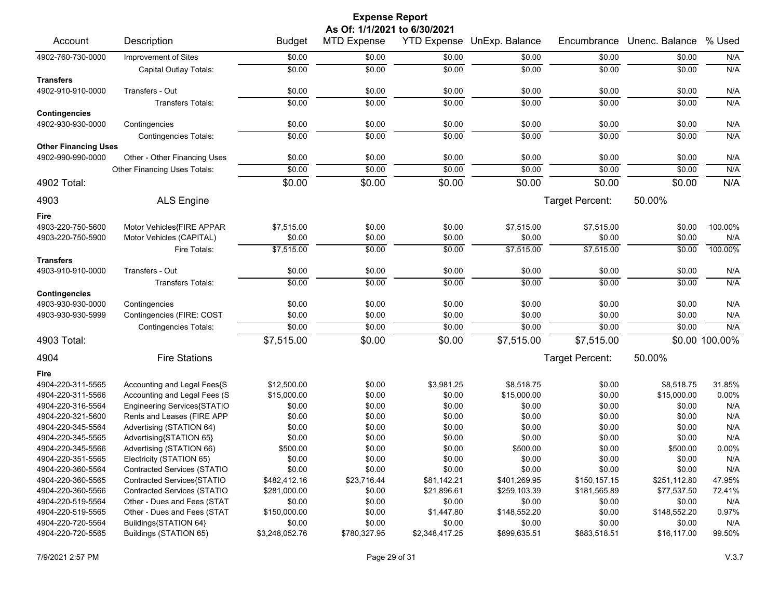|                             | <b>Expense Report</b>              |                |                              |                |                            |                 |                |                |  |  |
|-----------------------------|------------------------------------|----------------|------------------------------|----------------|----------------------------|-----------------|----------------|----------------|--|--|
|                             |                                    |                | As Of: 1/1/2021 to 6/30/2021 |                |                            |                 |                |                |  |  |
| Account                     | Description                        | <b>Budget</b>  | <b>MTD Expense</b>           |                | YTD Expense UnExp. Balance | Encumbrance     | Unenc. Balance | % Used         |  |  |
| 4902-760-730-0000           | Improvement of Sites               | \$0.00         | \$0.00                       | \$0.00         | \$0.00                     | \$0.00          | \$0.00         | N/A            |  |  |
|                             | Capital Outlay Totals:             | \$0.00         | \$0.00                       | \$0.00         | \$0.00                     | \$0.00          | \$0.00         | N/A            |  |  |
| <b>Transfers</b>            |                                    |                |                              |                |                            |                 |                |                |  |  |
| 4902-910-910-0000           | Transfers - Out                    | \$0.00         | \$0.00                       | \$0.00         | \$0.00                     | \$0.00          | \$0.00         | N/A            |  |  |
|                             | Transfers Totals:                  | \$0.00         | \$0.00                       | \$0.00         | \$0.00                     | \$0.00          | \$0.00         | N/A            |  |  |
| <b>Contingencies</b>        |                                    |                |                              |                |                            |                 |                |                |  |  |
| 4902-930-930-0000           | Contingencies                      | \$0.00         | \$0.00                       | \$0.00         | \$0.00                     | \$0.00          | \$0.00         | N/A            |  |  |
|                             | <b>Contingencies Totals:</b>       | \$0.00         | \$0.00                       | \$0.00         | \$0.00                     | \$0.00          | \$0.00         | N/A            |  |  |
| <b>Other Financing Uses</b> |                                    |                |                              |                |                            |                 |                |                |  |  |
| 4902-990-990-0000           | Other - Other Financing Uses       | \$0.00         | \$0.00                       | \$0.00         | \$0.00                     | \$0.00          | \$0.00         | N/A            |  |  |
|                             | Other Financing Uses Totals:       | \$0.00         | \$0.00                       | \$0.00         | \$0.00                     | \$0.00          | \$0.00         | N/A            |  |  |
| 4902 Total:                 |                                    | \$0.00         | \$0.00                       | \$0.00         | \$0.00                     | \$0.00          | \$0.00         | N/A            |  |  |
|                             |                                    |                |                              |                |                            |                 |                |                |  |  |
| 4903                        | <b>ALS Engine</b>                  |                |                              |                |                            | Target Percent: | 50.00%         |                |  |  |
| Fire                        |                                    |                |                              |                |                            |                 |                |                |  |  |
| 4903-220-750-5600           | Motor Vehicles{FIRE APPAR          | \$7,515.00     | \$0.00                       | \$0.00         | \$7,515.00                 | \$7,515.00      | \$0.00         | 100.00%        |  |  |
| 4903-220-750-5900           | Motor Vehicles (CAPITAL)           | \$0.00         | \$0.00                       | \$0.00         | \$0.00                     | \$0.00          | \$0.00         | N/A            |  |  |
|                             | Fire Totals:                       | \$7,515.00     | \$0.00                       | \$0.00         | \$7,515.00                 | \$7,515.00      | \$0.00         | 100.00%        |  |  |
| <b>Transfers</b>            |                                    |                |                              |                |                            |                 |                |                |  |  |
| 4903-910-910-0000           | Transfers - Out                    | \$0.00         | \$0.00                       | \$0.00         | \$0.00                     | \$0.00          | \$0.00         | N/A            |  |  |
|                             | <b>Transfers Totals:</b>           | \$0.00         | \$0.00                       | \$0.00         | \$0.00                     | \$0.00          | \$0.00         | N/A            |  |  |
| <b>Contingencies</b>        |                                    |                |                              |                |                            |                 |                |                |  |  |
| 4903-930-930-0000           | Contingencies                      | \$0.00         | \$0.00                       | \$0.00         | \$0.00                     | \$0.00          | \$0.00         | N/A            |  |  |
| 4903-930-930-5999           | Contingencies (FIRE: COST          | \$0.00         | \$0.00                       | \$0.00         | \$0.00                     | \$0.00          | \$0.00         | N/A            |  |  |
|                             |                                    | \$0.00         | \$0.00                       |                | \$0.00                     |                 | \$0.00         | N/A            |  |  |
|                             | <b>Contingencies Totals:</b>       |                |                              | \$0.00         |                            | \$0.00          |                |                |  |  |
| 4903 Total:                 |                                    | \$7,515.00     | \$0.00                       | \$0.00         | \$7,515.00                 | \$7,515.00      |                | \$0.00 100.00% |  |  |
| 4904                        | <b>Fire Stations</b>               |                |                              |                |                            | Target Percent: | 50.00%         |                |  |  |
| Fire                        |                                    |                |                              |                |                            |                 |                |                |  |  |
| 4904-220-311-5565           | Accounting and Legal Fees{S        | \$12,500.00    | \$0.00                       | \$3,981.25     | \$8,518.75                 | \$0.00          | \$8,518.75     | 31.85%         |  |  |
| 4904-220-311-5566           | Accounting and Legal Fees (S       | \$15,000.00    | \$0.00                       | \$0.00         | \$15,000.00                | \$0.00          | \$15,000.00    | 0.00%          |  |  |
| 4904-220-316-5564           | Engineering Services{STATIO        | \$0.00         | \$0.00                       | \$0.00         | \$0.00                     | \$0.00          | \$0.00         | N/A            |  |  |
| 4904-220-321-5600           | Rents and Leases (FIRE APP         | \$0.00         | \$0.00                       | \$0.00         | \$0.00                     | \$0.00          | \$0.00         | N/A            |  |  |
| 4904-220-345-5564           | Advertising (STATION 64)           | \$0.00         | \$0.00                       | \$0.00         | \$0.00                     | \$0.00          | \$0.00         | N/A            |  |  |
| 4904-220-345-5565           | Advertising{STATION 65}            | \$0.00         | \$0.00                       | \$0.00         | \$0.00                     | \$0.00          | \$0.00         | N/A            |  |  |
| 4904-220-345-5566           | Advertising (STATION 66)           | \$500.00       | \$0.00                       | \$0.00         | \$500.00                   | \$0.00          | \$500.00       | 0.00%          |  |  |
| 4904-220-351-5565           | Electricity (STATION 65)           | \$0.00         | \$0.00                       | \$0.00         | \$0.00                     | \$0.00          | \$0.00         | N/A            |  |  |
| 4904-220-360-5564           | <b>Contracted Services (STATIO</b> | \$0.00         | \$0.00                       | \$0.00         | \$0.00                     | \$0.00          | \$0.00         | N/A            |  |  |
| 4904-220-360-5565           | Contracted Services{STATIO         | \$482,412.16   | \$23,716.44                  | \$81,142.21    | \$401,269.95               | \$150,157.15    | \$251,112.80   | 47.95%         |  |  |
| 4904-220-360-5566           | Contracted Services (STATIO        | \$281,000.00   | \$0.00                       | \$21,896.61    | \$259,103.39               | \$181,565.89    | \$77,537.50    | 72.41%         |  |  |
| 4904-220-519-5564           | Other - Dues and Fees (STAT        | \$0.00         | \$0.00                       | \$0.00         | \$0.00                     | \$0.00          | \$0.00         | N/A            |  |  |
| 4904-220-519-5565           | Other - Dues and Fees (STAT        | \$150,000.00   | \$0.00                       | \$1,447.80     | \$148,552.20               | \$0.00          | \$148,552.20   | 0.97%          |  |  |
| 4904-220-720-5564           | Buildings{STATION 64}              | \$0.00         | \$0.00                       | \$0.00         | \$0.00                     | \$0.00          | \$0.00         | N/A            |  |  |
| 4904-220-720-5565           | Buildings (STATION 65)             | \$3,248,052.76 | \$780,327.95                 | \$2,348,417.25 | \$899,635.51               | \$883,518.51    | \$16,117.00    | 99.50%         |  |  |
|                             |                                    |                |                              |                |                            |                 |                |                |  |  |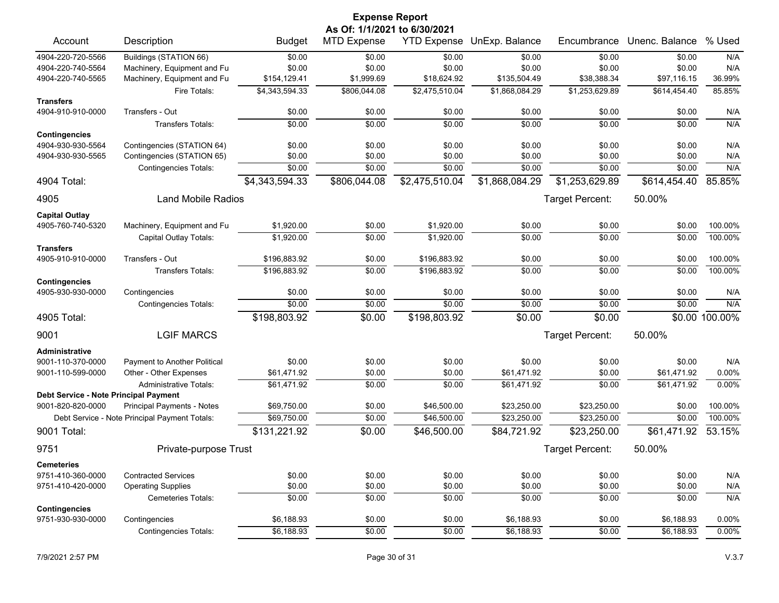|                                       |                                               |                          | <b>Expense Report</b>        |                |                            |                 |                |                |
|---------------------------------------|-----------------------------------------------|--------------------------|------------------------------|----------------|----------------------------|-----------------|----------------|----------------|
|                                       |                                               |                          | As Of: 1/1/2021 to 6/30/2021 |                |                            |                 |                |                |
| Account                               | Description                                   | <b>Budget</b>            | <b>MTD Expense</b>           |                | YTD Expense UnExp. Balance | Encumbrance     | Unenc. Balance | % Used         |
| 4904-220-720-5566                     | Buildings (STATION 66)                        | \$0.00                   | \$0.00                       | \$0.00         | \$0.00                     | \$0.00          | \$0.00         | N/A            |
| 4904-220-740-5564                     | Machinery, Equipment and Fu                   | \$0.00                   | \$0.00                       | \$0.00         | \$0.00                     | \$0.00          | \$0.00         | N/A            |
| 4904-220-740-5565                     | Machinery, Equipment and Fu                   | \$154,129.41             | \$1,999.69                   | \$18,624.92    | \$135,504.49               | \$38,388.34     | \$97,116.15    | 36.99%         |
|                                       | Fire Totals:                                  | \$4,343,594.33           | \$806,044.08                 | \$2,475,510.04 | \$1,868,084.29             | \$1,253,629.89  | \$614,454.40   | 85.85%         |
| Transfers                             | Transfers - Out                               | \$0.00                   | \$0.00                       |                |                            |                 |                |                |
| 4904-910-910-0000                     |                                               |                          |                              | \$0.00         | \$0.00                     | \$0.00          | \$0.00         | N/A            |
| <b>Contingencies</b>                  | Transfers Totals:                             | \$0.00                   | \$0.00                       | \$0.00         | \$0.00                     | \$0.00          | \$0.00         | N/A            |
| 4904-930-930-5564                     | Contingencies (STATION 64)                    | \$0.00                   | \$0.00                       | \$0.00         | \$0.00                     | \$0.00          | \$0.00         | N/A            |
| 4904-930-930-5565                     | Contingencies (STATION 65)                    | \$0.00                   | \$0.00                       | \$0.00         | \$0.00                     | \$0.00          | \$0.00         | N/A            |
|                                       | <b>Contingencies Totals:</b>                  | \$0.00                   | \$0.00                       | \$0.00         | \$0.00                     | \$0.00          | \$0.00         | N/A            |
| 4904 Total:                           |                                               | \$4,343,594.33           | \$806,044.08                 | \$2,475,510.04 | \$1,868,084.29             | \$1,253,629.89  | \$614,454.40   | 85.85%         |
| 4905                                  | <b>Land Mobile Radios</b>                     |                          |                              |                |                            | Target Percent: | 50.00%         |                |
|                                       |                                               |                          |                              |                |                            |                 |                |                |
| <b>Capital Outlay</b>                 |                                               |                          |                              |                |                            |                 |                |                |
| 4905-760-740-5320                     | Machinery, Equipment and Fu                   | \$1,920.00<br>\$1.920.00 | \$0.00                       | \$1,920.00     | \$0.00                     | \$0.00          | \$0.00         | 100.00%        |
| <b>Transfers</b>                      | Capital Outlay Totals:                        |                          | \$0.00                       | \$1,920.00     | \$0.00                     | \$0.00          | \$0.00         | 100.00%        |
| 4905-910-910-0000                     | Transfers - Out                               | \$196,883.92             | \$0.00                       | \$196,883.92   | \$0.00                     | \$0.00          | \$0.00         | 100.00%        |
|                                       | Transfers Totals:                             | \$196,883.92             | \$0.00                       | \$196,883.92   | \$0.00                     | \$0.00          | \$0.00         | 100.00%        |
| <b>Contingencies</b>                  |                                               |                          |                              |                |                            |                 |                |                |
| 4905-930-930-0000                     | Contingencies                                 | \$0.00                   | \$0.00                       | \$0.00         | \$0.00                     | \$0.00          | \$0.00         | N/A            |
|                                       | <b>Contingencies Totals:</b>                  | \$0.00                   | \$0.00                       | \$0.00         | \$0.00                     | \$0.00          | \$0.00         | N/A            |
| 4905 Total:                           |                                               | \$198,803.92             | \$0.00                       | \$198,803.92   | \$0.00                     | \$0.00          |                | \$0.00 100.00% |
| 9001                                  | <b>LGIF MARCS</b>                             |                          |                              |                |                            | Target Percent: | 50.00%         |                |
| Administrative                        |                                               |                          |                              |                |                            |                 |                |                |
| 9001-110-370-0000                     | Payment to Another Political                  | \$0.00                   | \$0.00                       | \$0.00         | \$0.00                     | \$0.00          | \$0.00         | N/A            |
| 9001-110-599-0000                     | Other - Other Expenses                        | \$61,471.92              | \$0.00                       | \$0.00         | \$61,471.92                | \$0.00          | \$61,471.92    | 0.00%          |
|                                       | <b>Administrative Totals:</b>                 | \$61,471.92              | \$0.00                       | \$0.00         | \$61,471.92                | \$0.00          | \$61,471.92    | 0.00%          |
| Debt Service - Note Principal Payment |                                               |                          |                              |                |                            |                 |                |                |
| 9001-820-820-0000                     | <b>Principal Payments - Notes</b>             | \$69,750.00              | \$0.00                       | \$46,500.00    | \$23,250.00                | \$23,250.00     | \$0.00         | 100.00%        |
|                                       | Debt Service - Note Principal Payment Totals: | \$69,750.00              | \$0.00                       | \$46,500.00    | \$23,250.00                | \$23,250.00     | \$0.00         | 100.00%        |
| 9001 Total:                           |                                               | \$131,221.92             | \$0.00                       | \$46,500.00    | \$84,721.92                | \$23,250.00     | \$61,471.92    | 53.15%         |
| 9751                                  | Private-purpose Trust                         |                          |                              |                |                            | Target Percent: | 50.00%         |                |
| <b>Cemeteries</b>                     |                                               |                          |                              |                |                            |                 |                |                |
| 9751-410-360-0000                     | <b>Contracted Services</b>                    | \$0.00                   | \$0.00                       | \$0.00         | \$0.00                     | \$0.00          | \$0.00         | N/A            |
| 9751-410-420-0000                     | <b>Operating Supplies</b>                     | \$0.00                   | \$0.00                       | \$0.00         | \$0.00                     | \$0.00          | \$0.00         | N/A            |
|                                       | <b>Cemeteries Totals:</b>                     | \$0.00                   | \$0.00                       | \$0.00         | \$0.00                     | \$0.00          | \$0.00         | N/A            |
| <b>Contingencies</b>                  |                                               |                          |                              |                |                            |                 |                |                |
| 9751-930-930-0000                     | Contingencies                                 | \$6,188.93               | \$0.00                       | \$0.00         | \$6,188.93                 | \$0.00          | \$6,188.93     | 0.00%          |
|                                       | Contingencies Totals:                         | \$6,188.93               | \$0.00                       | \$0.00         | \$6,188.93                 | \$0.00          | \$6,188.93     | 0.00%          |